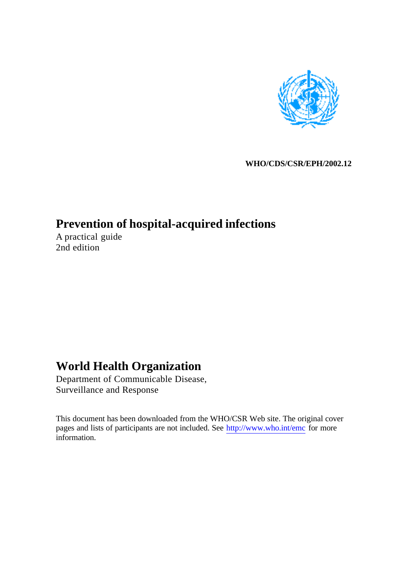

**WHO/CDS/CSR/EPH/2002.12**

# **Prevention of hospital-acquired infections**

A practical guide 2nd edition

# **World Health Organization**

Department of Communicable Disease, Surveillance and Response

This document has been downloaded from the WHO/CSR Web site. The original cover pages and lists of participants are not included. See http://www.who.int/emc for more information.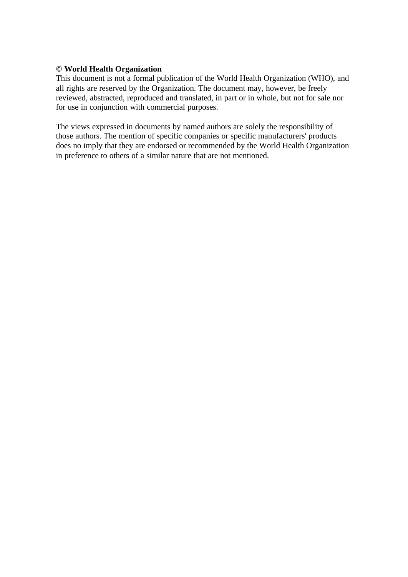# **© World Health Organization**

This document is not a formal publication of the World Health Organization (WHO), and all rights are reserved by the Organization. The document may, however, be freely reviewed, abstracted, reproduced and translated, in part or in whole, but not for sale nor for use in conjunction with commercial purposes.

The views expressed in documents by named authors are solely the responsibility of those authors. The mention of specific companies or specific manufacturers' products does no imply that they are endorsed or recommended by the World Health Organization in preference to others of a similar nature that are not mentioned.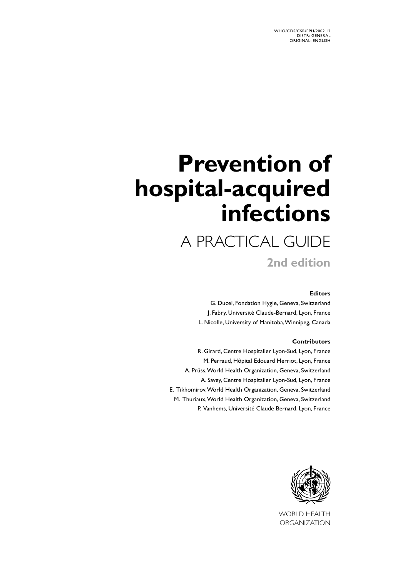# **Prevention of hospital-acquired infections**

# A PRACTICAL GUIDE

**2nd edition**

# **Editors**

G. Ducel, Fondation Hygie, Geneva, Switzerland J. Fabry, Université Claude-Bernard, Lyon, France L. Nicolle, University of Manitoba, Winnipeg, Canada

#### **Contributors**

R. Girard, Centre Hospitalier Lyon-Sud, Lyon, France M. Perraud, Hôpital Edouard Herriot, Lyon, France A. Prüss, World Health Organization, Geneva, Switzerland A. Savey, Centre Hospitalier Lyon-Sud, Lyon, France E. Tikhomirov, World Health Organization, Geneva, Switzerland M. Thuriaux, World Health Organization, Geneva, Switzerland P. Vanhems, Université Claude Bernard, Lyon, France



WORLD HEALTH **ORGANIZATION**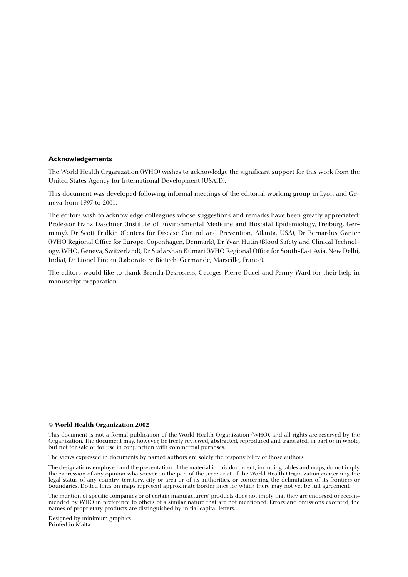### **Acknowledgements**

The World Health Organization (WHO) wishes to acknowledge the significant support for this work from the United States Agency for International Development (USAID).

This document was developed following informal meetings of the editorial working group in Lyon and Geneva from 1997 to 2001.

The editors wish to acknowledge colleagues whose suggestions and remarks have been greatly appreciated: Professor Franz Daschner (Institute of Environmental Medicine and Hospital Epidemiology, Freiburg, Germany), Dr Scott Fridkin (Centers for Disease Control and Prevention, Atlanta, USA), Dr Bernardus Ganter (WHO Regional Office for Europe, Copenhagen, Denmark), Dr Yvan Hutin (Blood Safety and Clinical Technology, WHO, Geneva, Switzerland), Dr Sudarshan Kumari (WHO Regional Office for South-East Asia, New Delhi, India), Dr Lionel Pineau (Laboratoire Biotech-Germande, Marseille, France).

The editors would like to thank Brenda Desrosiers, Georges-Pierre Ducel and Penny Ward for their help in manuscript preparation.

#### **© World Health Organization 2002**

This document is not a formal publication of the World Health Organization (WHO), and all rights are reserved by the Organization. The document may, however, be freely reviewed, abstracted, reproduced and translated, in part or in whole, but not for sale or for use in conjunction with commercial purposes.

The views expressed in documents by named authors are solely the responsibility of those authors.

The designations employed and the presentation of the material in this document, including tables and maps, do not imply the expression of any opinion whatsoever on the part of the secretariat of the World Health Organization concerning the legal status of any country, territory, city or area or of its authorities, or concerning the delimitation of its frontiers or boundaries. Dotted lines on maps represent approximate border lines for which there may not yet be full agreement.

The mention of specific companies or of certain manufacturers' products does not imply that they are endorsed or recommended by WHO in preference to others of a similar nature that are not mentioned. Errors and omissions excepted, the names of proprietary products are distinguished by initial capital letters.

Designed by minimum graphics Printed in Malta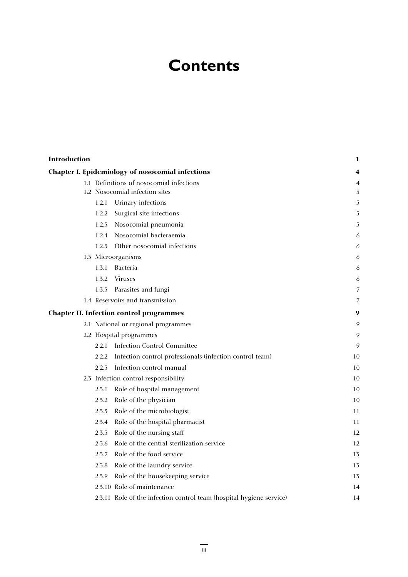# **Contents**

| Introduction |                                                                      | 1  |
|--------------|----------------------------------------------------------------------|----|
|              | <b>Chapter I. Epidemiology of nosocomial infections</b>              | 4  |
|              | 1.1 Definitions of nosocomial infections                             | 4  |
|              | 1.2 Nosocomial infection sites                                       | 5  |
|              | 1.2.1<br>Urinary infections                                          | 5  |
|              | Surgical site infections<br>1.2.2                                    | 5  |
|              | Nosocomial pneumonia<br>1.2.3                                        | 5  |
|              | Nosocomial bacteraemia<br>1.2.4                                      | 6  |
|              | Other nosocomial infections<br>1.2.5                                 | 6  |
|              | 1.3 Microorganisms                                                   | 6  |
|              | 1.3.1<br>Bacteria                                                    | 6  |
|              | <b>Viruses</b><br>1.3.2                                              | 6  |
|              | Parasites and fungi<br>1.3.3                                         | 7  |
|              | 1.4 Reservoirs and transmission                                      | 7  |
|              | <b>Chapter II. Infection control programmes</b>                      | 9  |
|              | 2.1 National or regional programmes                                  | 9  |
|              | 2.2 Hospital programmes                                              | 9  |
|              | <b>Infection Control Committee</b><br>2.2.1                          | 9  |
|              | Infection control professionals (infection control team)<br>2.2.2    | 10 |
|              | Infection control manual<br>2.2.3                                    | 10 |
|              | 2.3 Infection control responsibility                                 | 10 |
|              | Role of hospital management<br>2.3.1                                 | 10 |
|              | Role of the physician<br>2.3.2                                       | 10 |
|              | Role of the microbiologist<br>2.3.3                                  | 11 |
|              | Role of the hospital pharmacist<br>2.3.4                             | 11 |
|              | 2.3.5<br>Role of the nursing staff                                   | 12 |
|              | Role of the central sterilization service<br>2.3.6                   | 12 |
|              | Role of the food service<br>2.3.7                                    | 13 |
|              | 2.3.8<br>Role of the laundry service                                 | 13 |
|              | Role of the housekeeping service<br>2.3.9                            | 13 |
|              | 2.3.10 Role of maintenance                                           | 14 |
|              | 2.3.11 Role of the infection control team (hospital hygiene service) | 14 |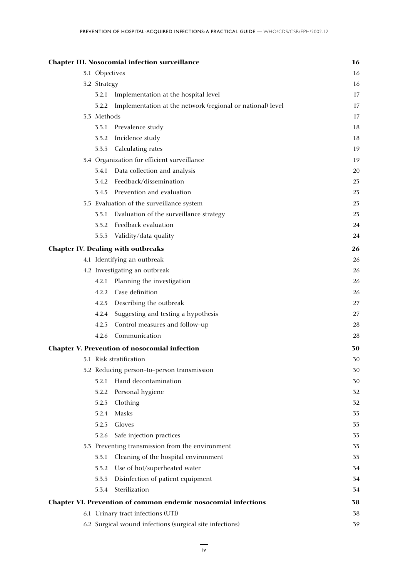|                | <b>Chapter III. Nosocomial infection surveillance</b>                 | 16 |  |
|----------------|-----------------------------------------------------------------------|----|--|
| 3.1 Objectives |                                                                       |    |  |
|                | 3.2 Strategy                                                          | 16 |  |
|                | Implementation at the hospital level<br>3.2.1                         | 17 |  |
|                | Implementation at the network (regional or national) level<br>3.2.2   | 17 |  |
|                | 3.3 Methods                                                           | 17 |  |
|                | Prevalence study<br>3.3.1                                             | 18 |  |
|                | Incidence study<br>3.3.2                                              | 18 |  |
|                | Calculating rates<br>3.3.3                                            | 19 |  |
|                | 3.4 Organization for efficient surveillance                           | 19 |  |
|                | Data collection and analysis<br>3.4.1                                 | 20 |  |
|                | Feedback/dissemination<br>3.4.2                                       | 23 |  |
|                | Prevention and evaluation<br>3.4.3                                    | 23 |  |
|                | 3.5 Evaluation of the surveillance system                             | 23 |  |
|                | Evaluation of the surveillance strategy<br>3.5.1                      | 23 |  |
|                | Feedback evaluation<br>3.5.2                                          | 24 |  |
|                | Validity/data quality<br>3.5.3                                        | 24 |  |
|                | <b>Chapter IV. Dealing with outbreaks</b>                             | 26 |  |
|                | 4.1 Identifying an outbreak                                           | 26 |  |
|                | 4.2 Investigating an outbreak                                         | 26 |  |
|                | Planning the investigation<br>4.2.1                                   | 26 |  |
|                | Case definition<br>4.2.2                                              | 26 |  |
|                | Describing the outbreak<br>4.2.3                                      | 27 |  |
|                | Suggesting and testing a hypothesis<br>4.2.4                          | 27 |  |
|                | Control measures and follow-up<br>4.2.5                               | 28 |  |
|                | Communication<br>4.2.6                                                | 28 |  |
|                | <b>Chapter V. Prevention of nosocomial infection</b>                  | 30 |  |
|                | 5.1 Risk stratification                                               | 30 |  |
|                | 5.2 Reducing person-to-person transmission                            | 30 |  |
|                | Hand decontamination<br>5.2.1                                         | 30 |  |
|                | Personal hygiene<br>5.2.2                                             | 32 |  |
|                | Clothing<br>5.2.3                                                     | 32 |  |
|                | Masks<br>5.2.4                                                        | 33 |  |
|                | Gloves<br>5.2.5                                                       | 33 |  |
|                | 5.2.6<br>Safe injection practices                                     | 33 |  |
|                | 5.3 Preventing transmission from the environment                      | 33 |  |
|                | Cleaning of the hospital environment<br>5.3.1                         | 33 |  |
|                | Use of hot/superheated water<br>5.3.2                                 | 34 |  |
|                | Disinfection of patient equipment<br>5.3.3                            | 34 |  |
|                | Sterilization<br>5.3.4                                                | 34 |  |
|                | <b>Chapter VI. Prevention of common endemic nosocomial infections</b> | 38 |  |
|                | 6.1 Urinary tract infections (UTI)                                    | 38 |  |
|                | 6.2 Surgical wound infections (surgical site infections)<br>39        |    |  |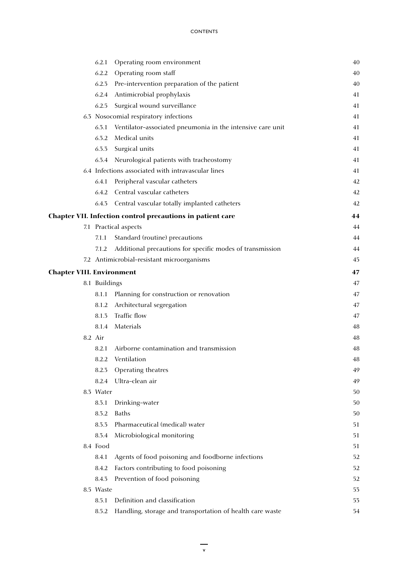#### CONTENTS

|  | 6.2.1         | Operating room environment                                        | 40 |
|--|---------------|-------------------------------------------------------------------|----|
|  | 6.2.2         | Operating room staff                                              | 40 |
|  | 6.2.3         | Pre-intervention preparation of the patient                       | 40 |
|  | 6.2.4         | Antimicrobial prophylaxis                                         | 41 |
|  | 6.2.5         | Surgical wound surveillance                                       | 41 |
|  |               | 6.3 Nosocomial respiratory infections                             | 41 |
|  | 6.3.1         | Ventilator-associated pneumonia in the intensive care unit        | 41 |
|  | 6.3.2         | Medical units                                                     | 41 |
|  | 6.3.3         | Surgical units                                                    | 41 |
|  | 6.3.4         | Neurological patients with tracheostomy                           | 41 |
|  |               | 6.4 Infections associated with intravascular lines                | 41 |
|  | 6.4.1         | Peripheral vascular catheters                                     | 42 |
|  | 6.4.2         | Central vascular catheters                                        | 42 |
|  | 6.4.3         | Central vascular totally implanted catheters                      | 42 |
|  |               | <b>Chapter VII. Infection control precautions in patient care</b> | 44 |
|  |               | 7.1 Practical aspects                                             | 44 |
|  | 7.1.1         | Standard (routine) precautions                                    | 44 |
|  | 7.1.2         | Additional precautions for specific modes of transmission         | 44 |
|  |               | 7.2 Antimicrobial-resistant microorganisms                        | 45 |
|  |               | <b>Chapter VIII. Environment</b>                                  | 47 |
|  | 8.1 Buildings |                                                                   | 47 |
|  | 8.1.1         | Planning for construction or renovation                           | 47 |
|  | 8.1.2         | Architectural segregation                                         | 47 |
|  | 8.1.3         | Traffic flow                                                      | 47 |
|  | 8.1.4         | Materials                                                         | 48 |
|  | 8.2 Air       |                                                                   | 48 |
|  | 8.2.1         | Airborne contamination and transmission                           | 48 |
|  | 8.2.2         | Ventilation                                                       | 48 |
|  | 8.2.3         | Operating theatres                                                | 49 |
|  | 8.2.4         | Ultra-clean air                                                   | 49 |
|  | 8.3 Water     |                                                                   | 50 |
|  | 8.3.1         | Drinking-water                                                    | 50 |
|  | 8.3.2         | <b>Baths</b>                                                      | 50 |
|  | 8.3.3         | Pharmaceutical (medical) water                                    | 51 |
|  | 8.3.4         | Microbiological monitoring                                        | 51 |
|  | 8.4 Food      |                                                                   | 51 |
|  | 8.4.1         | Agents of food poisoning and foodborne infections                 | 52 |
|  | 8.4.2         | Factors contributing to food poisoning                            | 52 |
|  | 8.4.3         | Prevention of food poisoning                                      | 52 |
|  | 8.5 Waste     |                                                                   | 53 |
|  | 8.5.1         | Definition and classification                                     | 53 |
|  | 8.5.2         | Handling, storage and transportation of health care waste         | 54 |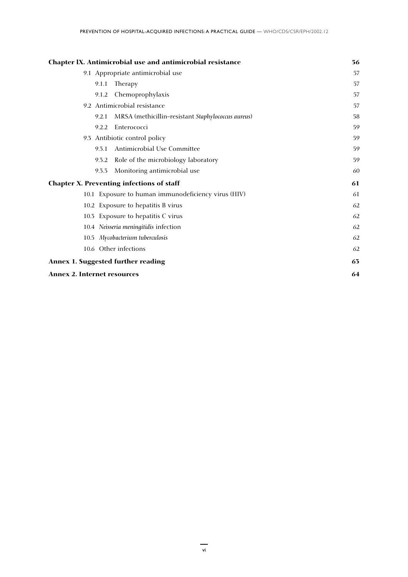| Chapter IX. Antimicrobial use and antimicrobial resistance  | 56 |
|-------------------------------------------------------------|----|
| 9.1 Appropriate antimicrobial use                           | 57 |
| 9.1.1<br>Therapy                                            | 57 |
| Chemoprophylaxis<br>9.1.2                                   | 57 |
| 9.2 Antimicrobial resistance                                | 57 |
| MRSA (methicillin-resistant Staphylococcus aureus)<br>9.2.1 | 58 |
| Enterococci<br>9.2.2                                        | 59 |
| 9.3 Antibiotic control policy                               | 59 |
| Antimicrobial Use Committee<br>9.3.1                        | 59 |
| Role of the microbiology laboratory<br>9.3.2                | 59 |
| Monitoring antimicrobial use<br>9.3.3                       | 60 |
| <b>Chapter X. Preventing infections of staff</b>            | 61 |
| 10.1 Exposure to human immunodeficiency virus (HIV)         | 61 |
| 10.2 Exposure to hepatitis B virus                          | 62 |
| 10.3 Exposure to hepatitis C virus                          | 62 |
| 10.4 Neisseria meningitidis infection                       | 62 |
| 10.5 Mycobacterium tuberculosis                             | 62 |
| 10.6 Other infections                                       | 62 |
| Annex 1. Suggested further reading                          | 63 |
| <b>Annex 2. Internet resources</b>                          |    |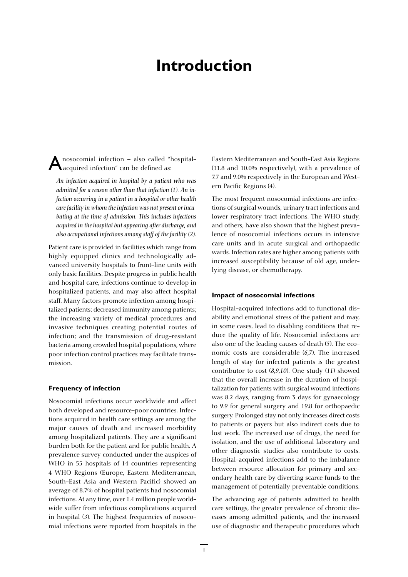# **Introduction**

A nosocomial infection – also called "hospital-<br>A acquired infection" can be defined as:

*An infection acquired in hospital by a patient who was admitted for a reason other than that infection (1). An infection occurring in a patient in a hospital or other health care facility in whom the infection was not present or incubating at the time of admission. This includes infections acquired in the hospital but appearing after discharge, and also occupational infections among staff of the facility (2).*

Patient care is provided in facilities which range from highly equipped clinics and technologically advanced university hospitals to front-line units with only basic facilities. Despite progress in public health and hospital care, infections continue to develop in hospitalized patients, and may also affect hospital staff. Many factors promote infection among hospitalized patients: decreased immunity among patients; the increasing variety of medical procedures and invasive techniques creating potential routes of infection; and the transmission of drug-resistant bacteria among crowded hospital populations, where poor infection control practices may facilitate transmission.

#### **Frequency of infection**

Nosocomial infections occur worldwide and affect both developed and resource-poor countries. Infections acquired in health care settings are among the major causes of death and increased morbidity among hospitalized patients. They are a significant burden both for the patient and for public health. A prevalence survey conducted under the auspices of WHO in 55 hospitals of 14 countries representing 4 WHO Regions (Europe, Eastern Mediterranean, South-East Asia and Western Pacific) showed an average of 8.7% of hospital patients had nosocomial infections. At any time, over 1.4 million people worldwide suffer from infectious complications acquired in hospital (*3*). The highest frequencies of nosocomial infections were reported from hospitals in the Eastern Mediterranean and South-East Asia Regions (11.8 and 10.0% respectively), with a prevalence of 7.7 and 9.0% respectively in the European and Western Pacific Regions (*4*).

The most frequent nosocomial infections are infections of surgical wounds, urinary tract infections and lower respiratory tract infections. The WHO study, and others, have also shown that the highest prevalence of nosocomial infections occurs in intensive care units and in acute surgical and orthopaedic wards. Infection rates are higher among patients with increased susceptibility because of old age, underlying disease, or chemotherapy.

#### **Impact of nosocomial infections**

Hospital-acquired infections add to functional disability and emotional stress of the patient and may, in some cases, lead to disabling conditions that reduce the quality of life. Nosocomial infections are also one of the leading causes of death (*5*). The economic costs are considerable (*6,7*). The increased length of stay for infected patients is the greatest contributor to cost (*8,9,10*). One study (*11*) showed that the overall increase in the duration of hospitalization for patients with surgical wound infections was 8.2 days, ranging from 3 days for gynaecology to 9.9 for general surgery and 19.8 for orthopaedic surgery. Prolonged stay not only increases direct costs to patients or payers but also indirect costs due to lost work. The increased use of drugs, the need for isolation, and the use of additional laboratory and other diagnostic studies also contribute to costs. Hospital-acquired infections add to the imbalance between resource allocation for primary and secondary health care by diverting scarce funds to the management of potentially preventable conditions.

The advancing age of patients admitted to health care settings, the greater prevalence of chronic diseases among admitted patients, and the increased use of diagnostic and therapeutic procedures which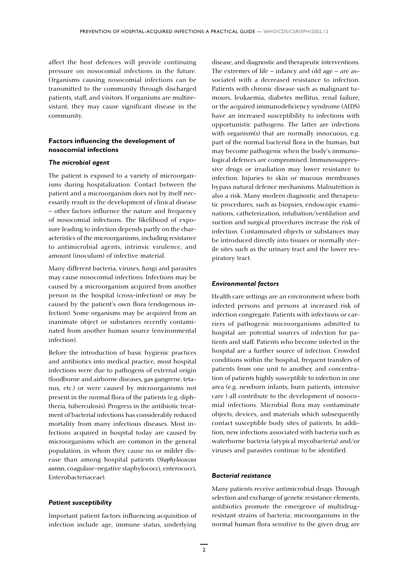affect the host defences will provide continuing pressure on nosocomial infections in the future. Organisms causing nosocomial infections can be transmitted to the community through discharged patients, staff, and visitors. If organisms are multiresistant, they may cause significant disease in the community.

# **Factors influencing the development of nosocomial infections**

#### *The microbial agent*

The patient is exposed to a variety of microorganisms during hospitalization. Contact between the patient and a microorganism does not by itself necessarily result in the development of clinical disease — other factors influence the nature and frequency of nosocomial infections. The likelihood of exposure leading to infection depends partly on the characteristics of the microorganisms, including resistance to antimicrobial agents, intrinsic virulence, and amount (inoculum) of infective material.

Many different bacteria, viruses, fungi and parasites may cause nosocomial infections. Infections may be caused by a microorganism acquired from another person in the hospital (cross-infection) or may be caused by the patient's own flora (endogenous infection). Some organisms may be acquired from an inanimate object or substances recently contaminated from another human source (environmental infection).

Before the introduction of basic hygienic practices and antibiotics into medical practice, most hospital infections were due to pathogens of external origin (foodborne and airborne diseases, gas gangrene, tetanus, etc.) or were caused by microorganisms not present in the normal flora of the patients (e.g. diphtheria, tuberculosis). Progress in the antibiotic treatment of bacterial infections has considerably reduced mortality from many infectious diseases. Most infections acquired in hospital today are caused by microorganisms which are common in the general population, in whom they cause no or milder disease than among hospital patients (*Staphylococcus aureus*, coagulase-negative staphylococci, enterococci, Enterobacteriaceae).

#### *Patient susceptibility*

Important patient factors influencing acquisition of infection include age, immune status, underlying

disease, and diagnostic and therapeutic interventions. The extremes of life — infancy and old age — are associated with a decreased resistance to infection. Patients with chronic disease such as malignant tumours, leukaemia, diabetes mellitus, renal failure, or the acquired immunodeficiency syndrome (AIDS) have an increased susceptibility to infections with opportunistic pathogens. The latter are infections with organism(s) that are normally innocuous, e.g. part of the normal bacterial flora in the human, but may become pathogenic when the body's immunological defences are compromised. Immunosuppressive drugs or irradiation may lower resistance to infection. Injuries to skin or mucous membranes bypass natural defence mechanisms. Malnutrition is also a risk. Many modern diagnostic and therapeutic procedures, such as biopsies, endoscopic examinations, catheterization, intubation/ventilation and suction and surgical procedures increase the risk of infection. Contaminated objects or substances may be introduced directly into tissues or normally sterile sites such as the urinary tract and the lower respiratory tract.

#### *Environmental factors*

Health care settings are an environment where both infected persons and persons at increased risk of infection congregate. Patients with infections or carriers of pathogenic microorganisms admitted to hospital are potential sources of infection for patients and staff. Patients who become infected in the hospital are a further source of infection. Crowded conditions within the hospital, frequent transfers of patients from one unit to another, and concentration of patients highly susceptible to infection in one area (e.g. newborn infants, burn patients, intensive care ) all contribute to the development of nosocomial infections. Microbial flora may contaminate objects, devices, and materials which subsequently contact susceptible body sites of patients. In addition, new infections associated with bacteria such as waterborne bacteria (atypical mycobacteria) and/or viruses and parasites continue to be identified.

### *Bacterial resistance*

Many patients receive antimicrobial drugs. Through selection and exchange of genetic resistance elements, antibiotics promote the emergence of multidrugresistant strains of bacteria; microorganisms in the normal human flora sensitive to the given drug are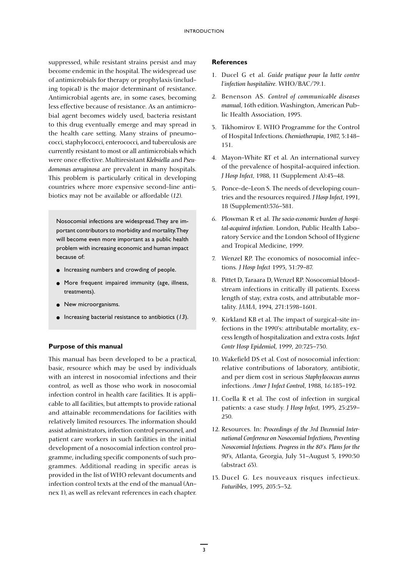suppressed, while resistant strains persist and may become endemic in the hospital. The widespread use of antimicrobials for therapy or prophylaxis (including topical) is the major determinant of resistance. Antimicrobial agents are, in some cases, becoming less effective because of resistance. As an antimicrobial agent becomes widely used, bacteria resistant to this drug eventually emerge and may spread in the health care setting. Many strains of pneumococci, staphylococci, enterococci, and tuberculosis are currently resistant to most or all antimicrobials which were once effective. Multiresistant *Klebsiella* and *Pseudomonas aeruginosa* are prevalent in many hospitals. This problem is particularly critical in developing countries where more expensive second-line antibiotics may not be available or affordable (*12*).

Nosocomial infections are widespread. They are important contributors to morbidity and mortality. They will become even more important as a public health problem with increasing economic and human impact because of:

- Increasing numbers and crowding of people.
- More frequent impaired immunity (age, illness, treatments).
- New microorganisms.
- Increasing bacterial resistance to antibiotics (*13*).

#### **Purpose of this manual**

This manual has been developed to be a practical, basic, resource which may be used by individuals with an interest in nosocomial infections and their control, as well as those who work in nosocomial infection control in health care facilities. It is applicable to all facilities, but attempts to provide rational and attainable recommendations for facilities with relatively limited resources. The information should assist administrators, infection control personnel, and patient care workers in such facilities in the initial development of a nosocomial infection control programme, including specific components of such programmes. Additional reading in specific areas is provided in the list of WHO relevant documents and infection control texts at the end of the manual (Annex 1), as well as relevant references in each chapter.

#### **References**

- 1. Ducel G et al. *Guide pratique pour la lutte contre l'infection hospitalière*. WHO/BAC/79.1.
- 2. Benenson AS. *Control of communicable diseases manual*, 16th edition. Washington, American Public Health Association, 1995.
- 3. Tikhomirov E. WHO Programme for the Control of Hospital Infections. *Chemiotherapia*, 1987, 3:148– 151.
- 4. Mayon-White RT et al. An international survey of the prevalence of hospital-acquired infection. *J Hosp Infect*, 1988, 11 (Supplement A):43–48.
- 5. Ponce-de-Leon S. The needs of developing countries and the resources required. *J Hosp Infect*, 1991, 18 (Supplement):376–381.
- 6. Plowman R et al. *The socio-economic burden of hospital-acquired infection*. London, Public Health Laboratory Service and the London School of Hygiene and Tropical Medicine, 1999.
- 7. Wenzel RP. The economics of nosocomial infections. *J Hosp Infect* 1995, 31:79–87.
- 8. Pittet D, Taraara D, Wenzel RP. Nosocomial bloodstream infections in critically ill patients. Excess length of stay, extra costs, and attributable mortality. *JAMA*, 1994, 271:1598–1601.
- 9. Kirkland KB et al. The impact of surgical-site infections in the 1990's: attributable mortality, excess length of hospitalization and extra costs. *Infect Contr Hosp Epidemiol*, 1999, 20:725–730.
- 10. Wakefield DS et al. Cost of nosocomial infection: relative contributions of laboratory, antibiotic, and per diem cost in serious *Staphylococcus aureus* infections. *Amer J Infect Control*, 1988, 16:185–192.
- 11. Coella R et al. The cost of infection in surgical patients: a case study. *J Hosp Infect*, 1993, 25:239– 250.
- 12. Resources. In: *Proceedings of the 3rd Decennial International Conference on Nosocomial Infections, Preventing Nosocomial Infections. Progress in the 80's. Plans for the 90's*, Atlanta, Georgia, July 31–August 3, 1990:30 (abstract 63).
- 13. Ducel G. Les nouveaux risques infectieux. *Futuribles*, 1995, 203:5–32.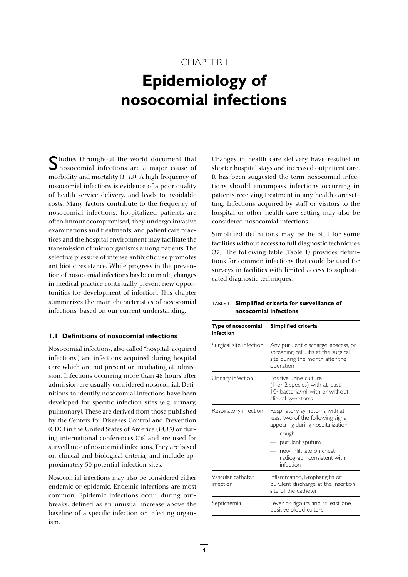# CHAPTER I **Epidemiology of nosocomial infections**

Studies throughout the world document that<br>nosocomial infections are a major cause of morbidity and mortality (*1–13*). A high frequency of nosocomial infections is evidence of a poor quality of health service delivery, and leads to avoidable costs. Many factors contribute to the frequency of nosocomial infections: hospitalized patients are often immunocompromised, they undergo invasive examinations and treatments, and patient care practices and the hospital environment may facilitate the transmission of microorganisms among patients. The selective pressure of intense antibiotic use promotes antibiotic resistance. While progress in the prevention of nosocomial infections has been made, changes in medical practice continually present new opportunities for development of infection. This chapter summarizes the main characteristics of nosocomial infections, based on our current understanding.

#### **1.1 Definitions of nosocomial infections**

Nosocomial infections, also called "hospital-acquired infections", are infections acquired during hospital care which are not present or incubating at admission. Infections occurring more than 48 hours after admission are usually considered nosocomial. Definitions to identify nosocomial infections have been developed for specific infection sites (e.g. urinary, pulmonary). These are derived from those published by the Centers for Diseases Control and Prevention (CDC) in the United States of America (*14,15*) or during international conferences (*16*) and are used for surveillance of nosocomial infections. They are based on clinical and biological criteria, and include approximately 50 potential infection sites.

Nosocomial infections may also be considered either endemic or epidemic. Endemic infections are most common. Epidemic infections occur during outbreaks, defined as an unusual increase above the baseline of a specific infection or infecting organism.

Changes in health care delivery have resulted in shorter hospital stays and increased outpatient care. It has been suggested the term nosocomial infections should encompass infections occurring in patients receiving treatment in any health care setting. Infections acquired by staff or visitors to the hospital or other health care setting may also be considered nosocomial infections.

Simplified definitions may be helpful for some facilities without access to full diagnostic techniques (*17*). The following table (Table 1) provides definitions for common infections that could be used for surveys in facilities with limited access to sophisticated diagnostic techniques.

#### TABLE 1. **Simplified criteria for surveillance of nosocomial infections**

| Type of nosocomial<br>infection | Simplified criteria                                                                                                                                                                                         |
|---------------------------------|-------------------------------------------------------------------------------------------------------------------------------------------------------------------------------------------------------------|
| Surgical site infection         | Any purulent discharge, abscess, or<br>spreading cellulitis at the surgical<br>site during the month after the<br>operation                                                                                 |
| Urinary infection               | Positive urine culture<br>(1 or 2 species) with at least<br>10 <sup>5</sup> bacteria/ml, with or without<br>clinical symptoms                                                                               |
| Respiratory infection           | Respiratory symptoms with at<br>least two of the following signs<br>appearing during hospitalization:<br>— cough<br>- purulent sputum<br>new infiltrate on chest<br>radiograph consistent with<br>infection |
| Vascular catheter<br>infection  | Inflammation, lymphangitis or<br>purulent discharge at the insertion<br>site of the catheter                                                                                                                |
| Septicaemia                     | Fever or rigours and at least one<br>positive blood culture                                                                                                                                                 |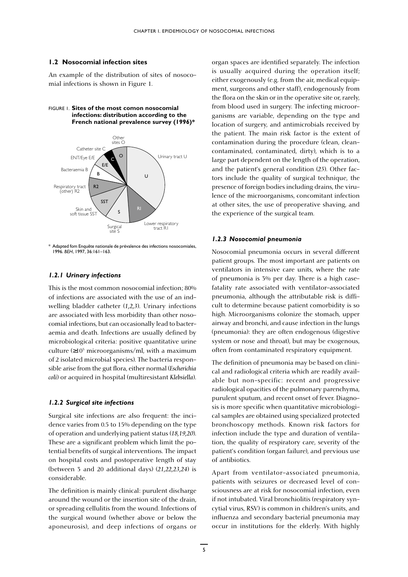#### **1.2 Nosocomial infection sites**

An example of the distribution of sites of nosocomial infections is shown in Figure 1.

FIGURE 1. **Sites of the most comon nosocomial infections: distribution according to the French national prevalence survey (1996)\*** Catheter site C Other sites O



\* Adapted fom Enquête nationale de prévalence des infections nosocomiales, 1996. *BEH*, 1997, 36:161–163.

#### *1.2.1 Urinary infections*

This is the most common nosocomial infection; 80% of infections are associated with the use of an indwelling bladder catheter (*1,2,3*). Urinary infections are associated with less morbidity than other nosocomial infections, but can occasionally lead to bacteraemia and death. Infections are usually defined by microbiological criteria: positive quantitative urine culture (≥105 microorganisms/ml, with a maximum of 2 isolated microbial species). The bacteria responsible arise from the gut flora, either normal (*Escherichia coli*) or acquired in hospital (multiresistant *Klebsiella*).

#### *1.2.2 Surgical site infections*

Surgical site infections are also frequent: the incidence varies from 0.5 to 15% depending on the type of operation and underlying patient status (*18,19,20*). These are a significant problem which limit the potential benefits of surgical interventions. The impact on hospital costs and postoperative length of stay (between 3 and 20 additional days) (*21,22,23,24*) is considerable.

The definition is mainly clinical: purulent discharge around the wound or the insertion site of the drain, or spreading cellulitis from the wound. Infections of the surgical wound (whether above or below the aponeurosis), and deep infections of organs or

organ spaces are identified separately. The infection is usually acquired during the operation itself; either exogenously (e.g. from the air, medical equipment, surgeons and other staff), endogenously from the flora on the skin or in the operative site or, rarely, from blood used in surgery. The infecting microorganisms are variable, depending on the type and location of surgery, and antimicrobials received by the patient. The main risk factor is the extent of contamination during the procedure (clean, cleancontaminated, contaminated, dirty), which is to a large part dependent on the length of the operation, and the patient's general condition (*25*). Other factors include the quality of surgical technique, the presence of foreign bodies including drains, the virulence of the microorganisms, concomitant infection at other sites, the use of preoperative shaving, and the experience of the surgical team.

#### *1.2.3 Nosocomial pneumonia*

Nosocomial pneumonia occurs in several different patient groups. The most important are patients on ventilators in intensive care units, where the rate of pneumonia is 3% per day. There is a high casefatality rate associated with ventilator-associated pneumonia, although the attributable risk is difficult to determine because patient comorbidity is so high. Microorganisms colonize the stomach, upper airway and bronchi, and cause infection in the lungs (pneumonia): they are often endogenous (digestive system or nose and throat), but may be exogenous, often from contaminated respiratory equipment.

The definition of pneumonia may be based on clinical and radiological criteria which are readily available but non-specific: recent and progressive radiological opacities of the pulmonary parenchyma, purulent sputum, and recent onset of fever. Diagnosis is more specific when quantitative microbiological samples are obtained using specialized protected bronchoscopy methods. Known risk factors for infection include the type and duration of ventilation, the quality of respiratory care, severity of the patient's condition (organ failure), and previous use of antibiotics.

Apart from ventilator-associated pneumonia, patients with seizures or decreased level of consciousness are at risk for nosocomial infection, even if not intubated. Viral bronchiolitis (respiratory syncytial virus, RSV) is common in children's units, and influenza and secondary bacterial pneumonia may occur in institutions for the elderly. With highly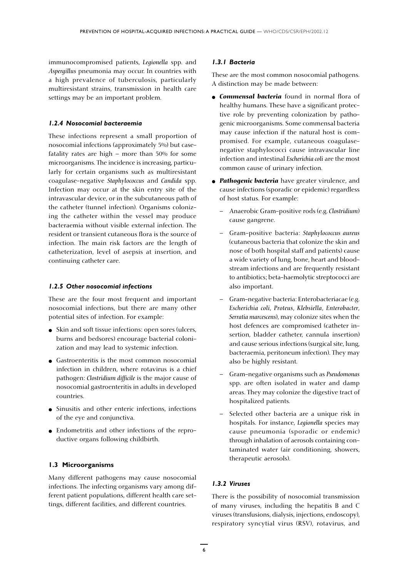immunocompromised patients, *Legionella* spp. and *Aspergillus* pneumonia may occur. In countries with a high prevalence of tuberculosis, particularly multiresistant strains, transmission in health care settings may be an important problem.

# *1.2.4 Nosocomial bacteraemia*

These infections represent a small proportion of nosocomial infections (approximately 5%) but casefatality rates are high — more than 50% for some microorganisms. The incidence is increasing, particularly for certain organisms such as multiresistant coagulase-negative *Staphylococcus* and *Candida* spp. Infection may occur at the skin entry site of the intravascular device, or in the subcutaneous path of the catheter (tunnel infection). Organisms colonizing the catheter within the vessel may produce bacteraemia without visible external infection. The resident or transient cutaneous flora is the source of infection. The main risk factors are the length of catheterization, level of asepsis at insertion, and continuing catheter care.

#### *1.2.5 Other nosocomial infections*

These are the four most frequent and important nosocomial infections, but there are many other potential sites of infection. For example:

- Skin and soft tissue infections: open sores (ulcers, burns and bedsores) encourage bacterial colonization and may lead to systemic infection.
- Gastroenteritis is the most common nosocomial infection in children, where rotavirus is a chief pathogen: *Clostridium difficile* is the major cause of nosocomial gastroenteritis in adults in developed countries.
- Sinusitis and other enteric infections, infections of the eye and conjunctiva.
- Endometritis and other infections of the reproductive organs following childbirth.

#### **1.3 Microorganisms**

Many different pathogens may cause nosocomial infections. The infecting organisms vary among different patient populations, different health care settings, different facilities, and different countries.

#### *1.3.1 Bacteria*

These are the most common nosocomial pathogens. A distinction may be made between:

- *Commensal bacteria* found in normal flora of healthy humans. These have a significant protective role by preventing colonization by pathogenic microorganisms. Some commensal bacteria may cause infection if the natural host is compromised. For example, cutaneous coagulasenegative staphylococci cause intravascular line infection and intestinal *Escherichia coli* are the most common cause of urinary infection.
- *Pathogenic bacteria* have greater virulence, and cause infections (sporadic or epidemic) regardless of host status. For example:
	- Anaerobic Gram-positive rods (e.g. *Clostridium*) cause gangrene.
	- Gram-positive bacteria: *Staphylococcus aureus* (cutaneous bacteria that colonize the skin and nose of both hospital staff and patients) cause a wide variety of lung, bone, heart and bloodstream infections and are frequently resistant to antibiotics; beta-haemolytic streptococci are also important.
	- Gram-negative bacteria: Enterobacteriacae (e.g. *Escherichia coli*, *Proteus*, *Klebsiella*, *Enterobacter*, *Serratia marcescens*), may colonize sites when the host defences are compromised (catheter insertion, bladder catheter, cannula insertion) and cause serious infections (surgical site, lung, bacteraemia, peritoneum infection). They may also be highly resistant.
	- Gram-negative organisms such as *Pseudomonas* spp. are often isolated in water and damp areas. They may colonize the digestive tract of hospitalized patients.
	- Selected other bacteria are a unique risk in hospitals. For instance, *Legionella* species may cause pneumonia (sporadic or endemic) through inhalation of aerosols containing contaminated water (air conditioning, showers, therapeutic aerosols).

# *1.3.2 Viruses*

There is the possibility of nosocomial transmission of many viruses, including the hepatitis B and C viruses (transfusions, dialysis, injections, endoscopy), respiratory syncytial virus (RSV), rotavirus, and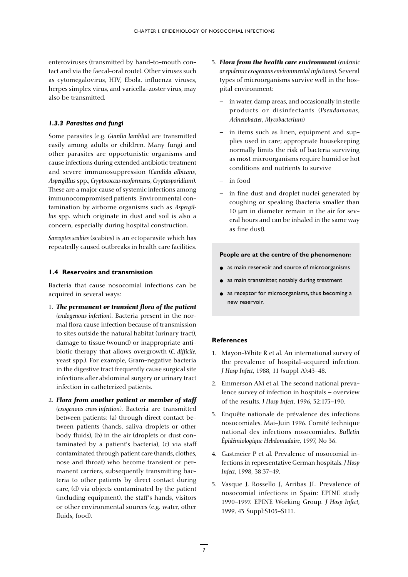enteroviruses (transmitted by hand-to-mouth contact and via the faecal-oral route). Other viruses such as cytomegalovirus, HIV, Ebola, influenza viruses, herpes simplex virus, and varicella-zoster virus, may also be transmitted.

# *1.3.3 Parasites and fungi*

Some parasites (e.g. *Giardia lamblia*) are transmitted easily among adults or children. Many fungi and other parasites are opportunistic organisms and cause infections during extended antibiotic treatment and severe immunosuppression (*Candida albicans*, *Aspergillus* spp., *Cryptococcus neoformans*, *Cryptosporidium*). These are a major cause of systemic infections among immunocompromised patients. Environmental contamination by airborne organisms such as *Aspergillus* spp. which originate in dust and soil is also a concern, especially during hospital construction.

*Sarcoptes scabies* (scabies) is an ectoparasite which has repeatedly caused outbreaks in health care facilities.

# **1.4 Reservoirs and transmission**

Bacteria that cause nosocomial infections can be acquired in several ways:

- 1. *The permanent or transient flora of the patient (endogenous infection)*. Bacteria present in the normal flora cause infection because of transmission to sites outside the natural habitat (urinary tract), damage to tissue (wound) or inappropriate antibiotic therapy that allows overgrowth (*C. difficile*, yeast spp.). For example, Gram-negative bacteria in the digestive tract frequently cause surgical site infections after abdominal surgery or urinary tract infection in catheterized patients.
- 2. *Flora from another patient or member of staff (exogenous cross-infection)*. Bacteria are transmitted between patients: (a) through direct contact between patients (hands, saliva droplets or other body fluids), (b) in the air (droplets or dust contaminated by a patient's bacteria), (c) via staff contaminated through patient care (hands, clothes, nose and throat) who become transient or permanent carriers, subsequently transmitting bacteria to other patients by direct contact during care, (d) via objects contaminated by the patient (including equipment), the staff's hands, visitors or other environmental sources (e.g. water, other fluids, food).
- 3. *Flora from the health care environment (endemic or epidemic exogenous environmental infections)*. Several types of microorganisms survive well in the hospital environment:
	- in water, damp areas, and occasionally in sterile products or disinfectants (*Pseudomonas*, *Acinetobacter*, *Mycobacterium*)
	- in items such as linen, equipment and supplies used in care; appropriate housekeeping normally limits the risk of bacteria surviving as most microorganisms require humid or hot conditions and nutrients to survive
	- in food
	- in fine dust and droplet nuclei generated by coughing or speaking (bacteria smaller than 10 µm in diameter remain in the air for several hours and can be inhaled in the same way as fine dust).

#### **People are at the centre of the phenomenon:**

- as main reservoir and source of microorganisms
- as main transmitter, notably during treatment
- as receptor for microorganisms, thus becoming a new reservoir.

# **References**

- 1. Mayon-White R et al. An international survey of the prevalence of hospital-acquired infection. *J Hosp Infect*, 1988, 11 (suppl A):43–48.
- 2. Emmerson AM et al. The second national prevalence survey of infection in hospitals — overview of the results. *J Hosp Infect*, 1996, 32:175–190.
- 3. Enquête nationale de prévalence des infections nosocomiales. Mai–Juin 1996. Comité technique national des infections nosocomiales. *Bulletin Èpidémiologique Hebdomadaire*, 1997, No 36.
- 4. Gastmeier P et al. Prevalence of nosocomial infections in representative German hospitals. *J Hosp Infect*, 1998, 38:37–49.
- 5. Vasque J, Rossello J, Arribas JL. Prevalence of nosocomial infections in Spain: EPINE study 1990–1997. EPINE Working Group. *J Hosp Infect*, 1999, 43 Suppl:S105–S111.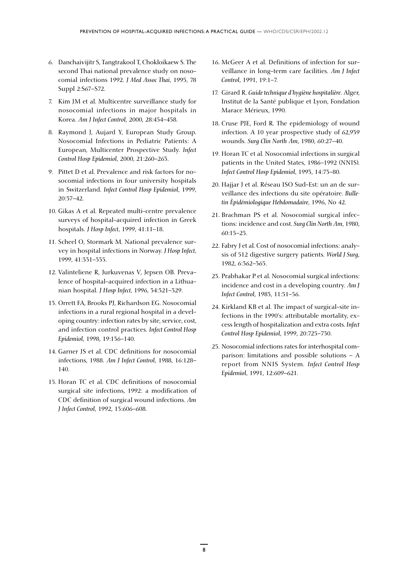- 6. Danchaivijitr S, Tangtrakool T, Chokloikaew S. The second Thai national prevalence study on nosocomial infections 1992. *J Med Assoc Thai*, 1995, 78 Suppl 2:S67–S72.
- 7. Kim JM et al. Multicentre surveillance study for nosocomial infections in major hospitals in Korea. *Am J Infect Control*, 2000, 28:454–458.
- 8. Raymond J, Aujard Y, European Study Group. Nosocomial Infections in Pediatric Patients: A European, Multicenter Prospective Study. *Infect Control Hosp Epidemiol*, 2000, 21:260–263.
- 9. Pittet D et al. Prevalence and risk factors for nosocomial infections in four university hospitals in Switzerland. *Infect Control Hosp Epidemiol*, 1999, 20:37–42.
- 10. Gikas A et al. Repeated multi-centre prevalence surveys of hospital-acquired infection in Greek hospitals. *J Hosp Infect*, 1999, 41:11–18.
- 11. Scheel O, Stormark M. National prevalence survey in hospital infections in Norway. *J Hosp Infect*, 1999, 41:331–335.
- 12. Valinteliene R, Jurkuvenas V, Jepsen OB. Prevalence of hospital-acquired infection in a Lithuanian hospital. *J Hosp Infect*, 1996, 34:321–329.
- 13. Orrett FA, Brooks PJ, Richardson EG. Nosocomial infections in a rural regional hospital in a developing country: infection rates by site, service, cost, and infection control practices. *Infect Control Hosp Epidemiol*, 1998, 19:136–140.
- 14. Garner JS et al. CDC definitions for nosocomial infections, 1988. *Am J Infect Control*, 1988, 16:128– 140.
- 15. Horan TC et al. CDC definitions of nosocomial surgical site infections, 1992: a modification of CDC definition of surgical wound infections. *Am J Infect Control*, 1992, 13:606–608.
- 16. McGeer A et al. Definitions of infection for surveillance in long-term care facilities. *Am J Infect Control*, 1991, 19:1–7.
- 17. Girard R. *Guide technique d'hygiène hospitalière*. Alger, Institut de la Santé publique et Lyon, Fondation Marace Mérieux, 1990.
- 18. Cruse PJE, Ford R. The epidemiology of wound infection. A 10 year prospective study of 62,939 wounds. *Surg Clin North Am*, 1980, 60:27–40.
- 19. Horan TC et al. Nosocomial infections in surgical patients in the United States, 1986–1992 (NNIS). *Infect Control Hosp Epidemiol*, 1993, 14:73–80.
- 20. Hajjar J et al. Réseau ISO Sud-Est: un an de surveillance des infections du site opératoire. *Bulletin Èpidémiologique Hebdomadaire*, 1996, No 42.
- 21. Brachman PS et al. Nosocomial surgical infections: incidence and cost. *Surg Clin North Am*, 1980, 60:15–25.
- 22. Fabry J et al. Cost of nosocomial infections: analysis of 512 digestive surgery patients. *World J Surg*, 1982, 6:362–365.
- 23. Prabhakar P et al. Nosocomial surgical infections: incidence and cost in a developing country. *Am J Infect Control*, 1983, 11:51–56.
- 24. Kirkland KB et al. The impact of surgical-site infections in the 1990's: attributable mortality, excess length of hospitalization and extra costs. *Infect Control Hosp Epidemiol*, 1999, 20:725–730.
- 25. Nosocomial infections rates for interhospital comparison: limitations and possible solutions — A report from NNIS System. *Infect Control Hosp Epidemiol*, 1991, 12:609–621.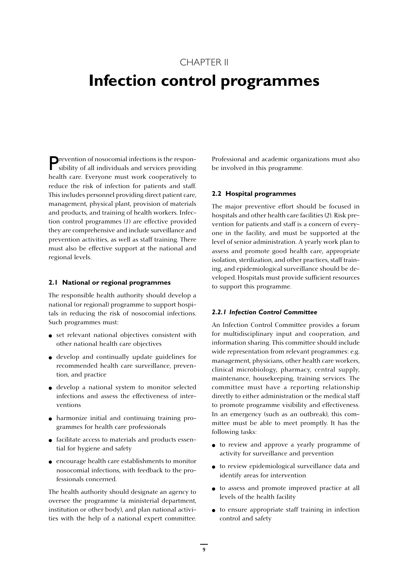# CHAPTER II

# **Infection control programmes**

**Prevention of nosocomial infections is the respon**sibility of all individuals and services providing health care. Everyone must work cooperatively to reduce the risk of infection for patients and staff. This includes personnel providing direct patient care, management, physical plant, provision of materials and products, and training of health workers. Infection control programmes (*1*) are effective provided they are comprehensive and include surveillance and prevention activities, as well as staff training. There must also be effective support at the national and regional levels.

#### **2.1 National or regional programmes**

The responsible health authority should develop a national (or regional) programme to support hospitals in reducing the risk of nosocomial infections. Such programmes must:

- set relevant national objectives consistent with other national health care objectives
- develop and continually update guidelines for recommended health care surveillance, prevention, and practice
- develop a national system to monitor selected infections and assess the effectiveness of interventions
- harmonize initial and continuing training programmes for health care professionals
- facilitate access to materials and products essential for hygiene and safety
- encourage health care establishments to monitor nosocomial infections, with feedback to the professionals concerned.

The health authority should designate an agency to oversee the programme (a ministerial department, institution or other body), and plan national activities with the help of a national expert committee.

Professional and academic organizations must also be involved in this programme.

#### **2.2 Hospital programmes**

The major preventive effort should be focused in hospitals and other health care facilities (*2*). Risk prevention for patients and staff is a concern of everyone in the facility, and must be supported at the level of senior administration. A yearly work plan to assess and promote good health care, appropriate isolation, sterilization, and other practices, staff training, and epidemiological surveillance should be developed. Hospitals must provide sufficient resources to support this programme.

#### *2.2.1 Infection Control Committee*

An Infection Control Committee provides a forum for multidisciplinary input and cooperation, and information sharing. This committee should include wide representation from relevant programmes: e.g. management, physicians, other health care workers, clinical microbiology, pharmacy, central supply, maintenance, housekeeping, training services. The committee must have a reporting relationship directly to either administration or the medical staff to promote programme visibility and effectiveness. In an emergency (such as an outbreak), this committee must be able to meet promptly. It has the following tasks:

- to review and approve a yearly programme of activity for surveillance and prevention
- to review epidemiological surveillance data and identify areas for intervention
- to assess and promote improved practice at all levels of the health facility
- to ensure appropriate staff training in infection control and safety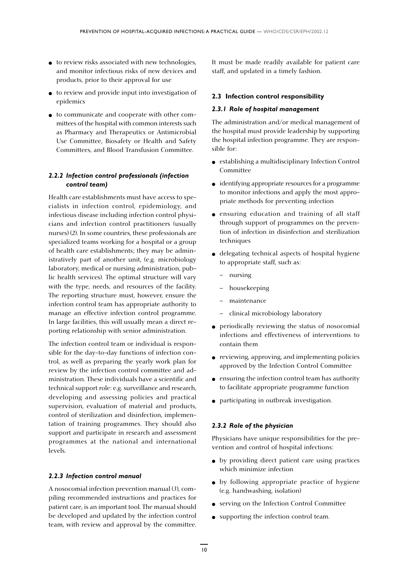- to review risks associated with new technologies, and monitor infectious risks of new devices and products, prior to their approval for use
- to review and provide input into investigation of epidemics
- to communicate and cooperate with other committees of the hospital with common interests such as Pharmacy and Therapeutics or Antimicrobial Use Committee, Biosafety or Health and Safety Committees, and Blood Transfusion Committee.

# *2.2.2 Infection control professionals (infection control team)*

Health care establishments must have access to specialists in infection control, epidemiology, and infectious disease including infection control physicians and infection control practitioners (usually nurses) (*2*). In some countries, these professionals are specialized teams working for a hospital or a group of health care establishments; they may be administratively part of another unit, (e.g. microbiology laboratory, medical or nursing administration, public health services). The optimal structure will vary with the type, needs, and resources of the facility. The reporting structure must, however, ensure the infection control team has appropriate authority to manage an effective infection control programme. In large facilities, this will usually mean a direct reporting relationship with senior administration.

The infection control team or individual is responsible for the day-to-day functions of infection control, as well as preparing the yearly work plan for review by the infection control committee and administration. These individuals have a scientific and technical support role: e.g. surveillance and research, developing and assessing policies and practical supervision, evaluation of material and products, control of sterilization and disinfection, implementation of training programmes. They should also support and participate in research and assessment programmes at the national and international levels.

#### *2.2.3 Infection control manual*

A nosocomial infection prevention manual (*3*), compiling recommended instructions and practices for patient care, is an important tool. The manual should be developed and updated by the infection control team, with review and approval by the committee. It must be made readily available for patient care staff, and updated in a timely fashion.

# **2.3 Infection control responsibility**

### *2.3.1 Role of hospital management*

The administration and/or medical management of the hospital must provide leadership by supporting the hospital infection programme. They are responsible for:

- establishing a multidisciplinary Infection Control Committee
- identifying appropriate resources for a programme to monitor infections and apply the most appropriate methods for preventing infection
- ensuring education and training of all staff through support of programmes on the prevention of infection in disinfection and sterilization techniques
- delegating technical aspects of hospital hygiene to appropriate staff, such as:
	- nursing
	- housekeeping
	- maintenance
	- clinical microbiology laboratory
- periodically reviewing the status of nosocomial infections and effectiveness of interventions to contain them
- reviewing, approving, and implementing policies approved by the Infection Control Committee
- ensuring the infection control team has authority to facilitate appropriate programme function
- participating in outbreak investigation.

# *2.3.2 Role of the physician*

Physicians have unique responsibilities for the prevention and control of hospital infections:

- by providing direct patient care using practices which minimize infection
- by following appropriate practice of hygiene (e.g. handwashing, isolation)
- serving on the Infection Control Committee
- supporting the infection control team.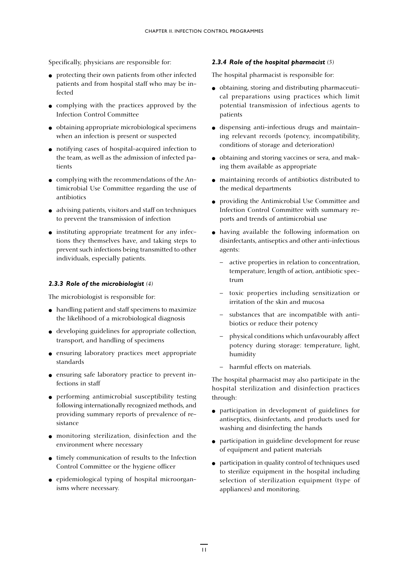Specifically, physicians are responsible for:

- protecting their own patients from other infected patients and from hospital staff who may be infected
- complying with the practices approved by the Infection Control Committee
- obtaining appropriate microbiological specimens when an infection is present or suspected
- notifying cases of hospital-acquired infection to the team, as well as the admission of infected patients
- complying with the recommendations of the Antimicrobial Use Committee regarding the use of antibiotics
- advising patients, visitors and staff on techniques to prevent the transmission of infection
- instituting appropriate treatment for any infections they themselves have, and taking steps to prevent such infections being transmitted to other individuals, especially patients.

### *2.3.3 Role of the microbiologist (4)*

The microbiologist is responsible for:

- handling patient and staff specimens to maximize the likelihood of a microbiological diagnosis
- developing guidelines for appropriate collection, transport, and handling of specimens
- ensuring laboratory practices meet appropriate standards
- ensuring safe laboratory practice to prevent infections in staff
- performing antimicrobial susceptibility testing following internationally recognized methods, and providing summary reports of prevalence of resistance
- monitoring sterilization, disinfection and the environment where necessary
- timely communication of results to the Infection Control Committee or the hygiene officer
- epidemiological typing of hospital microorganisms where necessary.

### *2.3.4 Role of the hospital pharmacist (5)*

The hospital pharmacist is responsible for:

- obtaining, storing and distributing pharmaceutical preparations using practices which limit potential transmission of infectious agents to patients
- dispensing anti-infectious drugs and maintaining relevant records (potency, incompatibility, conditions of storage and deterioration)
- obtaining and storing vaccines or sera, and making them available as appropriate
- maintaining records of antibiotics distributed to the medical departments
- providing the Antimicrobial Use Committee and Infection Control Committee with summary reports and trends of antimicrobial use
- having available the following information on disinfectants, antiseptics and other anti-infectious agents:
	- active properties in relation to concentration, temperature, length of action, antibiotic spectrum
	- toxic properties including sensitization or irritation of the skin and mucosa
	- substances that are incompatible with antibiotics or reduce their potency
	- physical conditions which unfavourably affect potency during storage: temperature, light, humidity
	- harmful effects on materials.

The hospital pharmacist may also participate in the hospital sterilization and disinfection practices through:

- participation in development of guidelines for antiseptics, disinfectants, and products used for washing and disinfecting the hands
- participation in guideline development for reuse of equipment and patient materials
- participation in quality control of techniques used to sterilize equipment in the hospital including selection of sterilization equipment (type of appliances) and monitoring.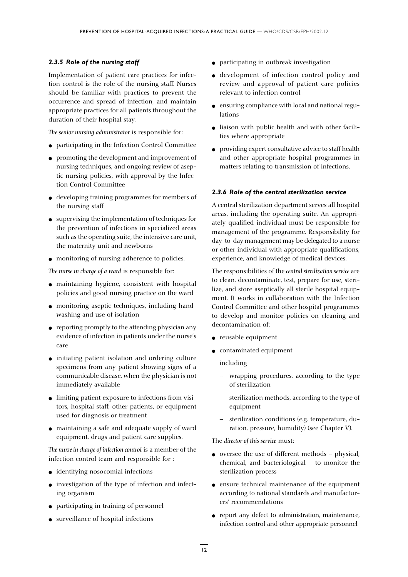# *2.3.5 Role of the nursing staff*

Implementation of patient care practices for infection control is the role of the nursing staff. Nurses should be familiar with practices to prevent the occurrence and spread of infection, and maintain appropriate practices for all patients throughout the duration of their hospital stay.

*The senior nursing administrator* is responsible for:

- participating in the Infection Control Committee
- promoting the development and improvement of nursing techniques, and ongoing review of aseptic nursing policies, with approval by the Infection Control Committee
- developing training programmes for members of the nursing staff
- supervising the implementation of techniques for the prevention of infections in specialized areas such as the operating suite, the intensive care unit, the maternity unit and newborns
- monitoring of nursing adherence to policies.

*The nurse in charge of a ward* is responsible for:

- maintaining hygiene, consistent with hospital policies and good nursing practice on the ward
- monitoring aseptic techniques, including handwashing and use of isolation
- reporting promptly to the attending physician any evidence of infection in patients under the nurse's care
- initiating patient isolation and ordering culture specimens from any patient showing signs of a communicable disease, when the physician is not immediately available
- limiting patient exposure to infections from visitors, hospital staff, other patients, or equipment used for diagnosis or treatment
- maintaining a safe and adequate supply of ward equipment, drugs and patient care supplies.

*The nurse in charge of infection control* is a member of the infection control team and responsible for :

- identifying nosocomial infections
- investigation of the type of infection and infecting organism
- participating in training of personnel
- surveillance of hospital infections
- participating in outbreak investigation
- development of infection control policy and review and approval of patient care policies relevant to infection control
- ensuring compliance with local and national regulations
- liaison with public health and with other facilities where appropriate
- providing expert consultative advice to staff health and other appropriate hospital programmes in matters relating to transmission of infections.

### *2.3.6 Role of the central sterilization service*

A central sterilization department serves all hospital areas, including the operating suite. An appropriately qualified individual must be responsible for management of the programme. Responsibility for day-to-day management may be delegated to a nurse or other individual with appropriate qualifications, experience, and knowledge of medical devices.

The responsibilities of the *central sterilization service* are to clean, decontaminate, test, prepare for use, sterilize, and store aseptically all sterile hospital equipment. It works in collaboration with the Infection Control Committee and other hospital programmes to develop and monitor policies on cleaning and decontamination of:

- reusable equipment
- contaminated equipment

including

- wrapping procedures, according to the type of sterilization
- sterilization methods, according to the type of equipment
- sterilization conditions (e.g. temperature, duration, pressure, humidity) (see Chapter V).

The *director of this service* must:

- oversee the use of different methods physical, chemical, and bacteriological — to monitor the sterilization process
- ensure technical maintenance of the equipment according to national standards and manufacturers' recommendations
- report any defect to administration, maintenance, infection control and other appropriate personnel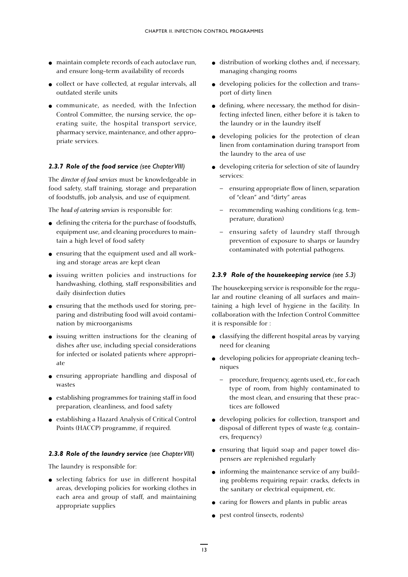- maintain complete records of each autoclave run, and ensure long-term availability of records
- collect or have collected, at regular intervals, all outdated sterile units
- communicate, as needed, with the Infection Control Committee, the nursing service, the operating suite, the hospital transport service, pharmacy service, maintenance, and other appropriate services.

# *2.3.7 Role of the food service (see Chapter VIII)*

The *director of food services* must be knowledgeable in food safety, staff training, storage and preparation of foodstuffs, job analysis, and use of equipment.

The *head of catering services* is responsible for:

- $\bullet$  defining the criteria for the purchase of foodstuffs, equipment use, and cleaning procedures to maintain a high level of food safety
- ensuring that the equipment used and all working and storage areas are kept clean
- issuing written policies and instructions for handwashing, clothing, staff responsibilities and daily disinfection duties
- ensuring that the methods used for storing, preparing and distributing food will avoid contamination by microorganisms
- issuing written instructions for the cleaning of dishes after use, including special considerations for infected or isolated patients where appropriate
- ensuring appropriate handling and disposal of wastes
- establishing programmes for training staff in food preparation, cleanliness, and food safety
- establishing a Hazard Analysis of Critical Control Points (HACCP) programme, if required.

# *2.3.8 Role of the laundry service (see Chapter VIII)*

The laundry is responsible for:

● selecting fabrics for use in different hospital areas, developing policies for working clothes in each area and group of staff, and maintaining appropriate supplies

- distribution of working clothes and, if necessary, managing changing rooms
- developing policies for the collection and transport of dirty linen
- defining, where necessary, the method for disinfecting infected linen, either before it is taken to the laundry or in the laundry itself
- developing policies for the protection of clean linen from contamination during transport from the laundry to the area of use
- developing criteria for selection of site of laundry services:
	- ensuring appropriate flow of linen, separation of "clean" and "dirty" areas
	- recommending washing conditions (e.g. temperature, duration)
	- ensuring safety of laundry staff through prevention of exposure to sharps or laundry contaminated with potential pathogens.

# *2.3.9 Role of the housekeeping service (see 5.3)*

The housekeeping service is responsible for the regular and routine cleaning of all surfaces and maintaining a high level of hygiene in the facility. In collaboration with the Infection Control Committee it is responsible for :

- classifying the different hospital areas by varying need for cleaning
- developing policies for appropriate cleaning techniques
	- procedure, frequency, agents used, etc., for each type of room, from highly contaminated to the most clean, and ensuring that these practices are followed
- developing policies for collection, transport and disposal of different types of waste (e.g. containers, frequency)
- ensuring that liquid soap and paper towel dispensers are replenished regularly
- informing the maintenance service of any building problems requiring repair: cracks, defects in the sanitary or electrical equipment, etc.
- caring for flowers and plants in public areas
- pest control (insects, rodents)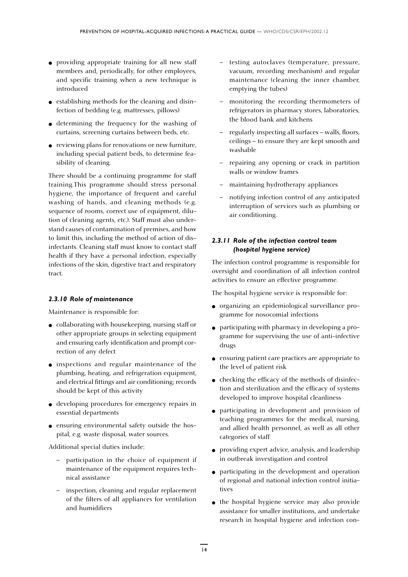- providing appropriate training for all new staff members and, periodically, for other employees, and specific training when a new technique is introduced
- establishing methods for the cleaning and disinfection of bedding (e.g. mattresses, pillows)
- determining the frequency for the washing of curtains, screening curtains between beds, etc.
- reviewing plans for renovations or new furniture, including special patient beds, to determine feasibility of cleaning.

There should be a continuing programme for staff training.This programme should stress personal hygiene, the importance of frequent and careful washing of hands, and cleaning methods (e.g. sequence of rooms, correct use of equipment, dilution of cleaning agents, etc.). Staff must also understand causes of contamination of premises, and how to limit this, including the method of action of disinfectants. Cleaning staff must know to contact staff health if they have a personal infection, especially infections of the skin, digestive tract and respiratory tract.

#### *2.3.10 Role of maintenance*

Maintenance is responsible for:

- collaborating with housekeeping, nursing staff or other appropriate groups in selecting equipment and ensuring early identification and prompt correction of any defect
- inspections and regular maintenance of the plumbing, heating, and refrigeration equipment, and electrical fittings and air conditioning; records should be kept of this activity
- developing procedures for emergency repairs in essential departments
- ensuring environmental safety outside the hospital, e.g. waste disposal, water sources.

Additional special duties include:

- participation in the choice of equipment if maintenance of the equipment requires technical assistance
- inspection, cleaning and regular replacement of the filters of all appliances for ventilation and humidifiers
- testing autoclaves (temperature, pressure, vacuum, recording mechanism) and regular maintenance (cleaning the inner chamber, emptying the tubes)
- monitoring the recording thermometers of refrigerators in pharmacy stores, laboratories, the blood bank and kitchens
- regularly inspecting all surfaces walls, floors, ceilings — to ensure they are kept smooth and washable
- repairing any opening or crack in partition walls or window frames
- maintaining hydrotherapy appliances
- notifying infection control of any anticipated interruption of services such as plumbing or air conditioning.

# *2.3.11 Role of the infection control team (hospital hygiene service)*

The infection control programme is responsible for oversight and coordination of all infection control activities to ensure an effective programme.

The hospital hygiene service is responsible for:

- organizing an epidemiological surveillance programme for nosocomial infections
- participating with pharmacy in developing a programme for supervising the use of anti-infective drugs
- ensuring patient care practices are appropriate to the level of patient risk
- checking the efficacy of the methods of disinfection and sterilization and the efficacy of systems developed to improve hospital cleanliness
- participating in development and provision of teaching programmes for the medical, nursing, and allied health personnel, as well as all other categories of staff
- providing expert advice, analysis, and leadership in outbreak investigation and control
- participating in the development and operation of regional and national infection control initiatives
- the hospital hygiene service may also provide assistance for smaller institutions, and undertake research in hospital hygiene and infection con-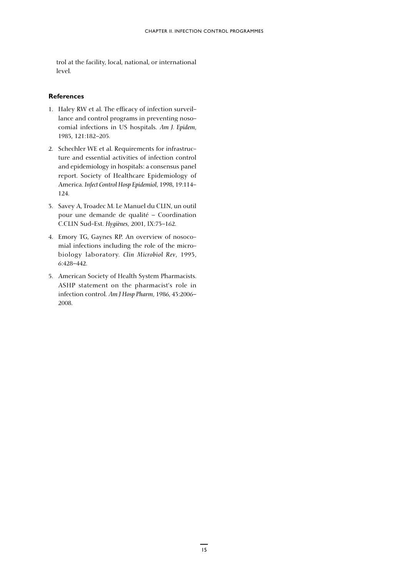trol at the facility, local, national, or international level.

# **References**

- 1. Haley RW et al. The efficacy of infection surveillance and control programs in preventing nosocomial infections in US hospitals. *Am J. Epidem*, 1985, 121:182–205.
- 2. Schechler WE et al. Requirements for infrastructure and essential activities of infection control and epidemiology in hospitals: a consensus panel report. Society of Healthcare Epidemiology of America. *Infect Control Hosp Epidemiol*, 1998, 19:114– 124.
- 3. Savey A, Troadec M. Le Manuel du CLIN, un outil pour une demande de qualité — Coordination C.CLIN Sud-Est. *Hygiènes*, 2001, IX:73–162.
- 4. Emory TG, Gaynes RP. An overview of nosocomial infections including the role of the microbiology laboratory. *Clin Microbiol Rev*, 1993, 6:428–442.
- 5. American Society of Health System Pharmacists. ASHP statement on the pharmacist's role in infection control. *Am J Hosp Pharm*, 1986, 43:2006– 2008.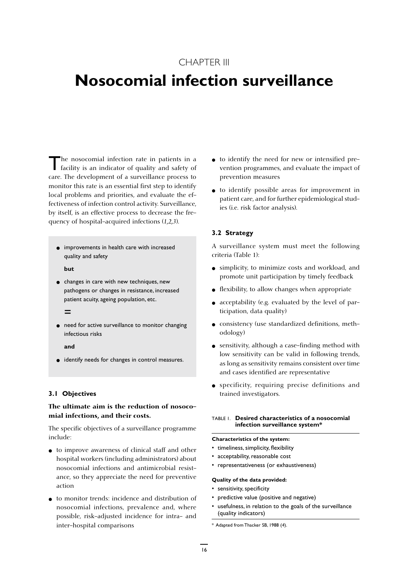# CHAPTER III

# **Nosocomial infection surveillance**

The nosocomial infection rate in patients in a facility is an indicator of quality and safety of care. The development of a surveillance process to monitor this rate is an essential first step to identify local problems and priorities, and evaluate the effectiveness of infection control activity. Surveillance, by itself, is an effective process to decrease the frequency of hospital-acquired infections (*1,2,3*).

● improvements in health care with increased quality and safety

**but**

- changes in care with new techniques, new pathogens or changes in resistance, increased patient acuity, ageing population, etc.
	- =
- need for active surveillance to monitor changing infectious risks

**and**

● identify needs for changes in control measures.

# **3.1 Objectives**

# **The ultimate aim is the reduction of nosocomial infections, and their costs.**

The specific objectives of a surveillance programme include:

- to improve awareness of clinical staff and other hospital workers (including administrators) about nosocomial infections and antimicrobial resistance, so they appreciate the need for preventive action
- to monitor trends: incidence and distribution of nosocomial infections, prevalence and, where possible, risk-adjusted incidence for intra- and inter-hospital comparisons
- to identify the need for new or intensified prevention programmes, and evaluate the impact of prevention measures
- to identify possible areas for improvement in patient care, and for further epidemiological studies (i.e. risk factor analysis).

# **3.2 Strategy**

A surveillance system must meet the following criteria (Table 1):

- simplicity, to minimize costs and workload, and promote unit participation by timely feedback
- $\bullet$  flexibility, to allow changes when appropriate
- acceptability (e.g. evaluated by the level of participation, data quality)
- consistency (use standardized definitions, methodology)
- sensitivity, although a case-finding method with low sensitivity can be valid in following trends, as long as sensitivity remains consistent over time and cases identified are representative
- specificity, requiring precise definitions and trained investigators.

#### TABLE 1. **Desired characteristics of a nosocomial infection surveillance system\***

#### **Characteristics of the system:**

- timeliness, simplicity, flexibility
- acceptability, reasonable cost
- representativeness (or exhaustiveness)

# **Quality of the data provided:**

- sensitivity, specificity
- predictive value (positive and negative)
- usefulness, in relation to the goals of the surveillance (quality indicators)

<sup>\*</sup> Adapted from Thacker SB, 1988 (*4*).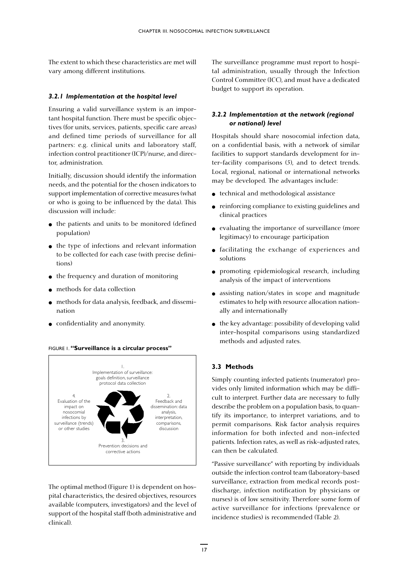The extent to which these characteristics are met will vary among different institutions.

# *3.2.1 Implementation at the hospital level*

Ensuring a valid surveillance system is an important hospital function. There must be specific objectives (for units, services, patients, specific care areas) and defined time periods of surveillance for all partners: e.g. clinical units and laboratory staff, infection control practitioner (ICP)/nurse, and director, administration.

Initially, discussion should identify the information needs, and the potential for the chosen indicators to support implementation of corrective measures (what or who is going to be influenced by the data). This discussion will include:

- the patients and units to be monitored (defined population)
- the type of infections and relevant information to be collected for each case (with precise definitions)
- the frequency and duration of monitoring
- methods for data collection
- methods for data analysis, feedback, and dissemination
- confidentiality and anonymity.





The optimal method (Figure 1) is dependent on hospital characteristics, the desired objectives, resources available (computers, investigators) and the level of support of the hospital staff (both administrative and clinical).

The surveillance programme must report to hospital administration, usually through the Infection Control Committee (ICC), and must have a dedicated budget to support its operation.

# *3.2.2 Implementation at the network (regional or national) level*

Hospitals should share nosocomial infection data, on a confidential basis, with a network of similar facilities to support standards development for inter-facility comparisons (*5*), and to detect trends. Local, regional, national or international networks may be developed. The advantages include:

- technical and methodological assistance
- reinforcing compliance to existing guidelines and clinical practices
- evaluating the importance of surveillance (more legitimacy) to encourage participation
- facilitating the exchange of experiences and solutions
- promoting epidemiological research, including analysis of the impact of interventions
- assisting nation/states in scope and magnitude estimates to help with resource allocation nationally and internationally
- the key advantage: possibility of developing valid inter-hospital comparisons using standardized methods and adjusted rates.

# **3.3 Methods**

Simply counting infected patients (numerator) provides only limited information which may be difficult to interpret. Further data are necessary to fully describe the problem on a population basis, to quantify its importance, to interpret variations, and to permit comparisons. Risk factor analysis requires information for both infected and non-infected patients. Infection rates, as well as risk-adjusted rates, can then be calculated.

"Passive surveillance" with reporting by individuals outside the infection control team (laboratory-based surveillance, extraction from medical records postdischarge, infection notification by physicians or nurses) is of low sensitivity. Therefore some form of active surveillance for infections (prevalence or incidence studies) is recommended (Table 2).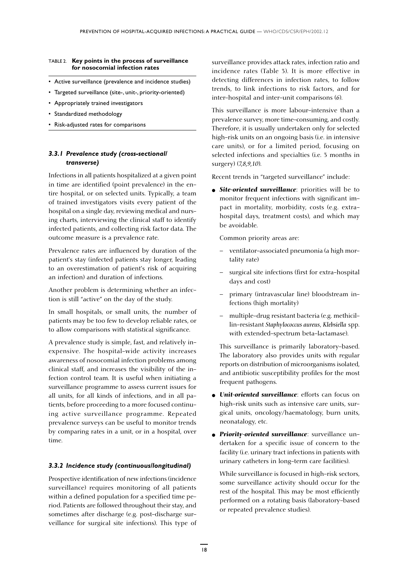#### TABLE 2. **Key points in the process of surveillance for nosocomial infection rates**

- Active surveillance (prevalence and incidence studies)
- Targeted surveillance (site-, unit-, priority-oriented)
- Appropriately trained investigators
- Standardized methodology
- Risk-adjusted rates for comparisons

# *3.3.1 Prevalence study (cross-sectional/ transverse)*

Infections in all patients hospitalized at a given point in time are identified (point prevalence) in the entire hospital, or on selected units. Typically, a team of trained investigators visits every patient of the hospital on a single day, reviewing medical and nursing charts, interviewing the clinical staff to identify infected patients, and collecting risk factor data. The outcome measure is a prevalence rate.

Prevalence rates are influenced by duration of the patient's stay (infected patients stay longer, leading to an overestimation of patient's risk of acquiring an infection) and duration of infections.

Another problem is determining whether an infection is still "active" on the day of the study.

In small hospitals, or small units, the number of patients may be too few to develop reliable rates, or to allow comparisons with statistical significance.

A prevalence study is simple, fast, and relatively inexpensive. The hospital-wide activity increases awareness of nosocomial infection problems among clinical staff, and increases the visibility of the infection control team. It is useful when initiating a surveillance programme to assess current issues for all units, for all kinds of infections, and in all patients, before proceeding to a more focused continuing active surveillance programme. Repeated prevalence surveys can be useful to monitor trends by comparing rates in a unit, or in a hospital, over time.

#### *3.3.2 Incidence study (continuous/longitudinal)*

Prospective identification of new infections (incidence surveillance) requires monitoring of all patients within a defined population for a specified time period. Patients are followed throughout their stay, and sometimes after discharge (e.g. post-discharge surveillance for surgical site infections). This type of surveillance provides attack rates, infection ratio and incidence rates (Table 3). It is more effective in detecting differences in infection rates, to follow trends, to link infections to risk factors, and for inter-hospital and inter-unit comparisons (*6*).

This surveillance is more labour-intensive than a prevalence survey, more time-consuming, and costly. Therefore, it is usually undertaken only for selected high-risk units on an ongoing basis (i.e. in intensive care units), or for a limited period, focusing on selected infections and specialties (i.e. 3 months in surgery) (*7,8,9,10*).

Recent trends in "targeted surveillance" include:

● *Site-oriented surveillance*: priorities will be to monitor frequent infections with significant impact in mortality, morbidity, costs (e.g. extrahospital days, treatment costs), and which may be avoidable.

Common priority areas are:

- ventilator-associated pneumonia (a high mortality rate)
- surgical site infections (first for extra-hospital days and cost)
- primary (intravascular line) bloodstream infections (high mortality)
- multiple-drug resistant bacteria (e.g. methicillin-resistant *Staphylococcus aureus*, *Klebsiella* spp. with extended-spectrum beta-lactamase).

This surveillance is primarily laboratory-based. The laboratory also provides units with regular reports on distribution of microorganisms isolated, and antibiotic susceptibility profiles for the most frequent pathogens.

- *Unit-oriented surveillance*: efforts can focus on high-risk units such as intensive care units, surgical units, oncology/haematology, burn units, neonatalogy, etc.
- *Priority-oriented surveillance*: surveillance undertaken for a specific issue of concern to the facility (i.e. urinary tract infections in patients with urinary catheters in long-term care facilities).

While surveillance is focused in high-risk sectors, some surveillance activity should occur for the rest of the hospital. This may be most efficiently performed on a rotating basis (laboratory-based or repeated prevalence studies).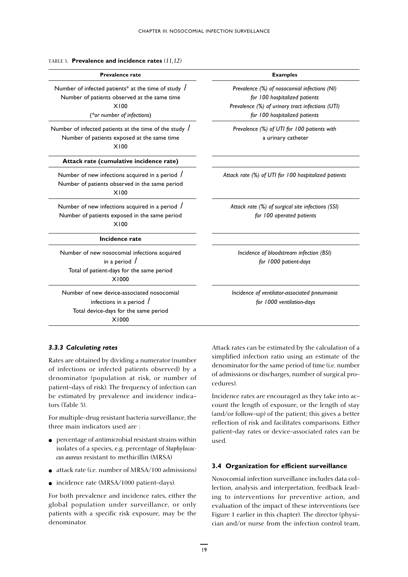TABLE 3. **Prevalence and incidence rates** *(11,12)*

| <b>Prevalence rate</b>                                          | <b>Examples</b>                                      |  |  |
|-----------------------------------------------------------------|------------------------------------------------------|--|--|
| Number of infected patients* at the time of study $\frac{1}{2}$ | Prevalence (%) of nosocomial infections (NI)         |  |  |
| Number of patients observed at the same time                    | for 100 hospitalized patients                        |  |  |
| X100                                                            | Prevalence (%) of urinary tract infections (UTI)     |  |  |
| (*or number of infections)                                      | for 100 hospitalized patients                        |  |  |
| Number of infected patients at the time of the study /          | Prevalence (%) of UTI for 100 patients with          |  |  |
| Number of patients exposed at the same time                     | a urinary catheter                                   |  |  |
| X100                                                            |                                                      |  |  |
| Attack rate (cumulative incidence rate)                         |                                                      |  |  |
| Number of new infections acquired in a period /                 | Attack rate (%) of UTI for 100 hospitalized patients |  |  |
| Number of patients observed in the same period                  |                                                      |  |  |
| X100                                                            |                                                      |  |  |
| Number of new infections acquired in a period /                 | Attack rate (%) of surgical site infections (SSI)    |  |  |
| Number of patients exposed in the same period                   | for 100 operated patients                            |  |  |
| X100                                                            |                                                      |  |  |
| Incidence rate                                                  |                                                      |  |  |
| Number of new nosocomial infections acquired                    | Incidence of bloodstream infection (BSI)             |  |  |
| in a period $\sqrt{ }$                                          | for 1000 patient-days                                |  |  |
| Total of patient-days for the same period                       |                                                      |  |  |
| X1000                                                           |                                                      |  |  |
| Number of new device-associated nosocomial                      | Incidence of ventilator-associated pneumonia         |  |  |
| infections in a period $/$                                      | for 1000 ventilation-days                            |  |  |
| Total device-days for the same period                           |                                                      |  |  |
| X1000                                                           |                                                      |  |  |

# *3.3.3 Calculating rates*

Rates are obtained by dividing a numerator (number of infections or infected patients observed) by a denominator (population at risk, or number of patient-days of risk). The frequency of infection can be estimated by prevalence and incidence indicators (Table 3).

For multiple-drug resistant bacteria surveillance, the three main indicators used are :

- percentage of antimicrobial resistant strains within isolates of a species, e.g. percentage of *Staphylococcus aureus* resistant to methicillin (MRSA)
- attack rate (i.e. number of MRSA/100 admissions)
- incidence rate (MRSA/1000 patient-days).

For both prevalence and incidence rates, either the global population under surveillance, or only patients with a specific risk exposure, may be the denominator.

Attack rates can be estimated by the calculation of a simplified infection ratio using an estimate of the denominator for the same period of time (i.e. number of admissions or discharges, number of surgical procedures).

Incidence rates are encouraged as they take into account the length of exposure, or the length of stay (and/or follow-up) of the patient; this gives a better reflection of risk and facilitates comparisons. Either patient-day rates or device-associated rates can be used.

### **3.4 Organization for efficient surveillance**

Nosocomial infection surveillance includes data collection, analysis and interpretation, feedback leading to interventions for preventive action, and evaluation of the impact of these interventions (see Figure 1 earlier in this chapter). The director (physician and/or nurse from the infection control team,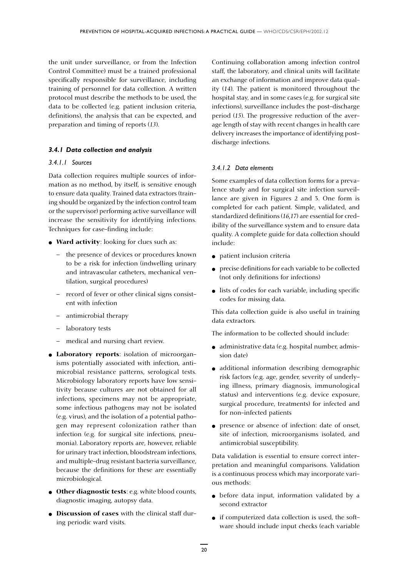the unit under surveillance, or from the Infection Control Committee) must be a trained professional specifically responsible for surveillance, including training of personnel for data collection. A written protocol must describe the methods to be used, the data to be collected (e.g. patient inclusion criteria, definitions), the analysis that can be expected, and preparation and timing of reports (*13*).

# *3.4.1 Data collection and analysis*

# *3.4.1.1 Sources*

Data collection requires multiple sources of information as no method, by itself, is sensitive enough to ensure data quality. Trained data extractors (training should be organized by the infection control team or the supervisor) performing active surveillance will increase the sensitivity for identifying infections. Techniques for case-finding include:

- **Ward activity**: looking for clues such as:
	- the presence of devices or procedures known to be a risk for infection (indwelling urinary and intravascular catheters, mechanical ventilation, surgical procedures)
	- record of fever or other clinical signs consistent with infection
	- antimicrobial therapy
	- laboratory tests
	- medical and nursing chart review.
- **Laboratory reports**: isolation of microorganisms potentially associated with infection, antimicrobial resistance patterns, serological tests. Microbiology laboratory reports have low sensitivity because cultures are not obtained for all infections, specimens may not be appropriate, some infectious pathogens may not be isolated (e.g. virus), and the isolation of a potential pathogen may represent colonization rather than infection (e.g. for surgical site infections, pneumonia). Laboratory reports are, however, reliable for urinary tract infection, bloodstream infections, and multiple-drug resistant bacteria surveillance, because the definitions for these are essentially microbiological.
- **Other diagnostic tests**: e.g. white blood counts, diagnostic imaging, autopsy data.
- **Discussion of cases** with the clinical staff during periodic ward visits.

Continuing collaboration among infection control staff, the laboratory, and clinical units will facilitate an exchange of information and improve data quality (*14*). The patient is monitored throughout the hospital stay, and in some cases (e.g. for surgical site infections), surveillance includes the post-discharge period (*15*). The progressive reduction of the average length of stay with recent changes in health care delivery increases the importance of identifying postdischarge infections.

# *3.4.1.2 Data elements*

Some examples of data collection forms for a prevalence study and for surgical site infection surveillance are given in Figures 2 and 3. One form is completed for each patient. Simple, validated, and standardized definitions (*16,17*) are essential for credibility of the surveillance system and to ensure data quality. A complete guide for data collection should include:

- patient inclusion criteria
- precise definitions for each variable to be collected (not only definitions for infections)
- lists of codes for each variable, including specific codes for missing data.

This data collection guide is also useful in training data extractors.

The information to be collected should include:

- administrative data (e.g. hospital number, admission date)
- additional information describing demographic risk factors (e.g. age, gender, severity of underlying illness, primary diagnosis, immunological status) and interventions (e.g. device exposure, surgical procedure, treatments) for infected and for non-infected patients
- presence or absence of infection: date of onset, site of infection, microorganisms isolated, and antimicrobial susceptibility.

Data validation is essential to ensure correct interpretation and meaningful comparisons. Validation is a continuous process which may incorporate various methods:

- before data input, information validated by a second extractor
- $\bullet$  if computerized data collection is used, the software should include input checks (each variable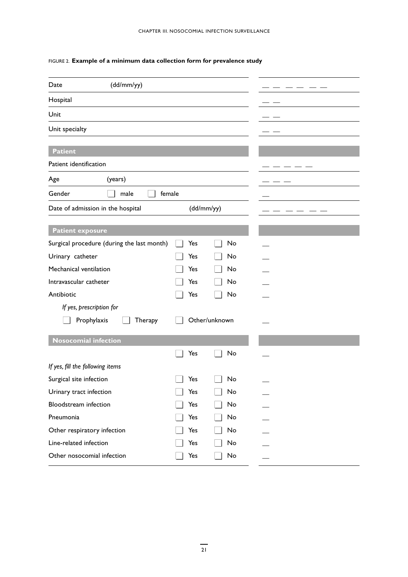FIGURE 2. **Example of a minimum data collection form for prevalence study**

| (dd/mm/yy)<br>Date                         |  |            |               |    |  |
|--------------------------------------------|--|------------|---------------|----|--|
| Hospital                                   |  |            |               |    |  |
| Unit                                       |  |            |               |    |  |
| Unit specialty                             |  |            |               |    |  |
|                                            |  |            |               |    |  |
| <b>Patient</b>                             |  |            |               |    |  |
| Patient identification                     |  |            |               |    |  |
| (years)<br>Age                             |  |            |               |    |  |
| Gender<br>male<br>female                   |  |            |               |    |  |
| Date of admission in the hospital          |  | (dd/mm/yy) |               |    |  |
|                                            |  |            |               |    |  |
| <b>Patient exposure</b>                    |  |            |               |    |  |
| Surgical procedure (during the last month) |  | Yes        |               | No |  |
| Urinary catheter                           |  | Yes        |               | No |  |
| Mechanical ventilation                     |  | Yes        |               | No |  |
| Intravascular catheter                     |  | Yes        |               | No |  |
| Antibiotic                                 |  | Yes        |               | No |  |
| If yes, prescription for                   |  |            |               |    |  |
| Prophylaxis<br>Therapy                     |  |            | Other/unknown |    |  |
| <b>Nosocomial infection</b>                |  |            |               |    |  |
|                                            |  | Yes        |               | No |  |
| If yes, fill the following items           |  |            |               |    |  |
| Surgical site infection                    |  | Yes        |               | No |  |
| Urinary tract infection                    |  | Yes        |               | No |  |
| Bloodstream infection                      |  | Yes        |               | No |  |
| Pneumonia                                  |  | Yes        |               | No |  |
| Other respiratory infection                |  | Yes        |               | No |  |
| Line-related infection                     |  | Yes        |               | No |  |
| Other nosocomial infection                 |  | Yes        |               | No |  |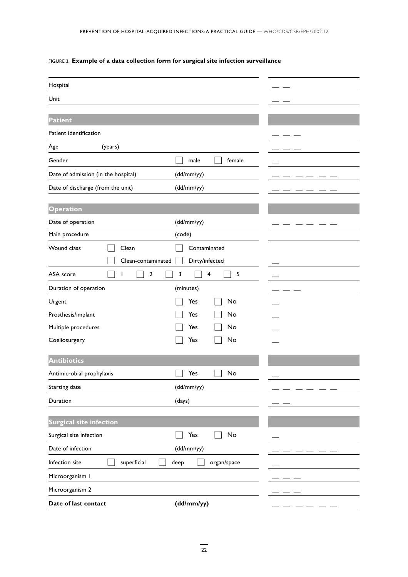FIGURE 3. **Example of a data collection form for surgical site infection surveillance**

| Hospital                            |                          |  |
|-------------------------------------|--------------------------|--|
| Unit                                |                          |  |
|                                     |                          |  |
| Patient                             |                          |  |
| Patient identification              |                          |  |
| Age<br>(years)                      |                          |  |
| Gender                              | male<br>female           |  |
| Date of admission (in the hospital) | (dd/mm/yy)               |  |
| Date of discharge (from the unit)   | (dd/mm/yy)               |  |
| Operation                           |                          |  |
| Date of operation                   | (dd/mm/yy)               |  |
| Main procedure                      | (code)                   |  |
| Wound class<br>Clean                | Contaminated             |  |
| Clean-contaminated                  | Dirty/infected           |  |
| 2<br>ASA score                      | 5<br>3<br>$\overline{4}$ |  |
| Duration of operation               | (minutes)                |  |
| Urgent                              | Yes<br>No                |  |
| Prosthesis/implant                  | Yes<br>No                |  |
| Multiple procedures                 | Yes<br>No                |  |
| Coeliosurgery                       | Yes<br>No                |  |
| <b>Antibiotics</b>                  |                          |  |
| Antimicrobial prophylaxis           | No<br>Yes                |  |
| Starting date                       | (dd/mm/yy)               |  |
| Duration                            | (days)                   |  |
| <b>Surgical site infection</b>      |                          |  |
| Surgical site infection             | No<br>Yes                |  |
| Date of infection                   | (dd/mm/yy)               |  |
|                                     |                          |  |
| superficial<br>Infection site       | organ/space<br>deep      |  |
| Microorganism I                     |                          |  |
| Microorganism 2                     |                          |  |
| Date of last contact                | (dd/mm/yy)               |  |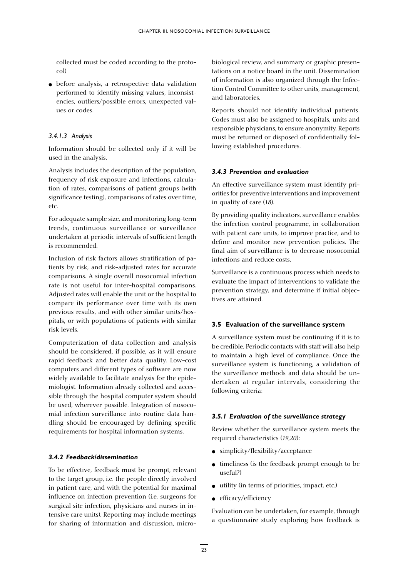collected must be coded according to the protocol)

• before analysis, a retrospective data validation performed to identify missing values, inconsistencies, outliers/possible errors, unexpected values or codes.

# *3.4.1.3 Analysis*

Information should be collected only if it will be used in the analysis.

Analysis includes the description of the population, frequency of risk exposure and infections, calculation of rates, comparisons of patient groups (with significance testing), comparisons of rates over time, etc.

For adequate sample size, and monitoring long-term trends, continuous surveillance or surveillance undertaken at periodic intervals of sufficient length is recommended.

Inclusion of risk factors allows stratification of patients by risk, and risk-adjusted rates for accurate comparisons. A single overall nosocomial infection rate is not useful for inter-hospital comparisons. Adjusted rates will enable the unit or the hospital to compare its performance over time with its own previous results, and with other similar units/hospitals, or with populations of patients with similar risk levels.

Computerization of data collection and analysis should be considered, if possible, as it will ensure rapid feedback and better data quality. Low-cost computers and different types of software are now widely available to facilitate analysis for the epidemiologist. Information already collected and accessible through the hospital computer system should be used, wherever possible. Integration of nosocomial infection surveillance into routine data handling should be encouraged by defining specific requirements for hospital information systems.

# *3.4.2 Feedback/dissemination*

To be effective, feedback must be prompt, relevant to the target group, i.e. the people directly involved in patient care, and with the potential for maximal influence on infection prevention (i.e. surgeons for surgical site infection, physicians and nurses in intensive care units). Reporting may include meetings for sharing of information and discussion, microbiological review, and summary or graphic presentations on a notice board in the unit. Dissemination of information is also organized through the Infection Control Committee to other units, management, and laboratories.

Reports should not identify individual patients. Codes must also be assigned to hospitals, units and responsible physicians, to ensure anonymity. Reports must be returned or disposed of confidentially following established procedures.

# *3.4.3 Prevention and evaluation*

An effective surveillance system must identify priorities for preventive interventions and improvement in quality of care (*18*).

By providing quality indicators, surveillance enables the infection control programme, in collaboration with patient care units, to improve practice, and to define and monitor new prevention policies. The final aim of surveillance is to decrease nosocomial infections and reduce costs.

Surveillance is a continuous process which needs to evaluate the impact of interventions to validate the prevention strategy, and determine if initial objectives are attained.

# **3.5 Evaluation of the surveillance system**

A surveillance system must be continuing if it is to be credible. Periodic contacts with staff will also help to maintain a high level of compliance. Once the surveillance system is functioning, a validation of the surveillance methods and data should be undertaken at regular intervals, considering the following criteria:

# *3.5.1 Evaluation of the surveillance strategy*

Review whether the surveillance system meets the required characteristics (*19,20*):

- simplicity/flexibility/acceptance
- timeliness (is the feedback prompt enough to be useful?)
- utility (in terms of priorities, impact, etc.)
- efficacy/efficiency

Evaluation can be undertaken, for example, through a questionnaire study exploring how feedback is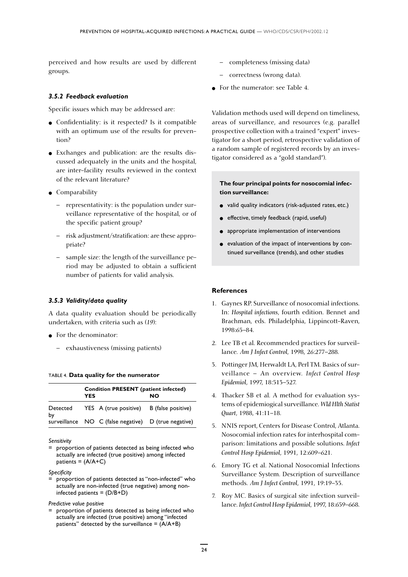perceived and how results are used by different groups.

# *3.5.2 Feedback evaluation*

Specific issues which may be addressed are:

- Confidentiality: is it respected? Is it compatible with an optimum use of the results for prevention?
- Exchanges and publication: are the results discussed adequately in the units and the hospital, are inter-facility results reviewed in the context of the relevant literature?
- Comparability
	- representativity: is the population under surveillance representative of the hospital, or of the specific patient group?
	- risk adjustment/stratification: are these appropriate?
	- sample size: the length of the surveillance period may be adjusted to obtain a sufficient number of patients for valid analysis.

#### *3.5.3 Validity/data quality*

A data quality evaluation should be periodically undertaken, with criteria such as (*19*):

- For the denominator:
	- exhaustiveness (missing patients)

#### TABLE 4. **Data quality for the numerator**

|                | <b>Condition PRESENT (patient infected)</b> |                                                      |    |  |  |
|----------------|---------------------------------------------|------------------------------------------------------|----|--|--|
|                | <b>YES</b>                                  |                                                      | NO |  |  |
| Detected<br>by |                                             | YES A (true positive) B (false positive)             |    |  |  |
|                |                                             | surveillance NO C (false negative) D (true negative) |    |  |  |

*Sensitivity*

= proportion of patients detected as being infected who actually are infected (true positive) among infected patients =  $(A/A+C)$ 

#### *Specificity*

proportion of patients detected as "non-infected" who actually are non-infected (true negative) among non $infected$  patients =  $(D/B+D)$ 

*Predictive value positive*

= proportion of patients detected as being infected who actually are infected (true positive) among "infected patients" detected by the surveillance =  $(A/A+B)$ 

- completeness (missing data)
- correctness (wrong data).
- For the numerator: see Table 4.

Validation methods used will depend on timeliness, areas of surveillance, and resources (e.g. parallel prospective collection with a trained "expert" investigator for a short period, retrospective validation of a random sample of registered records by an investigator considered as a "gold standard").

# **The four principal points for nosocomial infection surveillance:**

- valid quality indicators (risk-adjusted rates, etc.)
- effective, timely feedback (rapid, useful)
- appropriate implementation of interventions
- evaluation of the impact of interventions by continued surveillance (trends), and other studies

# **References**

- 1. Gaynes RP. Surveillance of nosocomial infections. In: *Hospital infections*, fourth edition. Bennet and Brachman, eds. Philadelphia, Lippincott-Raven, 1998:65–84.
- 2. Lee TB et al. Recommended practices for surveillance. *Am J Infect Control*, 1998, 26:277–288.
- 3. Pottinger JM, Herwaldt LA, Perl TM. Basics of surveillance — An overview. *Infect Control Hosp Epidemiol*, 1997, 18:513–527.
- 4. Thacker SB et al. A method for evaluation systems of epidemiogical surveillance. *Wld Hlth Statist Quart*, 1988, 41:11–18.
- 5. NNIS report, Centers for Disease Control, Atlanta. Nosocomial infection rates for interhospital comparison: limitations and possible solutions. *Infect Control Hosp Epidemiol*, 1991, 12:609–621.
- 6. Emory TG et al. National Nosocomial Infections Surveillance System. Description of surveillance methods. *Am J Infect Control*, 1991, 19:19–35.
- 7. Roy MC. Basics of surgical site infection surveillance. *Infect Control Hosp Epidemiol*, 1997, 18:659–668.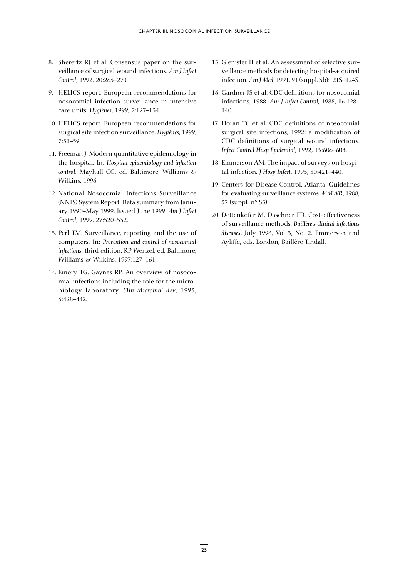- 8. Sherertz RJ et al. Consensus paper on the surveillance of surgical wound infections. *Am J Infect Control*, 1992, 20:263–270.
- 9. HELICS report. European recommendations for nosocomial infection surveillance in intensive care units. *Hygiènes*, 1999, 7:127–134.
- 10. HELICS report. European recommendations for surgical site infection surveillance. *Hygiènes*, 1999, 7:51–59.
- 11. Freeman J. Modern quantitative epidemiology in the hospital. In: *Hospital epidemiology and infection control*. Mayhall CG, ed. Baltimore, Williams & Wilkins, 1996.
- 12. National Nosocomial Infections Surveillance (NNIS) System Report, Data summary from January 1990–May 1999. Issued June 1999. *Am J Infect Control*, 1999, 27:520–532.
- 13. Perl TM. Surveillance, reporting and the use of computers. In: *Prevention and control of nosocomial infections*, third edition. RP Wenzel, ed. Baltimore, Williams & Wilkins, 1997:127–161.
- 14. Emory TG, Gaynes RP. An overview of nosocomial infections including the role for the microbiology laboratory. *Clin Microbiol Rev*, 1993, 6:428–442.
- 15. Glenister H et al. An assessment of selective surveillance methods for detecting hospital-acquired infection. *Am J Med*, 1991, 91 (suppl. 3b):121S–124S.
- 16. Gardner JS et al. CDC definitions for nosocomial infections, 1988. *Am J Infect Control*, 1988, 16:128– 140.
- 17. Horan TC et al. CDC definitions of nosocomial surgical site infections, 1992: a modification of CDC definitions of surgical wound infections. *Infect Control Hosp Epidemiol*, 1992, 13:606–608.
- 18. Emmerson AM. The impact of surveys on hospital infection. *J Hosp Infect*, 1995, 30:421–440.
- 19. Centers for Disease Control, Atlanta. Guidelines for evaluating surveillance systems. *MMWR*, 1988, 37 (suppl. n° S5).
- 20. Dettenkofer M, Daschner FD. Cost-effectiveness of surveillance methods. *Baillère's clinical infectious diseases*, July 1996, Vol 3, No. 2. Emmerson and Ayliffe, eds. London, Baillère Tindall.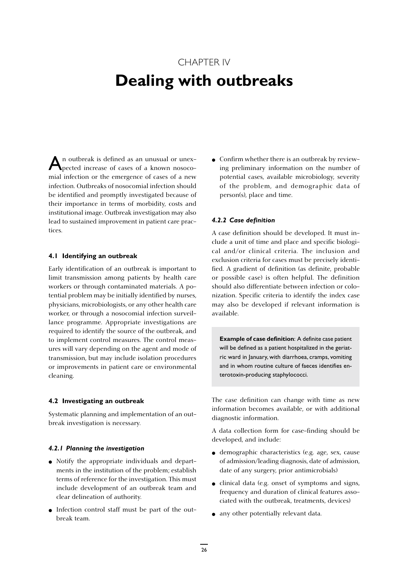# CHAPTER IV **Dealing with outbreaks**

n outbreak is defined as an unusual or unexpected increase of cases of a known nosocomial infection or the emergence of cases of a new infection. Outbreaks of nosocomial infection should be identified and promptly investigated because of their importance in terms of morbidity, costs and institutional image. Outbreak investigation may also lead to sustained improvement in patient care practices.

# **4.1 Identifying an outbreak**

Early identification of an outbreak is important to limit transmission among patients by health care workers or through contaminated materials. A potential problem may be initially identified by nurses, physicians, microbiologists, or any other health care worker, or through a nosocomial infection surveillance programme. Appropriate investigations are required to identify the source of the outbreak, and to implement control measures. The control measures will vary depending on the agent and mode of transmission, but may include isolation procedures or improvements in patient care or environmental cleaning.

#### **4.2 Investigating an outbreak**

Systematic planning and implementation of an outbreak investigation is necessary.

#### *4.2.1 Planning the investigation*

- Notify the appropriate individuals and departments in the institution of the problem; establish terms of reference for the investigation. This must include development of an outbreak team and clear delineation of authority.
- Infection control staff must be part of the outbreak team.

• Confirm whether there is an outbreak by reviewing preliminary information on the number of potential cases, available microbiology, severity of the problem, and demographic data of person(s), place and time.

#### *4.2.2 Case definition*

A case definition should be developed. It must include a unit of time and place and specific biological and/or clinical criteria. The inclusion and exclusion criteria for cases must be precisely identified. A gradient of definition (as definite, probable or possible case) is often helpful. The definition should also differentiate between infection or colonization. Specific criteria to identify the index case may also be developed if relevant information is available.

**Example of case definition**: A definite case patient will be defined as a patient hospitalized in the geriatric ward in January, with diarrhoea, cramps, vomiting and in whom routine culture of faeces identifies enterotoxin-producing staphylococci.

The case definition can change with time as new information becomes available, or with additional diagnostic information.

A data collection form for case-finding should be developed, and include:

- demographic characteristics (e.g. age, sex, cause of admission/leading diagnosis, date of admission, date of any surgery, prior antimicrobials)
- clinical data (e.g. onset of symptoms and signs, frequency and duration of clinical features associated with the outbreak, treatments, devices)
- any other potentially relevant data.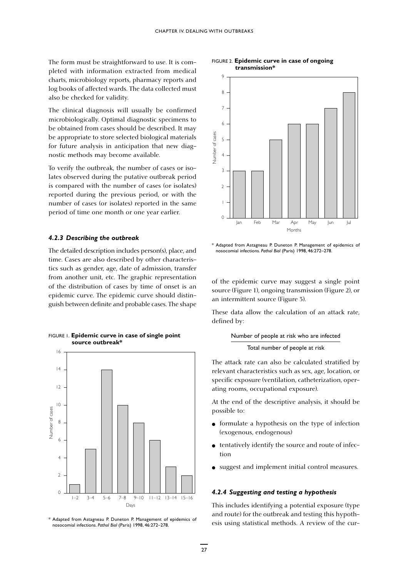The form must be straightforward to use. It is completed with information extracted from medical charts, microbiology reports, pharmacy reports and log books of affected wards. The data collected must also be checked for validity.

The clinical diagnosis will usually be confirmed microbiologically. Optimal diagnostic specimens to be obtained from cases should be described. It may be appropriate to store selected biological materials for future analysis in anticipation that new diagnostic methods may become available.

To verify the outbreak, the number of cases or isolates observed during the putative outbreak period is compared with the number of cases (or isolates) reported during the previous period, or with the number of cases (or isolates) reported in the same period of time one month or one year earlier.

#### *4.2.3 Describing the outbreak*

The detailed description includes person(s), place, and time. Cases are also described by other characteristics such as gender, age, date of admission, transfer from another unit, etc. The graphic representation of the distribution of cases by time of onset is an epidemic curve. The epidemic curve should distinguish between definite and probable cases. The shape

FIGURE 1. **Epidemic curve in case of single point source outbreak\***



\* Adapted from Astagneau P. Duneton P. Management of epidemics of nosocomial infections. *Pathol Biol* (Paris) 1998, 46:272–278.

FIGURE 2. **Epidemic curve in case of ongoing transmission\***



\* Adapted from Astagneau P. Duneton P. Management of epidemics of nosocomial infections. *Pathol Biol* (Paris) 1998, 46:272–278.

of the epidemic curve may suggest a single point source (Figure 1), ongoing transmission (Figure 2), or an intermittent source (Figure 3).

These data allow the calculation of an attack rate, defined by:



The attack rate can also be calculated stratified by relevant characteristics such as sex, age, location, or specific exposure (ventilation, catheterization, operating rooms, occupational exposure).

At the end of the descriptive analysis, it should be possible to:

- formulate a hypothesis on the type of infection (exogenous, endogenous)
- tentatively identify the source and route of infection
- suggest and implement initial control measures.

#### *4.2.4 Suggesting and testing a hypothesis*

This includes identifying a potential exposure (type and route) for the outbreak and testing this hypothesis using statistical methods. A review of the cur-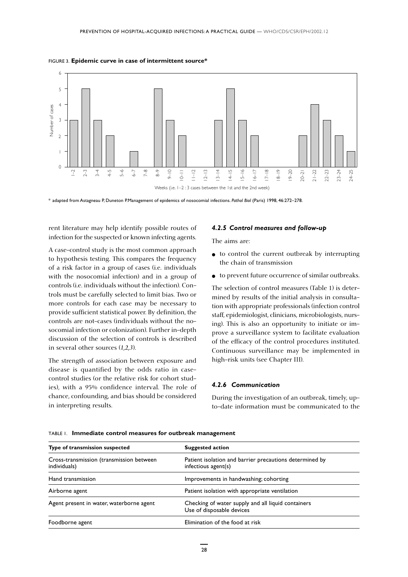



\* adapted from Astagneau P, Duneton P.Management of epidemics of nosocomial infections. *Pathol Biol* (Paris) 1998, 46:272–278.

rent literature may help identify possible routes of infection for the suspected or known infecting agents.

A case-control study is the most common approach to hypothesis testing. This compares the frequency of a risk factor in a group of cases (i.e. individuals with the nosocomial infection) and in a group of controls (i.e. individuals without the infection). Controls must be carefully selected to limit bias. Two or more controls for each case may be necessary to provide sufficient statistical power. By definition, the controls are not-cases (individuals without the nosocomial infection or colonization). Further in-depth discussion of the selection of controls is described in several other sources (*1,2,3*).

The strength of association between exposure and disease is quantified by the odds ratio in casecontrol studies (or the relative risk for cohort studies), with a 95% confidence interval. The role of chance, confounding, and bias should be considered in interpreting results.

#### *4.2.5 Control measures and follow-up*

The aims are:

- $\bullet$  to control the current outbreak by interrupting the chain of transmission
- to prevent future occurrence of similar outbreaks.

The selection of control measures (Table 1) is determined by results of the initial analysis in consultation with appropriate professionals (infection control staff, epidemiologist, clinicians, microbiologists, nursing). This is also an opportunity to initiate or improve a surveillance system to facilitate evaluation of the efficacy of the control procedures instituted. Continuous surveillance may be implemented in high-risk units (see Chapter III).

# *4.2.6 Communication*

During the investigation of an outbreak, timely, upto-date information must be communicated to the

| Type of transmission suspected                           | <b>Suggested action</b><br>Patient isolation and barrier precautions determined by<br>infectious $agent(s)$ |  |  |
|----------------------------------------------------------|-------------------------------------------------------------------------------------------------------------|--|--|
| Cross-transmission (transmission between<br>individuals) |                                                                                                             |  |  |
| Hand transmission                                        | Improvements in handwashing; cohorting                                                                      |  |  |
| Airborne agent                                           | Patient isolation with appropriate ventilation                                                              |  |  |
| Agent present in water, waterborne agent                 | Checking of water supply and all liquid containers<br>Use of disposable devices                             |  |  |
| Foodborne agent                                          | Elimination of the food at risk                                                                             |  |  |

TABLE 1. **Immediate control measures for outbreak management**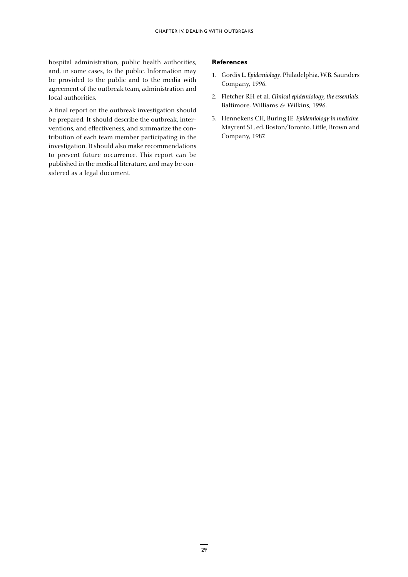hospital administration, public health authorities, and, in some cases, to the public. Information may be provided to the public and to the media with agreement of the outbreak team, administration and local authorities.

A final report on the outbreak investigation should be prepared. It should describe the outbreak, interventions, and effectiveness, and summarize the contribution of each team member participating in the investigation. It should also make recommendations to prevent future occurrence. This report can be published in the medical literature, and may be considered as a legal document.

### **References**

- 1. Gordis L. *Epidemiology*. Philadelphia, W.B. Saunders Company, 1996.
- 2. Fletcher RH et al. *Clinical epidemiology, the essentials*. Baltimore, Williams  $\mathcal C$  Wilkins, 1996.
- 3. Hennekens CH, Buring JE. *Epidemiology in medicine*. Mayrent SL, ed. Boston/Toronto, Little, Brown and Company, 1987.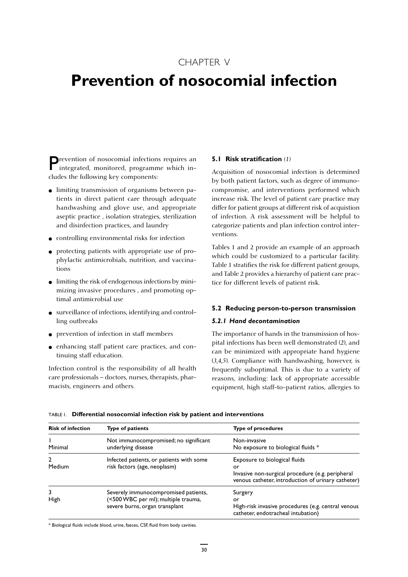# CHAPTER V

# **Prevention of nosocomial infection**

Prevention of nosocomial infections requires an integrated, monitored, programme which includes the following key components:

- limiting transmission of organisms between patients in direct patient care through adequate handwashing and glove use, and appropriate aseptic practice , isolation strategies, sterilization and disinfection practices, and laundry
- controlling environmental risks for infection
- protecting patients with appropriate use of prophylactic antimicrobials, nutrition, and vaccinations
- $\bullet$  limiting the risk of endogenous infections by minimizing invasive procedures , and promoting optimal antimicrobial use
- surveillance of infections, identifying and controlling outbreaks
- prevention of infection in staff members
- enhancing staff patient care practices, and continuing staff education.

Infection control is the responsibility of all health care professionals — doctors, nurses, therapists, pharmacists, engineers and others.

### **5.1 Risk stratification** *(1)*

Acquisition of nosocomial infection is determined by both patient factors, such as degree of immunocompromise, and interventions performed which increase risk. The level of patient care practice may differ for patient groups at different risk of acquistion of infection. A risk assessment will be helpful to categorize patients and plan infection control interventions.

Tables 1 and 2 provide an example of an approach which could be customized to a particular facility. Table 1 stratifies the risk for different patient groups, and Table 2 provides a hierarchy of patient care practice for different levels of patient risk.

### **5.2 Reducing person-to-person transmission**

### *5.2.1 Hand decontamination*

The importance of hands in the transmission of hospital infections has been well demonstrated (*2*), and can be minimized with appropriate hand hygiene (*3,4,5*). Compliance with handwashing, however, is frequently suboptimal. This is due to a variety of reasons, including: lack of appropriate accessible equipment, high staff-to-patient ratios, allergies to

| <b>Risk of infection</b>                                                                                                                    | <b>Type of patients</b>                                                  | <b>Type of procedures</b>                                                                                                                     |
|---------------------------------------------------------------------------------------------------------------------------------------------|--------------------------------------------------------------------------|-----------------------------------------------------------------------------------------------------------------------------------------------|
| Minimal                                                                                                                                     | Not immunocompromised; no significant<br>underlying disease              | Non-invasive<br>No exposure to biological fluids *                                                                                            |
| $\overline{2}$<br>Medium                                                                                                                    | Infected patients, or patients with some<br>risk factors (age, neoplasm) | Exposure to biological fluids<br>or<br>Invasive non-surgical procedure (e.g. peripheral<br>venous catheter, introduction of urinary catheter) |
| 3<br>Severely immunocompromised patients,<br>Surgery<br>(<500 WBC per ml); multiple trauma,<br>High<br>or<br>severe burns, organ transplant |                                                                          | High-risk invasive procedures (e.g. central venous<br>catheter, endotracheal intubation)                                                      |

TABLE 1. **Differential nosocomial infection risk by patient and interventions**

\* Biological fluids include blood, urine, faeces, CSF, fluid from body cavities.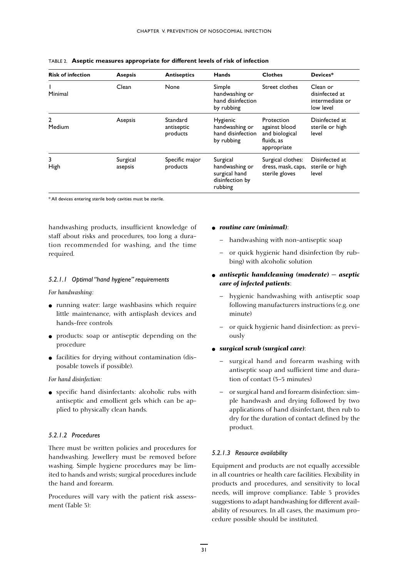| <b>Risk of infection</b> | <b>Asepsis</b>      | <b>Antiseptics</b>                 | Hands                                                                     | <b>Clothes</b>                                                             | Devices*                                                   |
|--------------------------|---------------------|------------------------------------|---------------------------------------------------------------------------|----------------------------------------------------------------------------|------------------------------------------------------------|
| Minimal                  | Clean               | None                               | Simple<br>handwashing or<br>hand disinfection<br>by rubbing               | Street clothes                                                             | Clean or<br>disinfected at<br>intermediate or<br>low level |
| 2<br>Medium              | Asepsis             | Standard<br>antiseptic<br>products | <b>Hygienic</b><br>handwashing or<br>hand disinfection<br>by rubbing      | Protection<br>against blood<br>and biological<br>fluids, as<br>appropriate | Disinfected at<br>sterile or high<br>level                 |
| 3<br>High                | Surgical<br>asepsis | Specific major<br>products         | Surgical<br>handwashing or<br>surgical hand<br>disinfection by<br>rubbing | Surgical clothes:<br>dress, mask, caps,<br>sterile gloves                  | Disinfected at<br>sterile or high<br>level                 |

| TABLE 2. Aseptic measures appropriate for different levels of risk of infection |  |  |
|---------------------------------------------------------------------------------|--|--|
|                                                                                 |  |  |

\* All devices entering sterile body cavities must be sterile.

handwashing products, insufficient knowledge of staff about risks and procedures, too long a duration recommended for washing, and the time required.

# *5.2.1.1 Optimal "hand hygiene" requirements*

## *For handwashing:*

- running water: large washbasins which require little maintenance, with antisplash devices and hands-free controls
- products: soap or antiseptic depending on the procedure
- facilities for drying without contamination (disposable towels if possible).

# *For hand disinfection:*

● specific hand disinfectants: alcoholic rubs with antiseptic and emollient gels which can be applied to physically clean hands.

# *5.2.1.2 Procedures*

There must be written policies and procedures for handwashing. Jewellery must be removed before washing. Simple hygiene procedures may be limited to hands and wrists; surgical procedures include the hand and forearm.

Procedures will vary with the patient risk assessment (Table 3):

# ● *routine care (minimal)*:

- handwashing with non-antiseptic soap
- or quick hygienic hand disinfection (by rubbing) with alcoholic solution

# ● *antiseptic handcleaning (moderate) — aseptic care of infected patients*:

- hygienic handwashing with antiseptic soap following manufacturers instructions (e.g. one minute)
- or quick hygienic hand disinfection: as previously

# ● *surgical scrub (surgical care)*:

- surgical hand and forearm washing with antiseptic soap and sufficient time and duration of contact (3–5 minutes)
- or surgical hand and forearm disinfection: simple handwash and drying followed by two applications of hand disinfectant, then rub to dry for the duration of contact defined by the product.

# *5.2.1.3 Resource availability*

Equipment and products are not equally accessible in all countries or health care facilities. Flexibility in products and procedures, and sensitivity to local needs, will improve compliance. Table 3 provides suggestions to adapt handwashing for different availability of resources. In all cases, the maximum procedure possible should be instituted.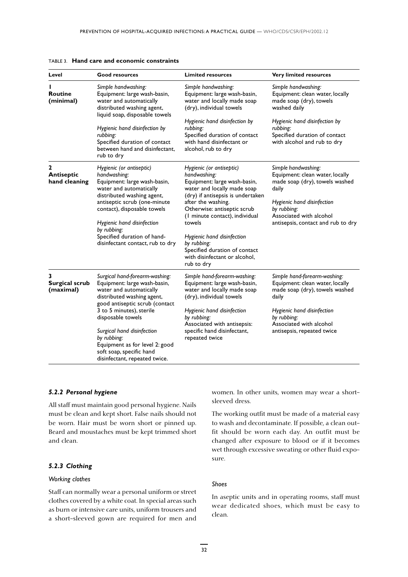| Level                                   | Good resources                                                                                                                                                                                                                                                                                                                                         | <b>Limited resources</b>                                                                                                                                                                                                                                                                                                                                                   | <b>Very limited resources</b>                                                                                                                                                                                    |
|-----------------------------------------|--------------------------------------------------------------------------------------------------------------------------------------------------------------------------------------------------------------------------------------------------------------------------------------------------------------------------------------------------------|----------------------------------------------------------------------------------------------------------------------------------------------------------------------------------------------------------------------------------------------------------------------------------------------------------------------------------------------------------------------------|------------------------------------------------------------------------------------------------------------------------------------------------------------------------------------------------------------------|
| <b>Routine</b><br>(minimal)             | Simple handwashing:<br>Equipment: large wash-basin,<br>water and automatically<br>distributed washing agent,<br>liquid soap, disposable towels                                                                                                                                                                                                         | Simple handwashing:<br>Equipment: large wash-basin,<br>water and locally made soap<br>(dry), individual towels                                                                                                                                                                                                                                                             | Simple handwashing:<br>Equipment: clean water, locally<br>made soap (dry), towels<br>washed daily                                                                                                                |
|                                         | Hygienic hand disinfection by<br>rubbing:<br>Specified duration of contact<br>between hand and disinfectant,<br>rub to dry                                                                                                                                                                                                                             | Hygienic hand disinfection by<br>rubbing:<br>Specified duration of contact<br>with hand disinfectant or<br>alcohol, rub to dry                                                                                                                                                                                                                                             | Hygienic hand disinfection by<br>rubbing:<br>Specified duration of contact<br>with alcohol and rub to dry                                                                                                        |
| 2<br><b>Antiseptic</b><br>hand cleaning | Hygienic (or antiseptic)<br>handwashing:<br>Equipment: large wash-basin,<br>water and automatically<br>distributed washing agent,<br>antiseptic scrub (one-minute<br>contact), disposable towels<br>Hygienic hand disinfection<br>by rubbing:<br>Specified duration of hand-<br>disinfectant contact, rub to dry                                       | Hygienic (or antiseptic)<br>handwashing:<br>Equipment: large wash-basin,<br>water and locally made soap<br>(dry) if antisepsis is undertaken<br>after the washing.<br>Otherwise: antiseptic scrub<br>(I minute contact), individual<br>towels<br>Hygienic hand disinfection<br>by rubbing:<br>Specified duration of contact<br>with disinfectant or alcohol.<br>rub to dry | Simple handwashing:<br>Equipment: clean water, locally<br>made soap (dry), towels washed<br>daily<br>Hygienic hand disinfection<br>by rubbing:<br>Associated with alcohol<br>antisepsis, contact and rub to dry  |
| 3<br>Surgical scrub<br>(maximal)        | Surgical hand-forearm-washing:<br>Equipment: large wash-basin,<br>water and automatically<br>distributed washing agent,<br>good antiseptic scrub (contact<br>3 to 5 minutes), sterile<br>disposable towels<br>Surgical hand disinfection<br>by rubbing:<br>Equipment as for level 2: good<br>soft soap, specific hand<br>disinfectant, repeated twice. | Simple hand-forearm-washing:<br>Equipment: large wash-basin,<br>water and locally made soap<br>(dry), individual towels<br>Hygienic hand disinfection<br>by rubbing:<br>Associated with antisepsis:<br>specific hand disinfectant,<br>repeated twice                                                                                                                       | Simple hand-forearm-washing:<br>Equipment: clean water, locally<br>made soap (dry), towels washed<br>daily<br>Hygienic hand disinfection<br>by rubbing:<br>Associated with alcohol<br>antisepsis, repeated twice |

### TABLE 3. **Hand care and economic constraints**

### *5.2.2 Personal hygiene*

All staff must maintain good personal hygiene. Nails must be clean and kept short. False nails should not be worn. Hair must be worn short or pinned up. Beard and moustaches must be kept trimmed short and clean.

# *5.2.3 Clothing*

### *Working clothes*

Staff can normally wear a personal uniform or street clothes covered by a white coat. In special areas such as burn or intensive care units, uniform trousers and a short-sleeved gown are required for men and

women. In other units, women may wear a shortsleeved dress.

The working outfit must be made of a material easy to wash and decontaminate. If possible, a clean outfit should be worn each day. An outfit must be changed after exposure to blood or if it becomes wet through excessive sweating or other fluid exposure.

## *Shoes*

In aseptic units and in operating rooms, staff must wear dedicated shoes, which must be easy to clean.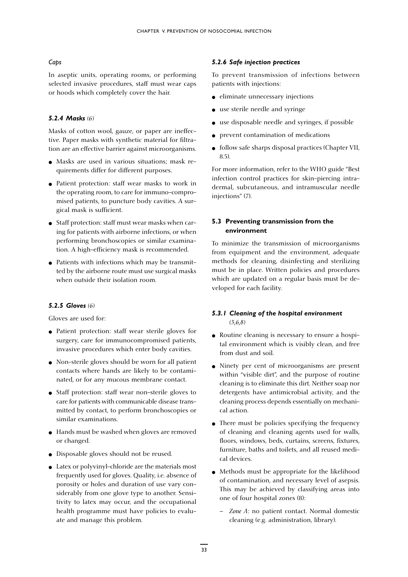# *Caps*

In aseptic units, operating rooms, or performing selected invasive procedures, staff must wear caps or hoods which completely cover the hair.

# *5.2.4 Masks (6)*

Masks of cotton wool, gauze, or paper are ineffective. Paper masks with synthetic material for filtration are an effective barrier against microorganisms.

- Masks are used in various situations; mask requirements differ for different purposes.
- Patient protection: staff wear masks to work in the operating room, to care for immuno-compromised patients, to puncture body cavities. A surgical mask is sufficient.
- Staff protection: staff must wear masks when caring for patients with airborne infections, or when performing bronchoscopies or similar examination. A high-efficiency mask is recommended.
- Patients with infections which may be transmitted by the airborne route must use surgical masks when outside their isolation room.

# *5.2.5 Gloves (6)*

Gloves are used for:

- Patient protection: staff wear sterile gloves for surgery, care for immunocompromised patients, invasive procedures which enter body cavities.
- Non-sterile gloves should be worn for all patient contacts where hands are likely to be contaminated, or for any mucous membrane contact.
- Staff protection: staff wear non-sterile gloves to care for patients with communicable disease transmitted by contact, to perform bronchoscopies or similar examinations.
- Hands must be washed when gloves are removed or changed.
- Disposable gloves should not be reused.
- Latex or polyvinyl-chloride are the materials most frequently used for gloves. Quality, i.e. absence of porosity or holes and duration of use vary considerably from one glove type to another. Sensitivity to latex may occur, and the occupational health programme must have policies to evaluate and manage this problem.

# *5.2.6 Safe injection practices*

To prevent transmission of infections between patients with injections:

- eliminate unnecessary injections
- use sterile needle and syringe
- use disposable needle and syringes, if possible
- prevent contamination of medications
- follow safe sharps disposal practices (Chapter VII, 8.5).

For more information, refer to the WHO guide "Best infection control practices for skin-piercing intradermal, subcutaneous, and intramuscular needle injections" (*7*).

# **5.3 Preventing transmission from the environment**

To minimize the transmission of microorganisms from equipment and the environment, adequate methods for cleaning, disinfecting and sterilizing must be in place. Written policies and procedures which are updated on a regular basis must be developed for each facility.

# *5.3.1 Cleaning of the hospital environment (5,6,8)*

- Routine cleaning is necessary to ensure a hospital environment which is visibly clean, and free from dust and soil.
- Ninety per cent of microorganisms are present within "visible dirt", and the purpose of routine cleaning is to eliminate this dirt. Neither soap nor detergents have antimicrobial activity, and the cleaning process depends essentially on mechanical action.
- There must be policies specifying the frequency of cleaning and cleaning agents used for walls, floors, windows, beds, curtains, screens, fixtures, furniture, baths and toilets, and all reused medical devices.
- Methods must be appropriate for the likelihood of contamination, and necessary level of asepsis. This may be achieved by classifying areas into one of four hospital zones (8):
	- *Zone A*: no patient contact. Normal domestic cleaning (e.g. administration, library).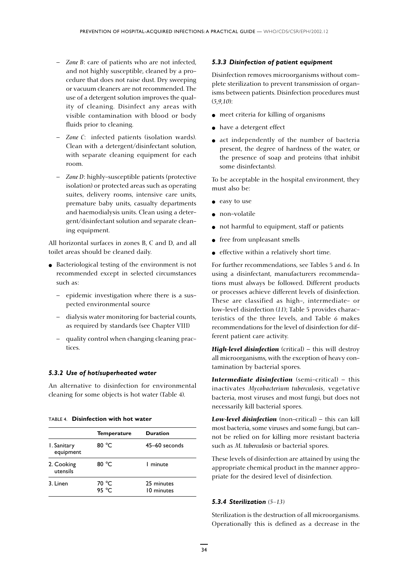- *Zone B*: care of patients who are not infected, and not highly susceptible, cleaned by a procedure that does not raise dust. Dry sweeping or vacuum cleaners are not recommended. The use of a detergent solution improves the quality of cleaning. Disinfect any areas with visible contamination with blood or body fluids prior to cleaning.
- *Zone C*: infected patients (isolation wards). Clean with a detergent/disinfectant solution, with separate cleaning equipment for each room.
- *Zone D*: highly-susceptible patients (protective isolation) or protected areas such as operating suites, delivery rooms, intensive care units, premature baby units, casualty departments and haemodialysis units. Clean using a detergent/disinfectant solution and separate cleaning equipment.

All horizontal surfaces in zones B, C and D, and all toilet areas should be cleaned daily.

- Bacteriological testing of the environment is not recommended except in selected circumstances such as:
	- epidemic investigation where there is a suspected environmental source
	- dialysis water monitoring for bacterial counts, as required by standards (see Chapter VIII)
	- quality control when changing cleaning practices.

### *5.3.2 Use of hot/superheated water*

An alternative to disinfection for environmental cleaning for some objects is hot water (Table 4).

| <b>TABLE 4. Disinfection with hot water</b> |  |
|---------------------------------------------|--|
|---------------------------------------------|--|

|                          | <b>Temperature</b> | <b>Duration</b>          |
|--------------------------|--------------------|--------------------------|
| I. Sanitary<br>equipment | 80 $^{\circ}$ C    | 45-60 seconds            |
| 2. Cooking<br>utensils   | 80 $^{\circ}$ C    | I minute                 |
| 3. Linen                 | 70 °C<br>95 $°C$   | 25 minutes<br>10 minutes |

### *5.3.3 Disinfection of patient equipment*

Disinfection removes microorganisms without complete sterilization to prevent transmission of organisms between patients. Disinfection procedures must (*5,9,10*):

- meet criteria for killing of organisms
- have a detergent effect
- act independently of the number of bacteria present, the degree of hardness of the water, or the presence of soap and proteins (that inhibit some disinfectants).

To be acceptable in the hospital environment, they must also be:

- easy to use
- non-volatile
- not harmful to equipment, staff or patients
- free from unpleasant smells
- effective within a relatively short time.

For further recommendations, see Tables 5 and 6. In using a disinfectant, manufacturers recommendations must always be followed. Different products or processes achieve different levels of disinfection. These are classified as high-, intermediate- or low-level disinfection (*11*); Table 5 provides characteristics of the three levels, and Table 6 makes recommendations for the level of disinfection for different patient care activity.

*High-level disinfection* (critical) — this will destroy all microorganisms, with the exception of heavy contamination by bacterial spores.

*Intermediate disinfection* (semi-critical) — this inactivates *Mycobacterium tuberculosis*, vegetative bacteria, most viruses and most fungi, but does not necessarily kill bacterial spores.

*Low-level disinfection* (non-critical) — this can kill most bacteria, some viruses and some fungi, but cannot be relied on for killing more resistant bacteria such as *M. tuberculosis* or bacterial spores.

These levels of disinfection are attained by using the appropriate chemical product in the manner appropriate for the desired level of disinfection.

### *5.3.4 Sterilization (5–13)*

Sterilization is the destruction of all microorganisms. Operationally this is defined as a decrease in the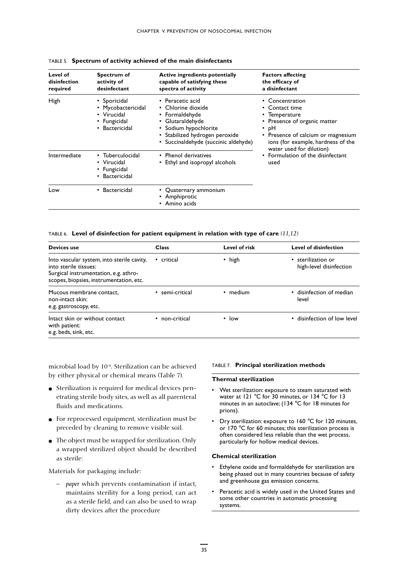| Level of<br>disinfection<br>required                                                                                                                                                                                                                                                  | Spectrum of<br>activity of<br>desinfectant                        | <b>Active ingredients potentially</b><br>capable of satisfying these<br>spectra of activity                                                                                                            | <b>Factors affecting</b><br>the efficacy of<br>a disinfectant |
|---------------------------------------------------------------------------------------------------------------------------------------------------------------------------------------------------------------------------------------------------------------------------------------|-------------------------------------------------------------------|--------------------------------------------------------------------------------------------------------------------------------------------------------------------------------------------------------|---------------------------------------------------------------|
| <b>High</b><br>• Sporicidal<br>• Peracetic acid<br>• Mycobactericidal<br>• Chlorine dioxide<br>• Virucidal<br>• Formaldehyde<br>• Glutaraldehyde<br>• Fungicidal<br>• Bactericidal<br>• Sodium hypochlorite<br>• Stabilized hydrogen peroxide<br>· Succinaldehyde (succinic aldehyde) |                                                                   | • Concentration<br>Contact time<br>• Temperature<br>• Presence of organic matter<br>$\cdot$ pH<br>• Presence of calcium or magnesium<br>ions (for example, hardness of the<br>water used for dilution) |                                                               |
| Intermediate                                                                                                                                                                                                                                                                          | • Tuberculocidal<br>• Virucidal<br>• Fungicidal<br>• Bactericidal | • Phenol derivatives<br>• Ethyl and isopropyl alcohols                                                                                                                                                 | Formulation of the disinfectant<br>used                       |
| Low                                                                                                                                                                                                                                                                                   | • Bactericidal                                                    | • Quaternary ammonium<br>• Amphiprotic<br>• Amino acids                                                                                                                                                |                                                               |

### TABLE 5. **Spectrum of activity achieved of the main disinfectants**

TABLE 6. **Level of disinfection for patient equipment in relation with type of care** *(11,12)*

| Devices use                                                                                                                                             | Class           | Level of risk | <b>Level of disinfection</b>                  |
|---------------------------------------------------------------------------------------------------------------------------------------------------------|-----------------|---------------|-----------------------------------------------|
| Into vascular system, into sterile cavity,<br>into sterile tissues:<br>Surgical instrumentation, e.g. athro-<br>scopes, biopsies, instrumentation, etc. | critical<br>٠   | • high        | • sterilization or<br>high-level disinfection |
| Mucous membrane contact,<br>non-intact skin:<br>e.g. gastroscopy, etc.                                                                                  | • semi-critical | medium        | • disinfection of median<br>level             |
| Intact skin or without contact<br>with patient:<br>e.g. beds, sink, etc.                                                                                | • non-critical  | $\cdot$ low   | • disinfection of low level                   |

microbial load by 10<sup>-6</sup>. Sterilization can be achieved by either physical or chemical means (Table 7).

- Sterilization is required for medical devices penetrating sterile body sites, as well as all parenteral fluids and medications.
- For reprocessed equipment, sterilization must be preceded by cleaning to remove visible soil.
- The object must be wrapped for sterilization. Only a wrapped sterilized object should be described as sterile:

Materials for packaging include:

— *paper* which prevents contamination if intact, maintains sterility for a long period, can act as a sterile field, and can also be used to wrap dirty devices after the procedure

### TABLE 7. **Principal sterilization methods**

#### **Thermal sterilization**

- Wet sterilization: exposure to steam saturated with water at 121 °C for 30 minutes, or 134 °C for 13 minutes in an autoclave; (134 °C for 18 minutes for prions).
- Dry sterilization: exposure to 160 °C for 120 minutes, or 170 °C for 60 minutes; this sterilization process is often considered less reliable than the wet process, particularly for hollow medical devices.

### **Chemical sterilization**

- Ethylene oxide and formaldehyde for sterilization are being phased out in many countries because of safety and greenhouse gas emission concerns.
- Peracetic acid is widely used in the United States and some other countries in automatic processing systems.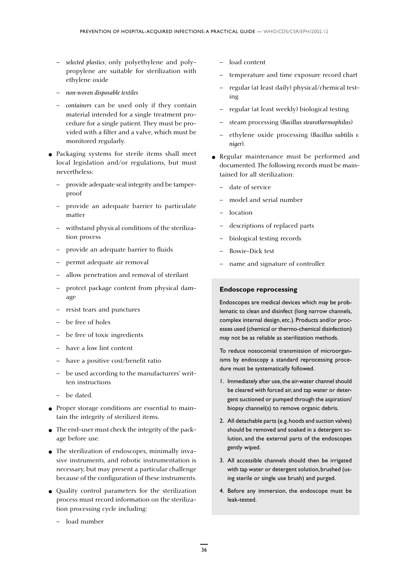- *selected plastics*; only polyethylene and polypropylene are suitable for sterilization with ethylene oxide
- *non-woven disposable textiles*
- *containers* can be used only if they contain material intended for a single treatment procedure for a single patient. They must be provided with a filter and a valve, which must be monitored regularly.
- Packaging systems for sterile items shall meet local legislation and/or regulations, but must nevertheless:
	- provide adequate seal integrity and be tamperproof
	- provide an adequate barrier to particulate matter
	- withstand physical conditions of the sterilization process
	- provide an adequate barrier to fluids
	- permit adequate air removal
	- allow penetration and removal of sterilant
	- protect package content from physical damage
	- resist tears and punctures
	- be free of holes
	- be free of toxic ingredients
	- have a low lint content
	- have a positive cost/benefit ratio
	- be used according to the manufacturers' written instructions
	- be dated.
- Proper storage conditions are essential to maintain the integrity of sterilized items.
- The end-user must check the integrity of the package before use.
- The sterilization of endoscopes, minimally invasive instruments, and robotic instrumentation is necessary, but may present a particular challenge because of the configuration of these instruments.
- Quality control parameters for the sterilization process must record information on the sterilization processing cycle including:
- load content
- temperature and time exposure record chart
- regular (at least daily) physical/chemical testing
- regular (at least weekly) biological testing
- steam processing (*Bacillus stearothermophilus*)
- ethylene oxide processing (*Bacillus subtilis v. niger*).
- Regular maintenance must be performed and documented. The following records must be maintained for all sterilization:
	- date of service
	- model and serial number
	- location
	- descriptions of replaced parts
	- biological testing records
	- Bowie-Dick test
	- name and signature of controller.

### **Endoscope reprocessing**

Endoscopes are medical devices which may be problematic to clean and disinfect (long narrow channels, complex internal design, etc.). Products and/or processes used (chemical or thermo-chemical disinfection) may not be as reliable as sterilization methods.

To reduce nosocomial transmission of microorganisms by endoscopy a standard reprocessing procedure must be systematically followed.

- 1. Immediately after use, the air-water channel should be cleared with forced air, and tap water or detergent suctioned or pumped through the aspiration/ biopsy channel(s) to remove organic debris.
- 2. All detachable parts (e.g. hoods and suction valves) should be removed and soaked in a detergent solution, and the external parts of the endoscopes gently wiped.
- 3. All accessible channels should then be irrigated with tap water or detergent solution, brushed (using sterile or single use brush) and purged.
- 4. Before any immersion, the endoscope must be leak-tested.

— load number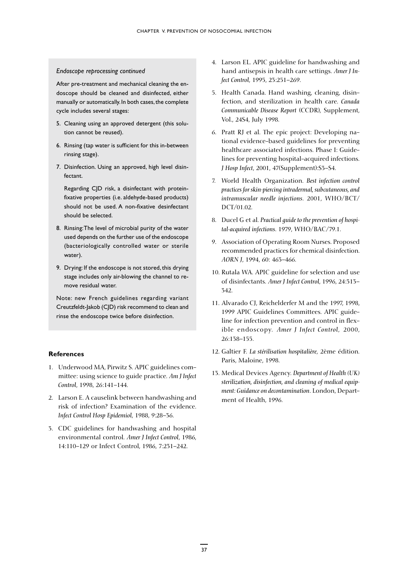### *Endoscope reprocessing continued*

After pre-treatment and mechanical cleaning the endoscope should be cleaned and disinfected, either manually or automatically. In both cases, the complete cycle includes several stages:

- 5. Cleaning using an approved detergent (this solution cannot be reused).
- 6. Rinsing (tap water is sufficient for this in-between rinsing stage).
- 7. Disinfection. Using an approved, high level disinfectant.

Regarding CJD risk, a disinfectant with proteinfixative properties (i.e. aldehyde-based products) should not be used. A non-fixative desinfectant should be selected.

- 8. Rinsing: The level of microbial purity of the water used depends on the further use of the endoscope (bacteriologically controlled water or sterile water).
- 9. Drying: If the endoscope is not stored, this drying stage includes only air-blowing the channel to remove residual water.

Note: new French guidelines regarding variant Creutzfeldt-Jakob (CJD) risk recommend to clean and rinse the endoscope twice before disinfection.

# **References**

- 1. Underwood MA, Pirwitz S. APIC guidelines committee: using science to guide practice. *Am J Infect Control*, 1998, 26:141–144.
- 2. Larson E. A causelink between handwashing and risk of infection? Examination of the evidence. *Infect Control Hosp Epidemiol*, 1988, 9:28–36.
- 3. CDC guidelines for handwashing and hospital environmental control. *Amer J Infect Control*, 1986, 14:110–129 or Infect Control, 1986, 7:231–242.
- 4. Larson EL. APIC guideline for handwashing and hand antisepsis in health care settings. *Amer J Infect Control*, 1995, 23:251–269.
- 5. Health Canada. Hand washing, cleaning, disinfection, and sterilization in health care. *Canada Communicable Disease Report* (CCDR), Supplement, Vol., 24S4, July 1998.
- 6. Pratt RJ et al. The epic project: Developing national evidence-based guidelines for preventing healthcare associated infections. Phase I: Guidelines for preventing hospital-acquired infections. *J Hosp Infect*, 2001, 47(Supplement):S3–S4.
- 7. World Health Organization. *Best infection control practices for skin-piercing intradermal, subcutaneous, and intramuscular needle injections*. 2001, WHO/BCT/ DCT/01.02.
- 8. Ducel G et al. *Practical guide to the prevention of hospital-acquired infections*. 1979, WHO/BAC/79.1.
- 9. Association of Operating Room Nurses. Proposed recommended practices for chemical disinfection. *AORN J*, 1994, 60: 463–466.
- 10. Rutala WA. APIC guideline for selection and use of disinfectants. *Amer J Infect Control*, 1996, 24:313– 342.
- 11. Alvarado CJ, Reichelderfer M and the 1997, 1998, 1999 APIC Guidelines Committees. APIC guideline for infection prevention and control in flexible endoscopy. *Amer J Infect Control*, 2000, 26:138–155.
- 12. Galtier F. *La stérilisation hospitalière*, 2ème édition. Paris, Maloine, 1998.
- 13. Medical Devices Agency. *Department of Health (UK) sterilization, disinfection, and cleaning of medical equipment: Guidance on decontamination*. London, Department of Health, 1996.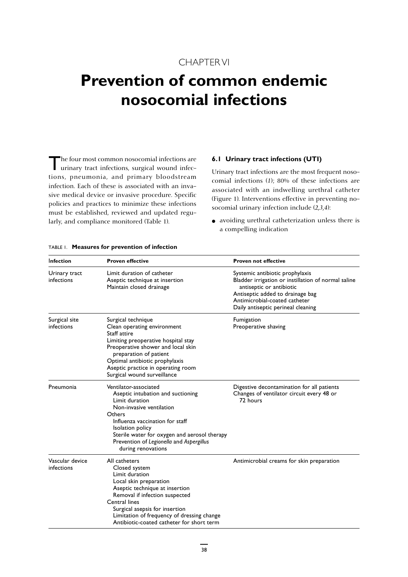# CHAPTER VI

# **Prevention of common endemic nosocomial infections**

The four most common nosocomial infections are<br>urinary tract infections, surgical wound infections, pneumonia, and primary bloodstream infection. Each of these is associated with an invasive medical device or invasive procedure. Specific policies and practices to minimize these infections must be established, reviewed and updated regularly, and compliance monitored (Table 1).

### **6.1 Urinary tract infections (UTI)**

Urinary tract infections are the most frequent nosocomial infections (*1*); 80% of these infections are associated with an indwelling urethral catheter (Figure 1). Interventions effective in preventing nosocomial urinary infection include (*2,3,4*):

● avoiding urethral catheterization unless there is a compelling indication

| Infection                     | <b>Proven effective</b>                                                                                                                                                                                                                                                                            | <b>Proven not effective</b>                                                                                                                                                                                                   |
|-------------------------------|----------------------------------------------------------------------------------------------------------------------------------------------------------------------------------------------------------------------------------------------------------------------------------------------------|-------------------------------------------------------------------------------------------------------------------------------------------------------------------------------------------------------------------------------|
| Urinary tract<br>infections   | Limit duration of catheter<br>Aseptic technique at insertion<br>Maintain closed drainage                                                                                                                                                                                                           | Systemic antibiotic prophylaxis<br>Bladder irrigation or instillation of normal saline<br>antiseptic or antibiotic<br>Antiseptic added to drainage bag<br>Antimicrobial-coated catheter<br>Daily antiseptic perineal cleaning |
| Surgical site<br>infections   | Surgical technique<br>Clean operating environment<br>Staff attire<br>Limiting preoperative hospital stay<br>Preoperative shower and local skin<br>preparation of patient<br>Optimal antibiotic prophylaxis<br>Aseptic practice in operating room<br>Surgical wound surveillance                    | Fumigation<br>Preoperative shaving                                                                                                                                                                                            |
| Pneumonia                     | Ventilator-associated<br>Aseptic intubation and suctioning<br>Limit duration<br>Non-invasive ventilation<br>Others<br>Influenza vaccination for staff<br><b>Isolation</b> policy<br>Sterile water for oxygen and aerosol therapy<br>Prevention of Legionella and Aspergillus<br>during renovations | Digestive decontamination for all patients<br>Changes of ventilator circuit every 48 or<br>72 hours                                                                                                                           |
| Vascular device<br>infections | All catheters<br>Closed system<br>Limit duration<br>Local skin preparation<br>Aseptic technique at insertion<br>Removal if infection suspected<br>Central lines<br>Surgical asepsis for insertion<br>Limitation of frequency of dressing change<br>Antibiotic-coated catheter for short term       | Antimicrobial creams for skin preparation                                                                                                                                                                                     |

#### TABLE 1. **Measures for prevention of infection**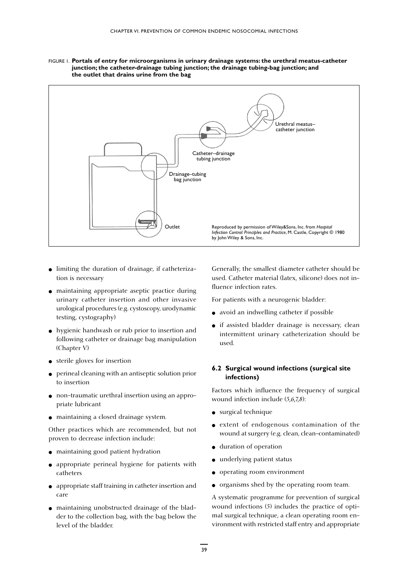



- limiting the duration of drainage, if catheterization is necessary
- maintaining appropriate aseptic practice during urinary catheter insertion and other invasive urological procedures (e.g. cystoscopy, urodynamic testing, cystography)
- hygienic handwash or rub prior to insertion and following catheter or drainage bag manipulation (Chapter V)
- sterile gloves for insertion
- perineal cleaning with an antiseptic solution prior to insertion
- non-traumatic urethral insertion using an appropriate lubricant
- maintaining a closed drainage system.

Other practices which are recommended, but not proven to decrease infection include:

- maintaining good patient hydration
- appropriate perineal hygiene for patients with catheters
- appropriate staff training in catheter insertion and care
- maintaining unobstructed drainage of the bladder to the collection bag, with the bag below the level of the bladder.

Generally, the smallest diameter catheter should be used. Catheter material (latex, silicone) does not influence infection rates.

For patients with a neurogenic bladder:

- avoid an indwelling catheter if possible
- if assisted bladder drainage is necessary, clean intermittent urinary catheterization should be used.

# **6.2 Surgical wound infections (surgical site infections)**

Factors which influence the frequency of surgical wound infection include (*5,6,7,8*):

- surgical technique
- extent of endogenous contamination of the wound at surgery (e.g. clean, clean-contaminated)
- duration of operation
- underlying patient status
- operating room environment
- organisms shed by the operating room team.

A systematic programme for prevention of surgical wound infections (*5*) includes the practice of optimal surgical technique, a clean operating room environment with restricted staff entry and appropriate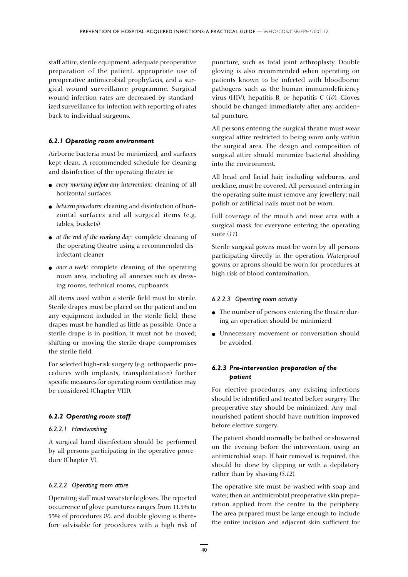staff attire, sterile equipment, adequate preoperative preparation of the patient, appropriate use of preoperative antimicrobial prophylaxis, and a surgical wound surveillance programme. Surgical wound infection rates are decreased by standardized surveillance for infection with reporting of rates back to individual surgeons.

# *6.2.1 Operating room environment*

Airborne bacteria must be minimized, and surfaces kept clean. A recommended schedule for cleaning and disinfection of the operating theatre is:

- *every morning before any intervention*: cleaning of all horizontal surfaces
- *between procedures*: cleaning and disinfection of horizontal surfaces and all surgical items (e.g. tables, buckets)
- *at the end of the working day*: complete cleaning of the operating theatre using a recommended disinfectant cleaner
- *once a week*: complete cleaning of the operating room area, including all annexes such as dressing rooms, technical rooms, cupboards.

All items used within a sterile field must be sterile. Sterile drapes must be placed on the patient and on any equipment included in the sterile field; these drapes must be handled as little as possible. Once a sterile drape is in position, it must not be moved; shifting or moving the sterile drape compromises the sterile field.

For selected high-risk surgery (e.g. orthopaedic procedures with implants, transplantation) further specific measures for operating room ventilation may be considered (Chapter VIII).

# *6.2.2 Operating room staff*

### *6.2.2.1 Handwashing*

A surgical hand disinfection should be performed by all persons participating in the operative procedure (Chapter V).

### *6.2.2.2 Operating room attire*

Operating staff must wear sterile gloves. The reported occurrence of glove punctures ranges from 11.5% to 53% of procedures (*9*), and double gloving is therefore advisable for procedures with a high risk of puncture, such as total joint arthroplasty. Double gloving is also recommended when operating on patients known to be infected with bloodborne pathogens such as the human immunodeficiency virus (HIV), hepatitis B, or hepatitis C (*10*). Gloves should be changed immediately after any accidental puncture.

All persons entering the surgical theatre must wear surgical attire restricted to being worn only within the surgical area. The design and composition of surgical attire should minimize bacterial shedding into the environment.

All head and facial hair, including sideburns, and neckline, must be covered. All personnel entering in the operating suite must remove any jewellery; nail polish or artificial nails must not be worn.

Full coverage of the mouth and nose area with a surgical mask for everyone entering the operating suite (*11*).

Sterile surgical gowns must be worn by all persons participating directly in the operation. Waterproof gowns or aprons should be worn for procedures at high risk of blood contamination.

### *6.2.2.3 Operating room activitiy*

- The number of persons entering the theatre during an operation should be minimized.
- Unnecessary movement or conversation should be avoided.

# *6.2.3 Pre-intervention preparation of the patient*

For elective procedures, any existing infections should be identified and treated before surgery. The preoperative stay should be minimized. Any malnourished patient should have nutrition improved before elective surgery.

The patient should normally be bathed or showered on the evening before the intervention, using an antimicrobial soap. If hair removal is required, this should be done by clipping or with a depilatory rather than by shaving (*5,12*).

The operative site must be washed with soap and water, then an antimicrobial preoperative skin preparation applied from the centre to the periphery. The area prepared must be large enough to include the entire incision and adjacent skin sufficient for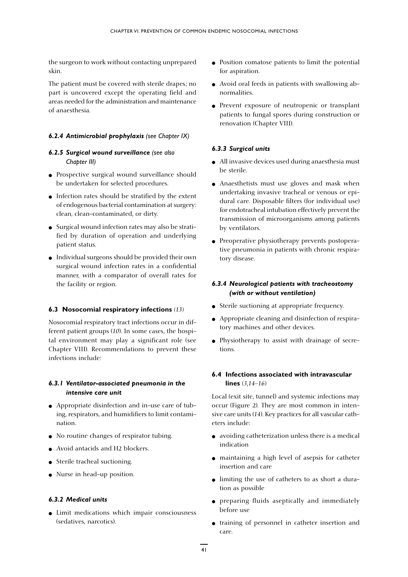the surgeon to work without contacting unprepared skin.

The patient must be covered with sterile drapes; no part is uncovered except the operating field and areas needed for the administration and maintenance of anaesthesia.

### *6.2.4 Antimicrobial prophylaxis (see Chapter IX)*

# *6.2.5 Surgical wound surveillance (see also Chapter III)*

- Prospective surgical wound surveillance should be undertaken for selected procedures.
- Infection rates should be stratified by the extent of endogenous bacterial contamination at surgery: clean, clean-contaminated, or dirty.
- Surgical wound infection rates may also be stratified by duration of operation and underlying patient status.
- Individual surgeons should be provided their own surgical wound infection rates in a confidential manner, with a comparator of overall rates for the facility or region.

### **6.3 Nosocomial respiratory infections** *(13)*

Nosocomial respiratory tract infections occur in different patient groups (*10*). In some cases, the hospital environment may play a significant role (see Chapter VIII). Recommendations to prevent these infections include:

### *6.3.1 Ventilator-associated pneumonia in the intensive care unit*

- Appropriate disinfection and in-use care of tubing, respirators, and humidifiers to limit contamination.
- No routine changes of respirator tubing.
- Avoid antacids and H<sub>2</sub> blockers.
- Sterile tracheal suctioning.
- Nurse in head-up position.

### *6.3.2 Medical units*

● Limit medications which impair consciousness (sedatives, narcotics).

- Position comatose patients to limit the potential for aspiration.
- Avoid oral feeds in patients with swallowing abnormalities.
- Prevent exposure of neutropenic or transplant patients to fungal spores during construction or renovation (Chapter VIII).

### *6.3.3 Surgical units*

- All invasive devices used during anaesthesia must be sterile.
- Anaesthetists must use gloves and mask when undertaking invasive tracheal or venous or epidural care. Disposable filters (for individual use) for endotracheal intubation effectively prevent the transmission of microorganisms among patients by ventilators.
- Preoperative physiotherapy prevents postoperative pneumonia in patients with chronic respiratory disease.

# *6.3.4 Neurological patients with tracheostomy (with or without ventilation)*

- Sterile suctioning at appropriate frequency.
- Appropriate cleaning and disinfection of respiratory machines and other devices.
- Physiotherapy to assist with drainage of secretions.

# **6.4 Infections associated with intravascular lines** *(3,14–16)*

Local (exit site, tunnel) and systemic infections may occur (Figure 2). They are most common in intensive care units (*14*). Key practices for all vascular catheters include:

- avoiding catheterization unless there is a medical indication
- maintaining a high level of asepsis for catheter insertion and care
- limiting the use of catheters to as short a duration as possible
- preparing fluids aseptically and immediately before use
- training of personnel in catheter insertion and care.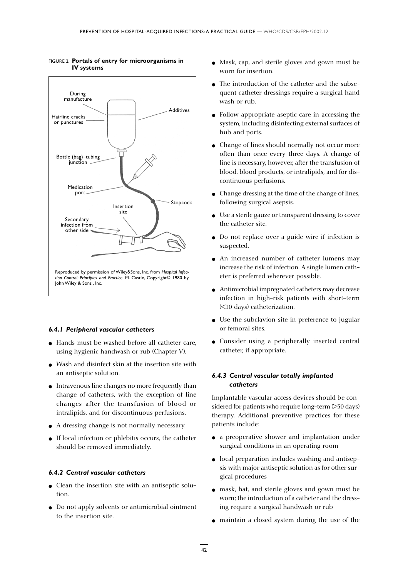

#### FIGURE 2. **Portals of entry for microorganisms in IV systems**

### *6.4.1 Peripheral vascular catheters*

- Hands must be washed before all catheter care, using hygienic handwash or rub (Chapter V).
- Wash and disinfect skin at the insertion site with an antiseptic solution.
- Intravenous line changes no more frequently than change of catheters, with the exception of line changes after the transfusion of blood or intralipids, and for discontinuous perfusions.
- A dressing change is not normally necessary.
- If local infection or phlebitis occurs, the catheter should be removed immediately.

# *6.4.2 Central vascular catheters*

- Clean the insertion site with an antiseptic solution.
- Do not apply solvents or antimicrobial ointment to the insertion site.
- Mask, cap, and sterile gloves and gown must be worn for insertion.
- $\bullet$  The introduction of the catheter and the subsequent catheter dressings require a surgical hand wash or rub.
- Follow appropriate aseptic care in accessing the system, including disinfecting external surfaces of hub and ports.
- Change of lines should normally not occur more often than once every three days. A change of line is necessary, however, after the transfusion of blood, blood products, or intralipids, and for discontinuous perfusions.
- Change dressing at the time of the change of lines, following surgical asepsis.
- Use a sterile gauze or transparent dressing to cover the catheter site.
- Do not replace over a guide wire if infection is suspected.
- An increased number of catheter lumens may increase the risk of infection. A single lumen catheter is preferred wherever possible.
- Antimicrobial impregnated catheters may decrease infection in high-risk patients with short-term (<10 days) catheterization.
- Use the subclavion site in preference to jugular or femoral sites.
- Consider using a peripherally inserted central catheter, if appropriate.

# *6.4.3 Central vascular totally implanted catheters*

Implantable vascular access devices should be considered for patients who require long-term (>30 days) therapy. Additional preventive practices for these patients include:

- a preoperative shower and implantation under surgical conditions in an operating room
- local preparation includes washing and antisepsis with major antiseptic solution as for other surgical procedures
- mask, hat, and sterile gloves and gown must be worn; the introduction of a catheter and the dressing require a surgical handwash or rub
- maintain a closed system during the use of the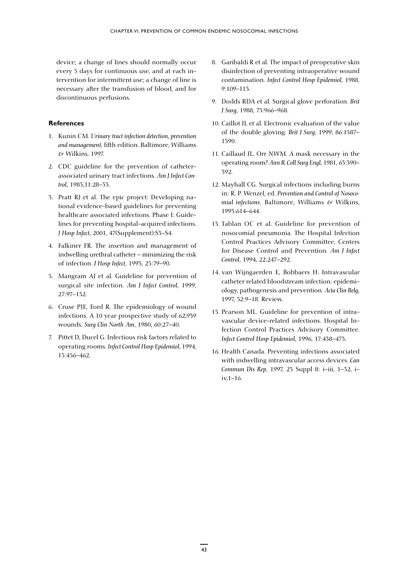device; a change of lines should normally occur every 5 days for continuous use, and at each intervention for intermittent use; a change of line is necessary after the transfusion of blood, and for discontinuous perfusions.

# **References**

- 1. Kunin CM. *Urinary tract infection detection, prevention and management*, fifth edition. Baltimore, Williams & Wilkins, 1997.
- 2. CDC guideline for the prevention of catheterassociated urinary tract infections. *Am J Infect Control*, 1983,11:28–33.
- 3. Pratt RJ et al. The epic project: Developing national evidence-based guidelines for preventing healthcare associated infections. Phase I: Guidelines for preventing hospital-acquired infections. *J Hosp Infect*, 2001, 47(Supplement):S3–S4.
- 4. Falkiner FR. The insertion and management of indwelling urethral catheter — minimizing the risk of infection. *J Hosp Infect*, 1993, 25:79–90.
- 5. Mangram AJ et al. Guideline for prevention of surgical site infection. *Am J Infect Control*, 1999, 27:97–132.
- 6. Cruse PJE, Ford R. The epidemiology of wound infections. A 10 year prospective study of 62,939 wounds. *Surg Clin North Am*, 1980, 60:27–40.
- 7. Pittet D, Ducel G. Infectious risk factors related to operating rooms. *Infect Control Hosp Epidemiol*, 1994, 15:456–462.
- 8. Garibaldi R et al. The impact of preoperative skin disinfection of preventing intraoperative wound contamination. *Infect Control Hosp Epidemiol*, 1988, 9:109–113.
- 9. Dodds RDA et al. Surgical glove perforation. *Brit J Surg*, 1988, 75:966–968.
- 10. Caillot JL et al. Electronic evaluation of the value of the double gloving. *Brit J Surg*, 1999, 86:1387– 1390.
- 11. Caillaud JL, Orr NWM. A mask necessary in the operating room? *Ann R. Coll Surg Engl*, 1981, 63:390– 392.
- 12. Mayhall CG. Surgical infections including burns in: R. P. Wenzel, ed. *Prevention and Control of Nosoco* $mid$  infections. Baltimore, Williams  $\mathcal G$  Wilkins, 1993:614–644.
- 13. Tablan OC et al. Guideline for prevention of nosocomial pneumonia. The Hospital Infection Control Practices Advisory Committee, Centers for Disease Control and Prevention. *Am J Infect Control*, 1994, 22:247–292.
- 14. van Wijngaerden E, Bobbaers H. Intravascular catheter related bloodstream infection: epidemiology, pathogenesis and prevention. *Acta Clin Belg*, 1997, 52:9–18. Review.
- 15. Pearson ML. Guideline for prevention of intravascular device-related infections. Hospital Infection Control Practices Advisory Committee. *Infect Control Hosp Epidemiol*, 1996, 17:438–473.
- 16. Health Canada. Preventing infections associated with indwelling intravascular access devices. *Can Commun Dis Rep*, 1997, 23 Suppl 8: i–iii, 1–32, i– iv,1–16.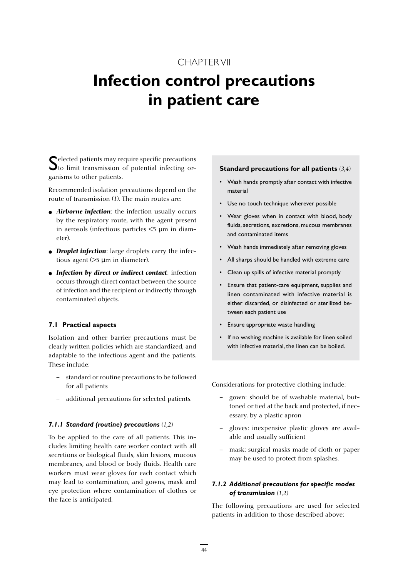# CHAPTER VII

# **Infection control precautions in patient care**

Selected patients may require specific precautions<br>to limit transmission of potential infecting organisms to other patients.

Recommended isolation precautions depend on the route of transmission (*1*). The main routes are:

- *Airborne infection*: the infection usually occurs by the respiratory route, with the agent present in aerosols (infectious particles <5 µm in diameter).
- *Droplet infection*: large droplets carry the infectious agent (>5 µm in diameter).
- *Infection by direct or indirect contact*: infection occurs through direct contact between the source of infection and the recipient or indirectly through contaminated objects.

# **7.1 Practical aspects**

Isolation and other barrier precautions must be clearly written policies which are standardized, and adaptable to the infectious agent and the patients. These include:

- standard or routine precautions to be followed for all patients
- additional precautions for selected patients.

# *7.1.1 Standard (routine) precautions (1,2)*

To be applied to the care of all patients. This includes limiting health care worker contact with all secretions or biological fluids, skin lesions, mucous membranes, and blood or body fluids. Health care workers must wear gloves for each contact which may lead to contamination, and gowns, mask and eye protection where contamination of clothes or the face is anticipated.

#### **Standard precautions for all patients** *(3,4)*

- Wash hands promptly after contact with infective material
- Use no touch technique wherever possible
- Wear gloves when in contact with blood, body fluids, secretions, excretions, mucous membranes and contaminated items
- Wash hands immediately after removing gloves
- All sharps should be handled with extreme care
- Clean up spills of infective material promptly
- Ensure that patient-care equipment, supplies and linen contaminated with infective material is either discarded, or disinfected or sterilized between each patient use
- Ensure appropriate waste handling
- If no washing machine is available for linen soiled with infective material, the linen can be boiled.

Considerations for protective clothing include:

- gown: should be of washable material, buttoned or tied at the back and protected, if necessary, by a plastic apron
- gloves: inexpensive plastic gloves are available and usually sufficient
- mask: surgical masks made of cloth or paper may be used to protect from splashes.

# *7.1.2 Additional precautions for specific modes of transmission (1,2)*

The following precautions are used for selected patients in addition to those described above: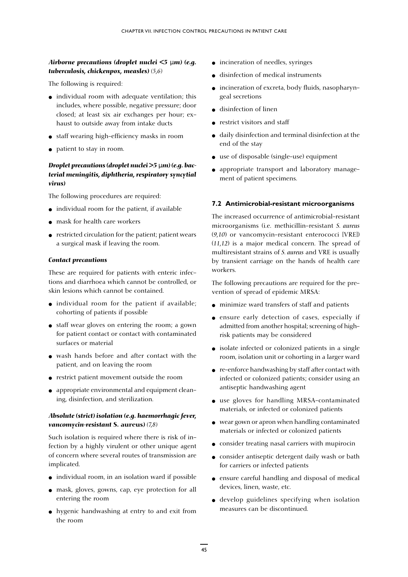# *Airborne precautions (droplet nuclei <5* µ*m) (e.g. tuberculosis, chickenpox, measles) (5,6)*

The following is required:

- individual room with adequate ventilation; this includes, where possible, negative pressure; door closed; at least six air exchanges per hour; exhaust to outside away from intake ducts
- staff wearing high-efficiency masks in room
- patient to stay in room.

# *Droplet precautions (droplet nuclei >5* µ*m) (e.g. bacterial meningitis, diphtheria, respiratory syncytial virus)*

The following procedures are required:

- individual room for the patient, if available
- mask for health care workers
- restricted circulation for the patient; patient wears a surgical mask if leaving the room.

### *Contact precautions*

These are required for patients with enteric infections and diarrhoea which cannot be controlled, or skin lesions which cannot be contained.

- individual room for the patient if available; cohorting of patients if possible
- staff wear gloves on entering the room; a gown for patient contact or contact with contaminated surfaces or material
- wash hands before and after contact with the patient, and on leaving the room
- restrict patient movement outside the room
- appropriate environmental and equipment cleaning, disinfection, and sterilization.

# *Absolute (strict) isolation (e.g. haemorrhagic fever, vancomycin-resistant* **S. aureus***) (7,8)*

Such isolation is required where there is risk of infection by a highly virulent or other unique agent of concern where several routes of transmission are implicated.

- individual room, in an isolation ward if possible
- mask, gloves, gowns, cap, eye protection for all entering the room
- hygenic handwashing at entry to and exit from the room
- incineration of needles, syringes
- disinfection of medical instruments
- incineration of excreta, body fluids, nasopharyngeal secretions
- disinfection of linen
- restrict visitors and staff
- daily disinfection and terminal disinfection at the end of the stay
- use of disposable (single-use) equipment
- appropriate transport and laboratory management of patient specimens.

# **7.2 Antimicrobial-resistant microorganisms**

The increased occurrence of antimicrobial-resistant microorganisms (i.e. methicillin-resistant *S. aureus* (*9,10*) or vancomycin-resistant enterococci [VRE]) (*11,12*) is a major medical concern. The spread of multiresistant strains of *S. aureus* and VRE is usually by transient carriage on the hands of health care workers.

The following precautions are required for the prevention of spread of epidemic MRSA:

- minimize ward transfers of staff and patients
- ensure early detection of cases, especially if admitted from another hospital; screening of highrisk patients may be considered
- isolate infected or colonized patients in a single room, isolation unit or cohorting in a larger ward
- re-enforce handwashing by staff after contact with infected or colonized patients; consider using an antiseptic handwashing agent
- use gloves for handling MRSA-contaminated materials, or infected or colonized patients
- wear gown or apron when handling contaminated materials or infected or colonized patients
- consider treating nasal carriers with mupirocin
- consider antiseptic detergent daily wash or bath for carriers or infected patients
- ensure careful handling and disposal of medical devices, linen, waste, etc.
- develop guidelines specifying when isolation measures can be discontinued.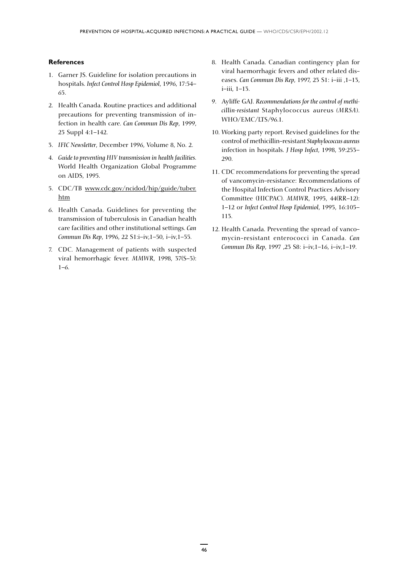# **References**

- 1. Garner JS. Guideline for isolation precautions in hospitals. *Infect Control Hosp Epidemiol*, 1996, 17:54– 65.
- 2. Health Canada. Routine practices and additional precautions for preventing transmission of infection in health care. *Can Commun Dis Rep*, 1999, 25 Suppl 4:1–142.
- 3. *IFIC Newsletter*, December 1996, Volume 8, No. 2.
- 4. *Guide to preventing HIV transmission in health facilities*. World Health Organization Global Programme on AIDS, 1995.
- 5. CDC/TB www.cdc.gov/ncidod/hip/guide/tuber. htm
- 6. Health Canada. Guidelines for preventing the transmission of tuberculosis in Canadian health care facilities and other institutional settings. *Can Commun Dis Rep*, 1996, 22 S1:i–iv,1–50, i–iv,1–55.
- 7. CDC. Management of patients with suspected viral hemorrhagic fever. *MMWR*, 1998, 37(S–3): 1–6.
- 8. Health Canada. Canadian contingency plan for viral haemorrhagic fevers and other related diseases. *Can Commun Dis Rep*, 1997, 23 S1: i–iii ,1–13, i–iii, 1–13.
- 9. Ayliffe GAJ. *Recommendations for the control of methicillin-resistant* Staphylococcus aureus *(MRSA)*. WHO/EMC/LTS/96.1.
- 10. Working party report. Revised guidelines for the control of methicillin-resistant *Staphylococcus aureus* infection in hospitals. *J Hosp Infect*, 1998, 39:253– 290.
- 11. CDC recommendations for preventing the spread of vancomycin-resistance: Recommendations of the Hospital Infection Control Practices Advisory Committee (HICPAC). *MMWR*, 1995, 44(RR–12): 1–12 or *Infect Control Hosp Epidemiol*, 1995, 16:105– 113.
- 12. Health Canada. Preventing the spread of vancomycin-resistant enterococci in Canada. *Can Commun Dis Rep*, 1997 ,23 S8: i–iv,1–16, i–iv,1–19.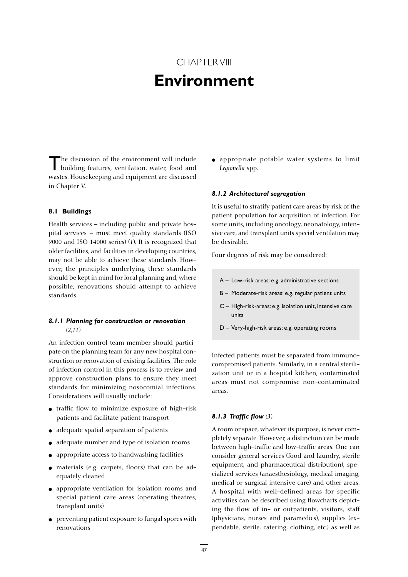# CHAPTER VIII **Environment**

The discussion of the environment will include building features, ventilation, water, food and wastes. Housekeeping and equipment are discussed in Chapter V.

### **8.1 Buildings**

Health services — including public and private hospital services — must meet quality standards (ISO 9000 and ISO 14000 series) (*1*). It is recognized that older facilities, and facilities in developing countries, may not be able to achieve these standards. However, the principles underlying these standards should be kept in mind for local planning and, where possible, renovations should attempt to achieve standards.

# *8.1.1 Planning for construction or renovation (2,11)*

An infection control team member should participate on the planning team for any new hospital construction or renovation of existing facilities. The role of infection control in this process is to review and approve construction plans to ensure they meet standards for minimizing nosocomial infections. Considerations will usually include:

- traffic flow to minimize exposure of high-risk patients and facilitate patient transport
- adequate spatial separation of patients
- adequate number and type of isolation rooms
- appropriate access to handwashing facilities
- materials (e.g. carpets, floors) that can be adequately cleaned
- appropriate ventilation for isolation rooms and special patient care areas (operating theatres, transplant units)
- preventing patient exposure to fungal spores with renovations

● appropriate potable water systems to limit *Legionella* spp.

### *8.1.2 Architectural segregation*

It is useful to stratify patient care areas by risk of the patient population for acquisition of infection. For some units, including oncology, neonatology, intensive care, and transplant units special ventilation may be desirable.

Four degrees of risk may be considered:

- A Low-risk areas: e.g. administrative sections
- B Moderate-risk areas: e.g. regular patient units
- C High-risk-areas: e.g. isolation unit, intensive care units
- D Very-high-risk areas: e.g. operating rooms

Infected patients must be separated from immunocompromised patients. Similarly, in a central sterilization unit or in a hospital kitchen, contaminated areas must not compromise non-contaminated areas.

### *8.1.3 Traffic flow (3)*

A room or space, whatever its purpose, is never completely separate. However, a distinction can be made between high-traffic and low-traffic areas. One can consider general services (food and laundry, sterile equipment, and pharmaceutical distribution), specialized services (anaesthesiology, medical imaging, medical or surgical intensive care) and other areas. A hospital with well-defined areas for specific activities can be described using flowcharts depicting the flow of in- or outpatients, visitors, staff (physicians, nurses and paramedics), supplies (expendable, sterile, catering, clothing, etc.) as well as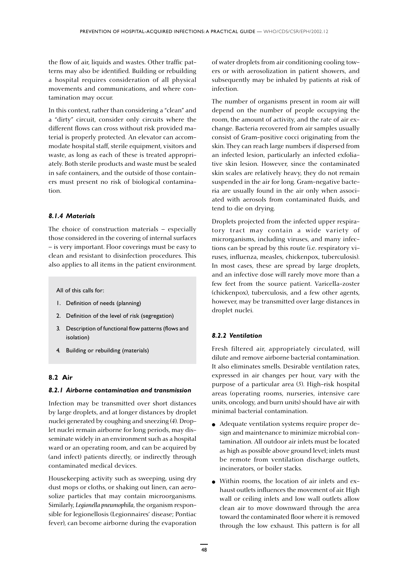the flow of air, liquids and wastes. Other traffic patterns may also be identified. Building or rebuilding a hospital requires consideration of all physical movements and communications, and where contamination may occur.

In this context, rather than considering a "clean" and a "dirty" circuit, consider only circuits where the different flows can cross without risk provided material is properly protected. An elevator can accommodate hospital staff, sterile equipment, visitors and waste, as long as each of these is treated appropriately. Both sterile products and waste must be sealed in safe containers, and the outside of those containers must present no risk of biological contamination.

# *8.1.4 Materials*

The choice of construction materials — especially those considered in the covering of internal surfaces — is very important. Floor coverings must be easy to clean and resistant to disinfection procedures. This also applies to all items in the patient environment.

All of this calls for:

- 1. Definition of needs (planning)
- 2. Definition of the level of risk (segregation)
- 3. Description of functional flow patterns (flows and isolation)
- 4. Building or rebuilding (materials)

### **8.2 Air**

### *8.2.1 Airborne contamination and transmission*

Infection may be transmitted over short distances by large droplets, and at longer distances by droplet nuclei generated by coughing and sneezing (*4*). Droplet nuclei remain airborne for long periods, may disseminate widely in an environment such as a hospital ward or an operating room, and can be acquired by (and infect) patients directly, or indirectly through contaminated medical devices.

Housekeeping activity such as sweeping, using dry dust mops or cloths, or shaking out linen, can aerosolize particles that may contain microorganisms. Similarly, *Legionella pneumophila*, the organism responsible for legionellosis (Legionnaires' disease; Pontiac fever), can become airborne during the evaporation of water droplets from air conditioning cooling towers or with aerosolization in patient showers, and subsequently may be inhaled by patients at risk of infection.

The number of organisms present in room air will depend on the number of people occupying the room, the amount of activity, and the rate of air exchange. Bacteria recovered from air samples usually consist of Gram-positive cocci originating from the skin. They can reach large numbers if dispersed from an infected lesion, particularly an infected exfoliative skin lesion. However, since the contaminated skin scales are relatively heavy, they do not remain suspended in the air for long. Gram-negative bacteria are usually found in the air only when associated with aerosols from contaminated fluids, and tend to die on drying.

Droplets projected from the infected upper respiratory tract may contain a wide variety of microrganisms, including viruses, and many infections can be spread by this route (i.e. respiratory viruses, influenza, measles, chickenpox, tuberculosis). In most cases, these are spread by large droplets, and an infective dose will rarely move more than a few feet from the source patient. Varicella-zoster (chickenpox), tuberculosis, and a few other agents, however, may be transmitted over large distances in droplet nuclei.

### *8.2.2 Ventilation*

Fresh filtered air, appropriately circulated, will dilute and remove airborne bacterial contamination. It also eliminates smells. Desirable ventilation rates, expressed in air changes per hour, vary with the purpose of a particular area (*5*). High-risk hospital areas (operating rooms, nurseries, intensive care units, oncology, and burn units) should have air with minimal bacterial contamination.

- Adequate ventilation systems require proper design and maintenance to minimize microbial contamination. All outdoor air inlets must be located as high as possible above ground level; inlets must be remote from ventilation discharge outlets, incinerators, or boiler stacks.
- Within rooms, the location of air inlets and exhaust outlets influences the movement of air. High wall or ceiling inlets and low wall outlets allow clean air to move downward through the area toward the contaminated floor where it is removed through the low exhaust. This pattern is for all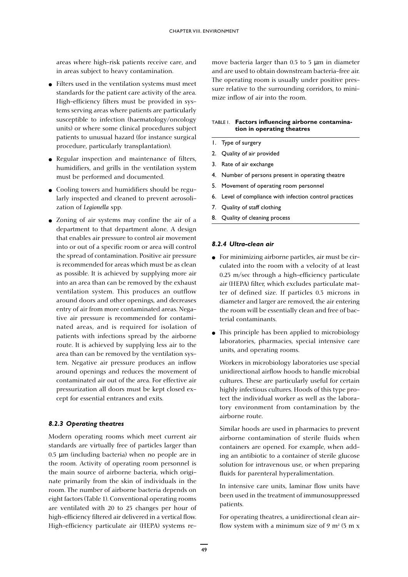areas where high-risk patients receive care, and in areas subject to heavy contamination.

- Filters used in the ventilation systems must meet standards for the patient care activity of the area. High-efficiency filters must be provided in systems serving areas where patients are particularly susceptible to infection (haematology/oncology units) or where some clinical procedures subject patients to unusual hazard (for instance surgical procedure, particularly transplantation).
- Regular inspection and maintenance of filters, humidifiers, and grills in the ventilation system must be performed and documented.
- Cooling towers and humidifiers should be regularly inspected and cleaned to prevent aerosolization of *Legionella* spp.
- Zoning of air systems may confine the air of a department to that department alone. A design that enables air pressure to control air movement into or out of a specific room or area will control the spread of contamination. Positive air pressure is recommended for areas which must be as clean as possible. It is achieved by supplying more air into an area than can be removed by the exhaust ventilation system. This produces an outflow around doors and other openings, and decreases entry of air from more contaminated areas. Negative air pressure is recommended for contaminated areas, and is required for isolation of patients with infections spread by the airborne route. It is achieved by supplying less air to the area than can be removed by the ventilation system. Negative air pressure produces an inflow around openings and reduces the movement of contaminated air out of the area. For effective air pressurization all doors must be kept closed except for essential entrances and exits.

# *8.2.3 Operating theatres*

Modern operating rooms which meet current air standards are virtually free of particles larger than 0.5 µm (including bacteria) when no people are in the room. Activity of operating room personnel is the main source of airborne bacteria, which originate primarily from the skin of individuals in the room. The number of airborne bacteria depends on eight factors (Table 1). Conventional operating rooms are ventilated with 20 to 25 changes per hour of high-efficiency filtered air delivered in a vertical flow. High-efficiency particulate air (HEPA) systems remove bacteria larger than 0.5 to 5 µm in diameter and are used to obtain downstream bacteria-free air. The operating room is usually under positive pressure relative to the surrounding corridors, to minimize inflow of air into the room.

#### TABLE 1. **Factors influencing airborne contamination in operating theatres**

- 1. Type of surgery
- 2. Quality of air provided
- 3. Rate of air exchange
- 4. Number of persons present in operating theatre
- 5. Movement of operating room personnel
- 6. Level of compliance with infection control practices
- 7. Quality of staff clothing
- 8. Quality of cleaning process

### *8.2.4 Ultra-clean air*

- For minimizing airborne particles, air must be circulated into the room with a velocity of at least 0.25 m/sec through a high-efficiency particulate air (HEPA) filter, which excludes particulate matter of defined size. If particles 0.3 microns in diameter and larger are removed, the air entering the room will be essentially clean and free of bacterial contaminants.
- This principle has been applied to microbiology laboratories, pharmacies, special intensive care units, and operating rooms.

Workers in microbiology laboratories use special unidirectional airflow hoods to handle microbial cultures. These are particularly useful for certain highly infectious cultures. Hoods of this type protect the individual worker as well as the laboratory environment from contamination by the airborne route.

Similar hoods are used in pharmacies to prevent airborne contamination of sterile fluids when containers are opened. For example, when adding an antibiotic to a container of sterile glucose solution for intravenous use, or when preparing fluids for parenteral hyperalimentation.

In intensive care units, laminar flow units have been used in the treatment of immunosuppressed patients.

For operating theatres, a unidirectional clean airflow system with a minimum size of 9 m² (3 m x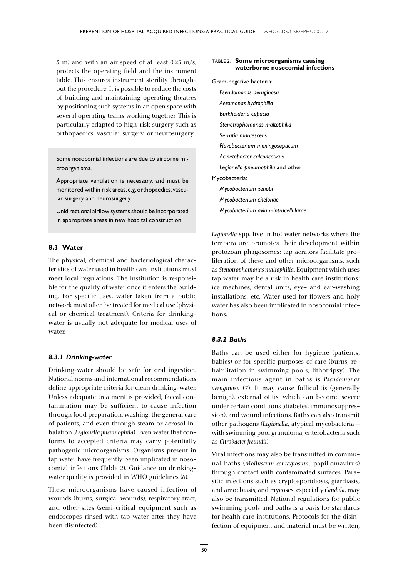3 m) and with an air speed of at least 0.25 m/s, protects the operating field and the instrument table. This ensures instrument sterility throughout the procedure. It is possible to reduce the costs of building and maintaining operating theatres by positioning such systems in an open space with several operating teams working together. This is particularly adapted to high-risk surgery such as orthopaedics, vascular surgery, or neurosurgery.

Some nosocomial infections are due to airborne microorganisms.

Appropriate ventilation is necessary, and must be monitored within risk areas, e.g. orthopaedics, vascular surgery and neurosurgery.

Unidirectional airflow systems should be incorporated in appropriate areas in new hospital construction.

### **8.3 Water**

The physical, chemical and bacteriological characteristics of water used in health care institutions must meet local regulations. The institution is responsible for the quality of water once it enters the building. For specific uses, water taken from a public network must often be treated for medical use (physical or chemical treatment). Criteria for drinkingwater is usually not adequate for medical uses of water.

### *8.3.1 Drinking-water*

Drinking-water should be safe for oral ingestion. National norms and international recommendations define appropriate criteria for clean drinking-water. Unless adequate treatment is provided, faecal contamination may be sufficient to cause infection through food preparation, washing, the general care of patients, and even through steam or aerosol inhalation (*Legionella pneumophila*). Even water that conforms to accepted criteria may carry potentially pathogenic microorganisms. Organisms present in tap water have frequently been implicated in nosocomial infections (Table 2). Guidance on drinkingwater quality is provided in WHO guidelines (*6*).

These microorganisms have caused infection of wounds (burns, surgical wounds), respiratory tract, and other sites (semi-critical equipment such as endoscopes rinsed with tap water after they have been disinfected).

#### TABLE 2. **Some microorganisms causing waterborne nosocomial infections**

| Gram-negative bacteria:             |
|-------------------------------------|
| Pseudomonas aeruginosa              |
| Aeromonas hydrophilia               |
| Burkholderia cepacia                |
| Stenotrophomonas maltophilia        |
| Serratia marcescens                 |
| Flavobacterium meningosepticum      |
| Acinetobacter calcoaceticus         |
| Legionella pneumophila and other    |
| Mycobacteria:                       |
| Mycobacterium xenopi                |
| Mycobacterium chelonae              |
| Mycobacterium avium-intracellularae |

*Legionella* spp. live in hot water networks where the temperature promotes their development within protozoan phagosomes; tap aerators facilitate proliferation of these and other microorganisms, such as *Stenotrophomonas maltophilia*. Equipment which uses tap water may be a risk in health care institutions: ice machines, dental units, eye- and ear-washing installations, etc. Water used for flowers and holy water has also been implicated in nosocomial infections.

### *8.3.2 Baths*

Baths can be used either for hygiene (patients, babies) or for specific purposes of care (burns, rehabilitation in swimming pools, lithotripsy). The main infectious agent in baths is *Pseudomonas aeruginosa* (*7*). It may cause folliculitis (generally benign), external otitis, which can become severe under certain conditions (diabetes, immunosuppression), and wound infections. Baths can also transmit other pathogens (*Legionella*, atypical mycobacteria with swimming pool granuloma, enterobacteria such as *Citrobacter freundii*).

Viral infections may also be transmitted in communal baths (*Molluscum contagiosum*, papillomavirus) through contact with contaminated surfaces. Parasitic infections such as cryptosporidiosis, giardiasis, and amoebiasis, and mycoses, especially *Candida*, may also be transmitted. National regulations for public swimming pools and baths is a basis for standards for health care institutions. Protocols for the disinfection of equipment and material must be written,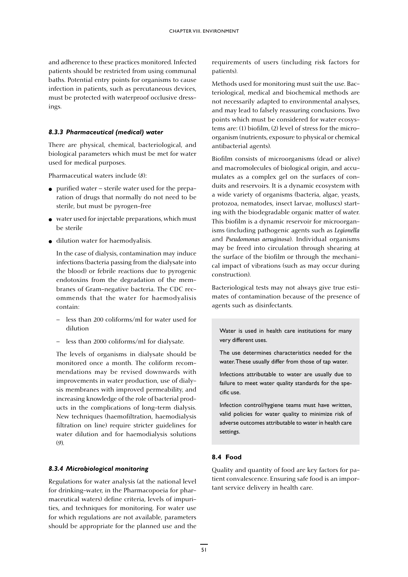and adherence to these practices monitored. Infected patients should be restricted from using communal baths. Potential entry points for organisms to cause infection in patients, such as percutaneous devices, must be protected with waterproof occlusive dressings.

### *8.3.3 Pharmaceutical (medical) water*

There are physical, chemical, bacteriological, and biological parameters which must be met for water used for medical purposes.

Pharmaceutical waters include (*8*):

- purified water sterile water used for the preparation of drugs that normally do not need to be sterile, but must be pyrogen-free
- water used for injectable preparations, which must be sterile
- dilution water for haemodyalisis.

In the case of dialysis, contamination may induce infections (bacteria passing from the dialysate into the blood) or febrile reactions due to pyrogenic endotoxins from the degradation of the membranes of Gram-negative bacteria. The CDC recommends that the water for haemodyalisis contain:

- less than 200 coliforms/ml for water used for dilution
- less than 2000 coliforms/ml for dialysate.

The levels of organisms in dialysate should be monitored once a month. The coliform recommendations may be revised downwards with improvements in water production, use of dialysis membranes with improved permeability, and increasing knowledge of the role of bacterial products in the complications of long-term dialysis. New techniques (haemofiltration, haemodialysis filtration on line) require stricter guidelines for water dilution and for haemodialysis solutions (*9*).

### *8.3.4 Microbiological monitoring*

Regulations for water analysis (at the national level for drinking-water, in the Pharmacopoeia for pharmaceutical waters) define criteria, levels of impurities, and techniques for monitoring. For water use for which regulations are not available, parameters should be appropriate for the planned use and the requirements of users (including risk factors for patients).

Methods used for monitoring must suit the use. Bacteriological, medical and biochemical methods are not necessarily adapted to environmental analyses, and may lead to falsely reassuring conclusions. Two points which must be considered for water ecosystems are: (1) biofilm, (2) level of stress for the microorganism (nutrients, exposure to physical or chemical antibacterial agents).

Biofilm consists of microorganisms (dead or alive) and macromolecules of biological origin, and accumulates as a complex gel on the surfaces of conduits and reservoirs. It is a dynamic ecosystem with a wide variety of organisms (bacteria, algae, yeasts, protozoa, nematodes, insect larvae, molluscs) starting with the biodegradable organic matter of water. This biofilm is a dynamic reservoir for microorganisms (including pathogenic agents such as *Legionella* and *Pseudomonas aeruginosa*). Individual organisms may be freed into circulation through shearing at the surface of the biofilm or through the mechanical impact of vibrations (such as may occur during construction).

Bacteriological tests may not always give true estimates of contamination because of the presence of agents such as disinfectants.

Water is used in health care institutions for many very different uses.

The use determines characteristics needed for the water. These usually differ from those of tap water.

Infections attributable to water are usually due to failure to meet water quality standards for the specific use.

Infection control/hygiene teams must have written, valid policies for water quality to minimize risk of adverse outcomes attributable to water in health care settings.

# **8.4 Food**

Quality and quantity of food are key factors for patient convalescence. Ensuring safe food is an important service delivery in health care.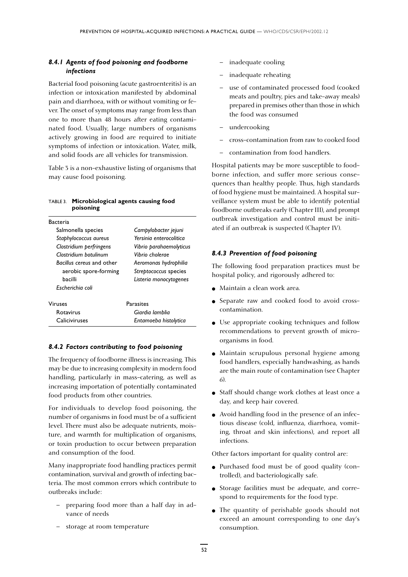# *8.4.1 Agents of food poisoning and foodborne infections*

Bacterial food poisoning (acute gastroenteritis) is an infection or intoxication manifested by abdominal pain and diarrhoea, with or without vomiting or fever. The onset of symptoms may range from less than one to more than 48 hours after eating contaminated food. Usually, large numbers of organisms actively growing in food are required to initiate symptoms of infection or intoxication. Water, milk, and solid foods are all vehicles for transmission.

Table 3 is a non-exhaustive listing of organisms that may cause food poisoning.

### TABLE 3. **Microbiological agents causing food poisoning**

| Bacteria                  |                         |
|---------------------------|-------------------------|
| Salmonella species        | Campylobacter jejuni    |
| Staphylococcus aureus     | Yersinia enterocolitica |
| Clostridium perfringens   | Vibrio parahaemolyticus |
| Clostridium botulinum     | Vihrio cholerae         |
| Bacillus cereus and other | Aeromonas hydrophilia   |
| aerobic spore-forming     | Streptococcus species   |
| bacilli                   | Listeria monocytogenes  |
| Escherichia coli          |                         |
| Viruses                   | <b>Parasites</b>        |
| Rotavirus                 | Giardia lamblia         |
| Caliciviruses             | Entamoeba histolytica   |

### *8.4.2 Factors contributing to food poisoning*

The frequency of foodborne illness is increasing. This may be due to increasing complexity in modern food handling, particularly in mass-catering, as well as increasing importation of potentially contaminated food products from other countries.

For individuals to develop food poisoning, the number of organisms in food must be of a sufficient level. There must also be adequate nutrients, moisture, and warmth for multiplication of organisms, or toxin production to occur between preparation and consumption of the food.

Many inappropriate food handling practices permit contamination, survival and growth of infecting bacteria. The most common errors which contribute to outbreaks include:

- preparing food more than a half day in advance of needs
- storage at room temperature
- inadequate cooling
- inadequate reheating
- use of contaminated processed food (cooked meats and poultry, pies and take-away meals) prepared in premises other than those in which the food was consumed
- undercooking
- cross-contamination from raw to cooked food
- contamination from food handlers.

Hospital patients may be more susceptible to foodborne infection, and suffer more serious consequences than healthy people. Thus, high standards of food hygiene must be maintained. A hospital surveillance system must be able to identify potential foodborne outbreaks early (Chapter III), and prompt outbreak investigation and control must be initiated if an outbreak is suspected (Chapter IV).

### *8.4.3 Prevention of food poisoning*

The following food preparation practices must be hospital policy, and rigorously adhered to:

- Maintain a clean work area.
- Separate raw and cooked food to avoid crosscontamination.
- Use appropriate cooking techniques and follow recommendations to prevent growth of microorganisms in food.
- Maintain scrupulous personal hygiene among food handlers, especially handwashing, as hands are the main route of contamination (see Chapter 6).
- Staff should change work clothes at least once a day, and keep hair covered.
- Avoid handling food in the presence of an infectious disease (cold, influenza, diarrhoea, vomiting, throat and skin infections), and report all infections.

Other factors important for quality control are:

- Purchased food must be of good quality (controlled), and bacteriologically safe.
- Storage facilities must be adequate, and correspond to requirements for the food type.
- The quantity of perishable goods should not exceed an amount corresponding to one day's consumption.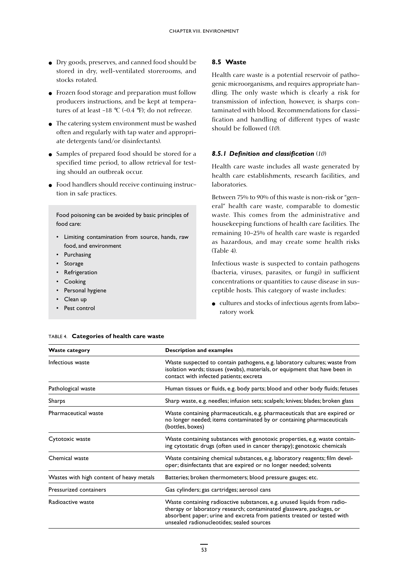- Dry goods, preserves, and canned food should be stored in dry, well-ventilated storerooms, and stocks rotated.
- Frozen food storage and preparation must follow producers instructions, and be kept at temperatures of at least -18 °C (-0.4 °F); do not refreeze.
- The catering system environment must be washed often and regularly with tap water and appropriate detergents (and/or disinfectants).
- Samples of prepared food should be stored for a specified time period, to allow retrieval for testing should an outbreak occur.
- Food handlers should receive continuing instruction in safe practices.

Food poisoning can be avoided by basic principles of food care:

- Limiting contamination from source, hands, raw food, and environment
- Purchasing
- Storage
- Refrigeration
- Cooking
- Personal hygiene
- Clean up
- Pest control

# **8.5 Waste**

Health care waste is a potential reservoir of pathogenic microorganisms, and requires appropriate handling. The only waste which is clearly a risk for transmission of infection, however, is sharps contaminated with blood. Recommendations for classification and handling of different types of waste should be followed (*10*).

## *8.5.1 Definition and classification* (*10*)

Health care waste includes all waste generated by health care establishments, research facilities, and laboratories.

Between 75% to 90% of this waste is non-risk or "general" health care waste, comparable to domestic waste. This comes from the administrative and housekeeping functions of health care facilities. The remaining 10–25% of health care waste is regarded as hazardous, and may create some health risks (Table 4).

Infectious waste is suspected to contain pathogens (bacteria, viruses, parasites, or fungi) in sufficient concentrations or quantities to cause disease in susceptible hosts. This category of waste includes:

● cultures and stocks of infectious agents from laboratory work

### TABLE 4. **Categories of health care waste**

| <b>Waste category</b>                    | <b>Description and examples</b>                                                                                                                                                                                                                                          |
|------------------------------------------|--------------------------------------------------------------------------------------------------------------------------------------------------------------------------------------------------------------------------------------------------------------------------|
| Infectious waste                         | Waste suspected to contain pathogens, e.g. laboratory cultures; waste from<br>isolation wards; tissues (swabs), materials, or equipment that have been in<br>contact with infected patients; excreta                                                                     |
| Pathological waste                       | Human tissues or fluids, e.g. body parts; blood and other body fluids; fetuses                                                                                                                                                                                           |
| Sharps                                   | Sharp waste, e.g. needles; infusion sets; scalpels; knives; blades; broken glass                                                                                                                                                                                         |
| Pharmaceutical waste                     | Waste containing pharmaceuticals, e.g. pharmaceuticals that are expired or<br>no longer needed; items contaminated by or containing pharmaceuticals<br>(bottles, boxes)                                                                                                  |
| Cytotoxic waste                          | Waste containing substances with genotoxic properties, e.g. waste contain-<br>ing cytostatic drugs (often used in cancer therapy); genotoxic chemicals                                                                                                                   |
| Chemical waste                           | Waste containing chemical substances, e.g. laboratory reagents; film devel-<br>oper; disinfectants that are expired or no longer needed; solvents                                                                                                                        |
| Wastes with high content of heavy metals | Batteries; broken thermometers; blood pressure gauges; etc.                                                                                                                                                                                                              |
| Pressurized containers                   | Gas cylinders; gas cartridges; aerosol cans                                                                                                                                                                                                                              |
| Radioactive waste                        | Waste containing radioactive substances, e.g. unused liquids from radio-<br>therapy or laboratory research; contaminated glassware, packages, or<br>absorbent paper; urine and excreta from patients treated or tested with<br>unsealed radionucleotides; sealed sources |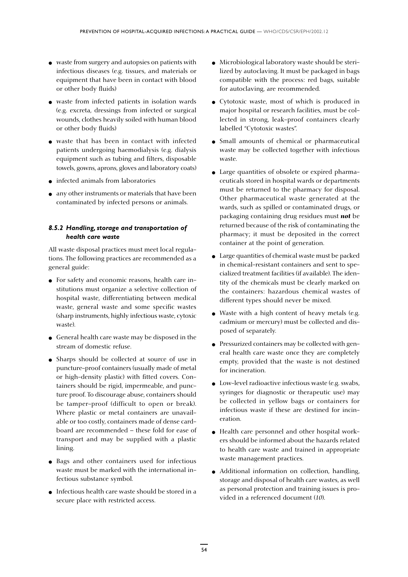- waste from surgery and autopsies on patients with infectious diseases (e.g. tissues, and materials or equipment that have been in contact with blood or other body fluids)
- waste from infected patients in isolation wards (e.g. excreta, dressings from infected or surgical wounds, clothes heavily soiled with human blood or other body fluids)
- waste that has been in contact with infected patients undergoing haemodialysis (e.g. dialysis equipment such as tubing and filters, disposable towels, gowns, aprons, gloves and laboratory coats)
- infected animals from laboratories
- any other instruments or materials that have been contaminated by infected persons or animals.

# *8.5.2 Handling, storage and transportation of health care waste*

All waste disposal practices must meet local regulations. The following practices are recommended as a general guide:

- For safety and economic reasons, health care institutions must organize a selective collection of hospital waste, differentiating between medical waste, general waste and some specific wastes (sharp instruments, highly infectious waste, cytoxic waste).
- General health care waste may be disposed in the stream of domestic refuse.
- Sharps should be collected at source of use in puncture-proof containers (usually made of metal or high-density plastic) with fitted covers. Containers should be rigid, impermeable, and puncture proof. To discourage abuse, containers should be tamper-proof (difficult to open or break). Where plastic or metal containers are unavailable or too costly, containers made of dense cardboard are recommended — these fold for ease of transport and may be supplied with a plastic lining.
- Bags and other containers used for infectious waste must be marked with the international infectious substance symbol.
- Infectious health care waste should be stored in a secure place with restricted access.
- Microbiological laboratory waste should be sterilized by autoclaving. It must be packaged in bags compatible with the process: red bags, suitable for autoclaving, are recommended.
- Cytotoxic waste, most of which is produced in major hospital or research facilities, must be collected in strong, leak-proof containers clearly labelled "Cytotoxic wastes".
- Small amounts of chemical or pharmaceutical waste may be collected together with infectious waste.
- Large quantities of obsolete or expired pharmaceuticals stored in hospital wards or departments must be returned to the pharmacy for disposal. Other pharmaceutical waste generated at the wards, such as spilled or contaminated drugs, or packaging containing drug residues must *not* be returned because of the risk of contaminating the pharmacy; it must be deposited in the correct container at the point of generation.
- Large quantities of chemical waste must be packed in chemical-resistant containers and sent to specialized treatment facilities (if available). The identity of the chemicals must be clearly marked on the containers: hazardous chemical wastes of different types should never be mixed.
- Waste with a high content of heavy metals (e.g. cadmium or mercury) must be collected and disposed of separately.
- Pressurized containers may be collected with general health care waste once they are completely empty, provided that the waste is not destined for incineration.
- Low-level radioactive infectious waste (e.g. swabs, syringes for diagnostic or therapeutic use) may be collected in yellow bags or containers for infectious waste if these are destined for incineration.
- Health care personnel and other hospital workers should be informed about the hazards related to health care waste and trained in appropriate waste management practices.
- Additional information on collection, handling, storage and disposal of health care wastes, as well as personal protection and training issues is provided in a referenced document (*10*).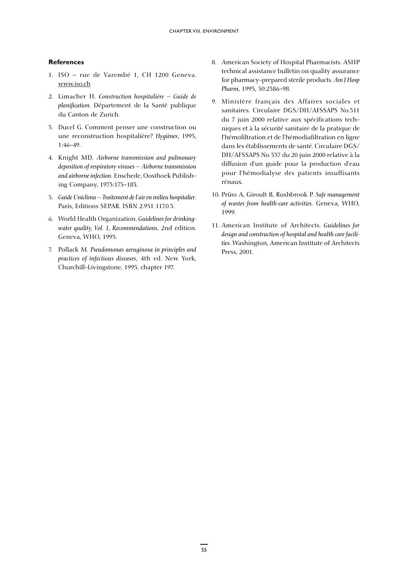# **References**

- 1. ISO rue de Varembé 1, CH 1200 Geneva. www.iso.ch
- 2. Limacher H. *Construction hospitalière Guide de planification*. Département de la Santé publique du Canton de Zurich.
- 3. Ducel G. Comment penser une construction ou une reconstruction hospitalière? *Hygiènes*, 1993, 1:46–49.
- 4. Knight MD. *Airborne transmission and pulmonary deposition of respiratory viruses — Airborne transmission and airborne infection*. Enschede, Oosthoek Publishing Company, 1973:175–183.
- 5. *Guide Uniclima Traitement de l'air en milieu hospitalier*. Paris, Editions SEPAR. ISBN 2.951 117.0.3.
- 6. World Health Organization. *Guidelines for drinkingwater quality, Vol. 1, Recommendations*, 2nd edition. Geneva, WHO, 1993.
- 7. Pollack M. *Pseudomonas aeruginosa in principles and practices of infectious diseases*, 4th ed. New York, Churchill-Livingstone, 1995, chapter 197.
- 8. American Society of Hospital Pharmacists. ASHP technical assistance bulletin on quality assurance for pharmacy-prepared sterile products. *Am J Hosp Pharm*, 1993, 50:2386–98.
- 9. Ministère français des Affaires sociales et sanitaires. Circulaire DGS/DH/AFSSAPS No.311 du 7 juin 2000 relative aux spécifications techniques et à la sécurité sanitaire de la pratique de l'hémofiltration et de l'hémodiafiltration en ligne dans les établissements de santé. Circulaire DGS/ DH/AFSSAPS No 337 du 20 juin 2000 relative à la diffusion d'un guide pour la production d'eau pour l'hémodialyse des patients insuffisants rénaux.
- 10. Prüss A, Giroult B, Rushbrook P. *Safe management of wastes from health-care activities*. Geneva, WHO, 1999.
- 11. American Institute of Architects. *Guidelines for design and construction of hospital and health care facilities*. Washington, American Institute of Architects Press, 2001.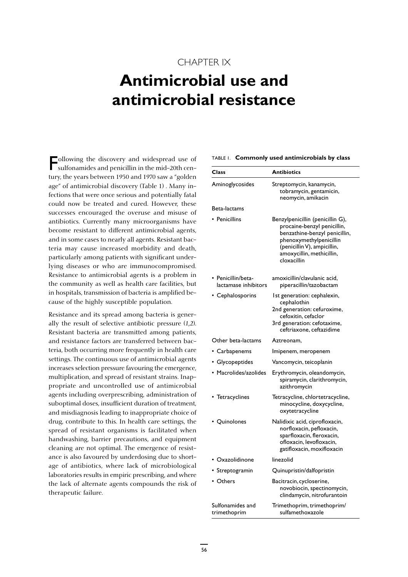# CHAPTER IX **Antimicrobial use and antimicrobial resistance**

Following the discovery and widespread use of sulfonamides and penicillin in the mid-20th century, the years between 1950 and 1970 saw a "golden age" of antimicrobial discovery (Table 1) . Many infections that were once serious and potentially fatal could now be treated and cured. However, these successes encouraged the overuse and misuse of antibiotics. Currently many microorganisms have become resistant to different antimicrobial agents, and in some cases to nearly all agents. Resistant bacteria may cause increased morbidity and death, particularly among patients with significant underlying diseases or who are immunocompromised. Resistance to antimicrobial agents is a problem in the community as well as health care facilities, but in hospitals, transmission of bacteria is amplified because of the highly susceptible population.

Resistance and its spread among bacteria is generally the result of selective antibiotic pressure (*1,2*). Resistant bacteria are transmitted among patients, and resistance factors are transferred between bacteria, both occurring more frequently in health care settings. The continuous use of antimicrobial agents increases selection pressure favouring the emergence, multiplication, and spread of resistant strains. Inappropriate and uncontrolled use of antimicrobial agents including overprescribing, administration of suboptimal doses, insufficient duration of treatment, and misdiagnosis leading to inappropriate choice of drug, contribute to this. In health care settings, the spread of resistant organisms is facilitated when handwashing, barrier precautions, and equipment cleaning are not optimal. The emergence of resistance is also favoured by underdosing due to shortage of antibiotics, where lack of microbiological laboratories results in empiric prescribing, and where the lack of alternate agents compounds the risk of therapeutic failure.

### TABLE 1. **Commonly used antimicrobials by class**

| Class                                      | <b>Antibiotics</b>                                                                                                                                                                                     |
|--------------------------------------------|--------------------------------------------------------------------------------------------------------------------------------------------------------------------------------------------------------|
| Aminoglycosides                            | Streptomycin, kanamycin,<br>tobramycin, gentamicin,<br>neomycin, amikacin                                                                                                                              |
| Beta-lactams                               |                                                                                                                                                                                                        |
| Penicillins                                | Benzylpenicillin (penicillin G),<br>procaine-benzyl penicillin,<br>benzathine-benzyl penicillin,<br>phenoxymethylpenicillin<br>(penicillin V), ampicillin,<br>amoxycillin, methicillin,<br>cloxacillin |
| • Penicillin/beta-<br>lactamase inhibitors | amoxicillin/clavulanic acid.<br>piperacillin/tazobactam                                                                                                                                                |
| • Cephalosporins                           | Ist generation: cephalexin,<br>cephalothin<br>2nd generation: cefuroxime,<br>cefoxitin, cefaclor<br>3rd generation: cefotaxime,<br>ceftriaxone, ceftazidime                                            |
| Other beta-lactams                         | Aztreonam,                                                                                                                                                                                             |
| • Carbapenems                              | Imipenem, meropenem                                                                                                                                                                                    |
| • Glycopeptides                            | Vancomycin, teicoplanin                                                                                                                                                                                |
| • Macrolides/azolides                      | Erythromycin, oleandomycin,<br>spiramycin, clarithromycin,<br>azithromycin                                                                                                                             |
| • Tetracyclines                            | Tetracycline, chlortetracycline,<br>minocycline, doxycycline,<br>oxytetracycline                                                                                                                       |
| Quinolones                                 | Nalidixic acid, ciprofloxacin,<br>norfloxacin, pefloxacin,<br>sparfloxacin, fleroxacin,<br>ofloxacin, levofloxacin,<br>gatifloxacin, moxifloxacin                                                      |
| $\bullet$ Oxazolidinone                    | linezolid                                                                                                                                                                                              |
| • Streptogramin                            | Quinupristin/dalfopristin                                                                                                                                                                              |
| • Others                                   | Bacitracin, cycloserine,<br>novobiocin, spectinomycin,<br>clindamycin, nitrofurantoin                                                                                                                  |
| Sulfonamides and<br>trimethoprim           | Trimethoprim, trimethoprim/<br>sulfamethoxazole                                                                                                                                                        |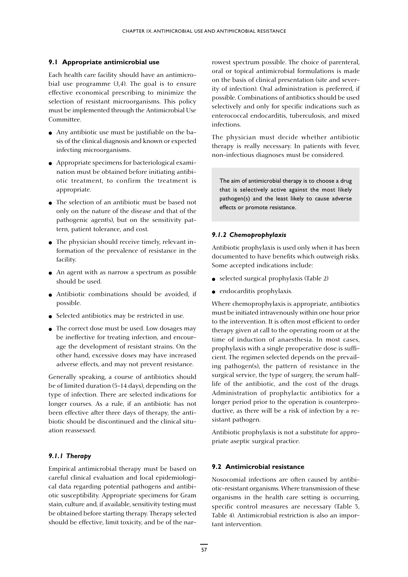# **9.1 Appropriate antimicrobial use**

Each health care facility should have an antimicrobial use programme (*3,4*). The goal is to ensure effective economical prescribing to minimize the selection of resistant microorganisms. This policy must be implemented through the Antimicrobial Use Committee.

- Any antibiotic use must be justifiable on the basis of the clinical diagnosis and known or expected infecting microorganisms.
- Appropriate specimens for bacteriological examination must be obtained before initiating antibiotic treatment, to confirm the treatment is appropriate.
- The selection of an antibiotic must be based not only on the nature of the disease and that of the pathogenic agent(s), but on the sensitivity pattern, patient tolerance, and cost.
- The physician should receive timely, relevant information of the prevalence of resistance in the facility.
- An agent with as narrow a spectrum as possible should be used.
- Antibiotic combinations should be avoided, if possible.
- Selected antibiotics may be restricted in use.
- The correct dose must be used. Low dosages may be ineffective for treating infection, and encourage the development of resistant strains. On the other hand, excessive doses may have increased adverse effects, and may not prevent resistance.

Generally speaking, a course of antibiotics should be of limited duration (5-14 days), depending on the type of infection. There are selected indications for longer courses. As a rule, if an antibiotic has not been effective after three days of therapy, the antibiotic should be discontinued and the clinical situation reassessed.

# *9.1.1 Therapy*

Empirical antimicrobial therapy must be based on careful clinical evaluation and local epidemiological data regarding potential pathogens and antibiotic susceptibility. Appropriate specimens for Gram stain, culture and, if available, sensitivity testing must be obtained before starting therapy. Therapy selected should be effective, limit toxicity, and be of the narrowest spectrum possible. The choice of parenteral, oral or topical antimicrobial formulations is made on the basis of clinical presentation (site and severity of infection). Oral administration is preferred, if possible. Combinations of antibiotics should be used selectively and only for specific indications such as enterococcal endocarditis, tuberculosis, and mixed infections.

The physician must decide whether antibiotic therapy is really necessary. In patients with fever, non-infectious diagnoses must be considered.

The aim of antimicrobial therapy is to choose a drug that is selectively active against the most likely pathogen(s) and the least likely to cause adverse effects or promote resistance.

### *9.1.2 Chemoprophylaxis*

Antibiotic prophylaxis is used only when it has been documented to have benefits which outweigh risks. Some accepted indications include:

- selected surgical prophylaxis (Table 2)
- endocarditis prophylaxis.

Where chemoprophylaxis is appropriate, antibiotics must be initiated intravenously within one hour prior to the intervention. It is often most efficient to order therapy given at call to the operating room or at the time of induction of anaesthesia. In most cases, prophylaxis with a single preoperative dose is sufficient. The regimen selected depends on the prevailing pathogen(s), the pattern of resistance in the surgical service, the type of surgery, the serum halflife of the antibiotic, and the cost of the drugs. Administration of prophylactic antibiotics for a longer period prior to the operation is counterproductive, as there will be a risk of infection by a resistant pathogen.

Antibiotic prophylaxis is not a substitute for appropriate aseptic surgical practice.

### **9.2 Antimicrobial resistance**

Nosocomial infections are often caused by antibiotic-resistant organisms. Where transmission of these organisms in the health care setting is occurring, specific control measures are necessary (Table 3, Table 4). Antimicrobial restriction is also an important intervention.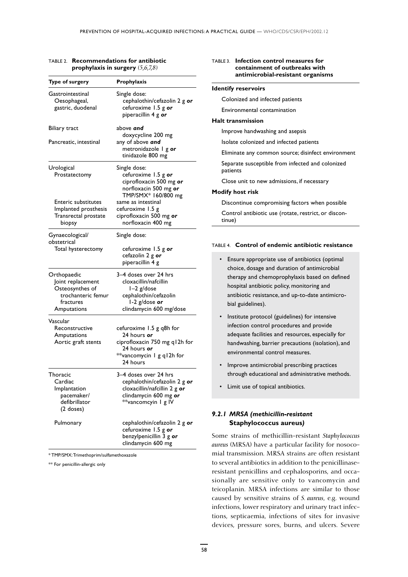| Type of surgery                                                                                       | Prophylaxis                                                                                                                           |  |
|-------------------------------------------------------------------------------------------------------|---------------------------------------------------------------------------------------------------------------------------------------|--|
| Gastrointestinal<br>Oesophageal,<br>gastric, duodenal                                                 | Single dose:<br>cephalothin/cefazolin 2 g or<br>cefuroxime 1.5 g or<br>piperacillin 4 g or                                            |  |
| Biliary tract<br>Pancreatic, intestinal                                                               | above <b>and</b><br>doxycycline 200 mg<br>any of above and<br>metronidazole I g or<br>tinidazole 800 mg                               |  |
| Urological<br>Prostatectomy                                                                           | Single dose:<br>cefuroxime 1.5 g or<br>ciprofloxacin 500 mg or<br>norfloxacin 500 mg or<br>TMP/SMX* 160/800 mg                        |  |
| <b>Enteric substitutes</b><br>Implanted prosthesis<br>Transrectal prostate<br>biopsy                  | same as intestinal<br>cefuroxime 1.5 g<br>ciprofloxacin 500 mg or<br>norfloxacin 400 mg                                               |  |
| Gynaecological/<br>obstetrical<br>Total hysterectomy                                                  | Single dose:<br>cefuroxime 1.5 g or<br>cefazolin 2 g or<br>piperacillin 4 g                                                           |  |
| Orthopaedic<br>Joint replacement<br>Osteosynthes of<br>trochanteric femur<br>fractures<br>Amputations | 3–4 doses over 24 hrs<br>cloxacillin/nafcillin<br>$1-2$ g/dose<br>cephalothin/cefazolin<br>1-2 g/dose or<br>clindamycin 600 mg/dose   |  |
| Vascular<br>Reconstructive<br>Amputations<br>Aortic graft stents                                      | cefuroxime 1.5 g q8h for<br>24 hours or<br>ciprofloxacin 750 mg q12h for<br>24 hours or<br>**vancomycin   g q   2h for<br>24 hours    |  |
| Thoracic<br>Cardiac<br>Implantation<br>pacemaker/<br>defibrillator<br>(2 doses)                       | 3–4 doses over 24 hrs<br>cephalothin/cefazolin 2 g or<br>cloxacillin/nafcillin 2 g or<br>clindamycin 600 mg or<br>**vancomcyin   g IV |  |
| Pulmonary                                                                                             | cephalothin/cefazolin 2 g or<br>cefuroxime 1.5 g or<br>benzylpenicillin 3 g or<br>clindamycin 600 mg                                  |  |

### TABLE 2. **Recommendations for antibiotic prophylaxis in surgery** *(5,6,7,8)*

\* TMP/SMX: Trimethoprim/sulfamethoxazole

\*\* For penicillin-allergic only

#### TABLE 3. **Infection control measures for containment of outbreaks with antimicrobial-resistant organisms**

### **Identify reservoirs**

tinue)

| Colonized and infected patients                              |
|--------------------------------------------------------------|
| Environmental contamination                                  |
| <b>Halt transmission</b>                                     |
| Improve handwashing and asepsis                              |
| Isolate colonized and infected patients                      |
| Eliminate any common source; disinfect environment           |
| Separate susceptible from infected and colonized<br>patients |
| Close unit to new admissions, if necessary                   |
| Modify host risk                                             |
| Discontinue compromising factors when possible               |
| Control antibiotic use (rotate, restrict, or discon-         |

### TABLE 4. **Control of endemic antibiotic resistance**

- Ensure appropriate use of antibiotics (optimal choice, dosage and duration of antimicrobial therapy and chemoprophylaxis based on defined hospital antibiotic policy, monitoring and antibiotic resistance, and up-to-date antimicrobial guidelines).
- Institute protocol (guidelines) for intensive infection control procedures and provide adequate facilities and resources, especially for handwashing, barrier precautions (isolation), and environmental control measures.
- Improve antimicrobial prescribing practices through educational and administrative methods.
- Limit use of topical antibiotics.

# *9.2.1 MRSA (methicillin-resistant* **Staphylococcus aureus***)*

Some strains of methicillin-resistant *Staphylococcus aureus* (MRSA) have a particular facility for nosocomial transmission. MRSA strains are often resistant to several antibiotics in addition to the penicillinaseresistant penicillins and cephalosporins, and occasionally are sensitive only to vancomycin and teicoplanin. MRSA infections are similar to those caused by sensitive strains of *S. aureus*, e.g. wound infections, lower respiratory and urinary tract infections, septicaemia, infections of sites for invasive devices, pressure sores, burns, and ulcers. Severe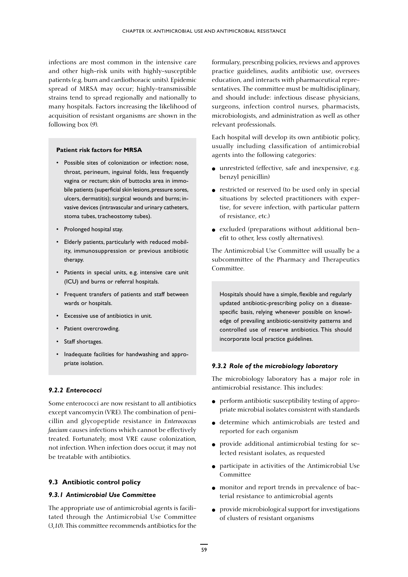infections are most common in the intensive care and other high-risk units with highly-susceptible patients (e.g. burn and cardiothoracic units). Epidemic spread of MRSA may occur; highly-transmissible strains tend to spread regionally and nationally to many hospitals. Factors increasing the likelihood of acquisition of resistant organisms are shown in the following box (*9*).

### **Patient risk factors for MRSA**

- Possible sites of colonization or infection: nose, throat, perineum, inguinal folds, less frequently vagina or rectum; skin of buttocks area in immobile patients (superficial skin lesions, pressure sores, ulcers, dermatitis); surgical wounds and burns; invasive devices (intravascular and urinary catheters, stoma tubes, tracheostomy tubes).
- Prolonged hospital stay.
- Elderly patients, particularly with reduced mobility, immunosuppression or previous antibiotic therapy.
- Patients in special units, e.g. intensive care unit (ICU) and burns or referral hospitals.
- Frequent transfers of patients and staff between wards or hospitals.
- Excessive use of antibiotics in unit.
- Patient overcrowding.
- Staff shortages.
- Inadequate facilities for handwashing and appropriate isolation.

### *9.2.2 Enterococci*

Some enterococci are now resistant to all antibiotics except vancomycin (VRE). The combination of penicillin and glycopeptide resistance in *Enterococcus faecium* causes infections which cannot be effectively treated. Fortunately, most VRE cause colonization, not infection. When infection does occur, it may not be treatable with antibiotics.

## **9.3 Antibiotic control policy**

# *9.3.1 Antimicrobial Use Committee*

The appropriate use of antimicrobial agents is facilitated through the Antimicrobial Use Committee (*3,10*). This committee recommends antibiotics for the formulary, prescribing policies, reviews and approves practice guidelines, audits antibiotic use, oversees education, and interacts with pharmaceutical representatives. The committee must be multidisciplinary, and should include: infectious disease physicians, surgeons, infection control nurses, pharmacists, microbiologists, and administration as well as other relevant professionals.

Each hospital will develop its own antibiotic policy, usually including classification of antimicrobial agents into the following categories:

- unrestricted (effective, safe and inexpensive, e.g. benzyl penicillin)
- restricted or reserved (to be used only in special situations by selected practitioners with expertise, for severe infection, with particular pattern of resistance, etc.)
- excluded (preparations without additional benefit to other, less costly alternatives).

The Antimicrobial Use Committee will usually be a subcommittee of the Pharmacy and Therapeutics Committee.

Hospitals should have a simple, flexible and regularly updated antibiotic-prescribing policy on a diseasespecific basis, relying whenever possible on knowledge of prevailing antibiotic-sensitivity patterns and controlled use of reserve antibiotics. This should incorporate local practice guidelines.

### *9.3.2 Role of the microbiology laboratory*

The microbiology laboratory has a major role in antimicrobial resistance. This includes:

- perform antibiotic susceptibility testing of appropriate microbial isolates consistent with standards
- determine which antimicrobials are tested and reported for each organism
- provide additional antimicrobial testing for selected resistant isolates, as requested
- participate in activities of the Antimicrobial Use Committee
- monitor and report trends in prevalence of bacterial resistance to antimicrobial agents
- provide microbiological support for investigations of clusters of resistant organisms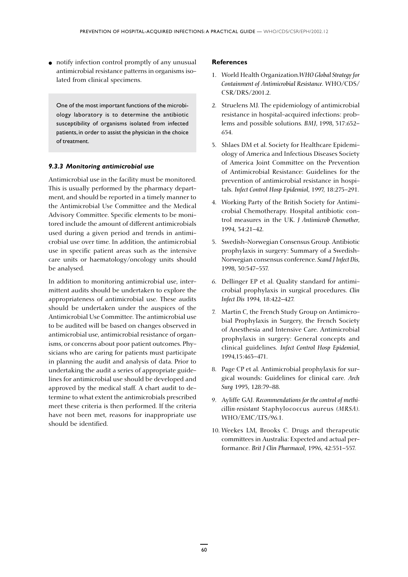● notify infection control promptly of any unusual antimicrobial resistance patterns in organisms isolated from clinical specimens.

One of the most important functions of the microbiology laboratory is to determine the antibiotic susceptibility of organisms isolated from infected patients, in order to assist the physician in the choice of treatment.

### *9.3.3 Monitoring antimicrobial use*

Antimicrobial use in the facility must be monitored. This is usually performed by the pharmacy department, and should be reported in a timely manner to the Antimicrobial Use Committee and the Medical Advisory Committee. Specific elements to be monitored include the amount of different antimicrobials used during a given period and trends in antimicrobial use over time. In addition, the antimicrobial use in specific patient areas such as the intensive care units or haematology/oncology units should be analysed.

In addition to monitoring antimicrobial use, intermittent audits should be undertaken to explore the appropriateness of antimicrobial use. These audits should be undertaken under the auspices of the Antimicrobial Use Committee. The antimicrobial use to be audited will be based on changes observed in antimicrobial use, antimicrobial resistance of organisms, or concerns about poor patient outcomes. Physicians who are caring for patients must participate in planning the audit and analysis of data. Prior to undertaking the audit a series of appropriate guidelines for antimicrobial use should be developed and approved by the medical staff. A chart audit to determine to what extent the antimicrobials prescribed meet these criteria is then performed. If the criteria have not been met, reasons for inappropriate use should be identified.

### **References**

- 1. World Health Organization.*WHO Global Strategy for Containment of Antimicrobial Resistance*. WHO/CDS/ CSR/DRS/2001.2.
- 2. Struelens MJ. The epidemiology of antimicrobial resistance in hospital-acquired infections: problems and possible solutions. *BMJ*, 1998, 317:652– 654.
- 3. Shlaes DM et al. Society for Healthcare Epidemiology of America and Infectious Diseases Society of America Joint Committee on the Prevention of Antimicrobial Resistance: Guidelines for the prevention of antimicrobial resistance in hospitals. *Infect Control Hosp Epidemiol*, 1997, 18:275–291.
- 4. Working Party of the British Society for Antimicrobial Chemotherapy. Hospital antibiotic control measures in the UK. *J Antimicrob Chemother*, 1994, 34:21–42.
- 5. Swedish-Norwegian Consensus Group. Antibiotic prophylaxis in surgery: Summary of a Swedish-Norwegian consensus conference. *Scand J Infect Dis*, 1998, 30:547–557.
- 6. Dellinger EP et al. Quality standard for antimicrobial prophylaxis in surgical procedures. *Clin Infect Dis* 1994, 18:422–427.
- 7. Martin C, the French Study Group on Antimicrobial Prophylaxis in Surgery, the French Society of Anesthesia and Intensive Care. Antimicrobial prophylaxis in surgery: General concepts and clinical guidelines. *Infect Control Hosp Epidemiol*, 1994,15:463–471.
- 8. Page CP et al. Antimicrobial prophylaxis for surgical wounds: Guidelines for clinical care. *Arch Surg* 1993, 128:79–88.
- 9. Ayliffe GAJ. *Recommendations for the control of methicillin-resistant* Staphylococcus aureus *(MRSA)*. WHO/EMC/LTS/96.1.
- 10. Weekes LM, Brooks C. Drugs and therapeutic committees in Australia: Expected and actual performance. *Brit J Clin Pharmacol*, 1996, 42:551–557.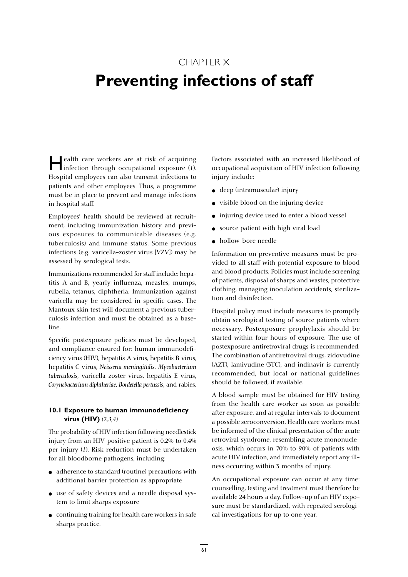# CHAPTER X

# **Preventing infections of staff**

Health care workers are at risk of acquiring infection through occupational exposure (*1*). Hospital employees can also transmit infections to patients and other employees. Thus, a programme must be in place to prevent and manage infections in hospital staff.

Employees' health should be reviewed at recruitment, including immunization history and previous exposures to communicable diseases (e.g. tuberculosis) and immune status. Some previous infections (e.g. varicella-zoster virus [VZV]) may be assessed by serological tests.

Immunizations recommended for staff include: hepatitis A and B, yearly influenza, measles, mumps, rubella, tetanus, diphtheria. Immunization against varicella may be considered in specific cases. The Mantoux skin test will document a previous tuberculosis infection and must be obtained as a baseline.

Specific postexposure policies must be developed, and compliance ensured for: human immunodeficiency virus (HIV), hepatitis A virus, hepatitis B virus, hepatitis C virus, *Neisseria meningitidis*, *Mycobacterium tuberculosis*, varicella-zoster virus, hepatitis E virus, *Corynebacterium diphtheriae*, *Bordetella pertussis*, and rabies.

# **10.1 Exposure to human immunodeficiency virus (HIV)** *(2,3,4)*

The probability of HIV infection following needlestick injury from an HIV-positive patient is 0.2% to 0.4% per injury (*1*). Risk reduction must be undertaken for all bloodborne pathogens, including:

- adherence to standard (routine) precautions with additional barrier protection as appropriate
- use of safety devices and a needle disposal system to limit sharps exposure
- continuing training for health care workers in safe sharps practice.

Factors associated with an increased likelihood of occupational acquisition of HIV infection following injury include:

- deep (intramuscular) injury
- visible blood on the injuring device
- injuring device used to enter a blood vessel
- source patient with high viral load
- hollow-bore needle

Information on preventive measures must be provided to all staff with potential exposure to blood and blood products. Policies must include screening of patients, disposal of sharps and wastes, protective clothing, managing inoculation accidents, sterilization and disinfection.

Hospital policy must include measures to promptly obtain serological testing of source patients where necessary. Postexposure prophylaxis should be started within four hours of exposure. The use of postexposure antiretroviral drugs is recommended. The combination of antiretroviral drugs, zidovudine (AZT), lamivudine (3TC), and indinavir is currently recommended, but local or national guidelines should be followed, if available.

A blood sample must be obtained for HIV testing from the health care worker as soon as possible after exposure, and at regular intervals to document a possible seroconversion. Health care workers must be informed of the clinical presentation of the acute retroviral syndrome, resembling acute mononucleosis, which occurs in 70% to 90% of patients with acute HIV infection, and immediately report any illness occurring within 3 months of injury.

An occupational exposure can occur at any time: counselling, testing and treatment must therefore be available 24 hours a day. Follow-up of an HIV exposure must be standardized, with repeated serological investigations for up to one year.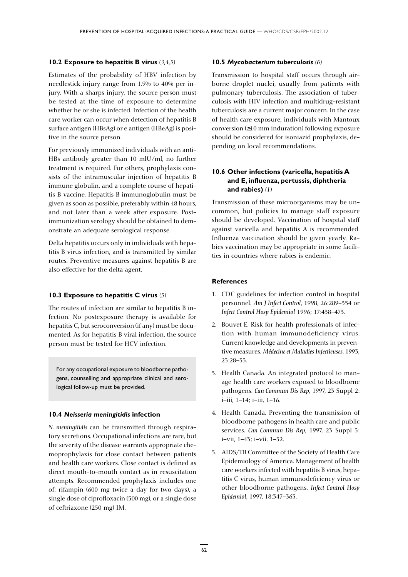# **10.2 Exposure to hepatitis B virus** *(3,4,5)*

Estimates of the probability of HBV infection by needlestick injury range from 1.9% to 40% per injury. With a sharps injury, the source person must be tested at the time of exposure to determine whether he or she is infected. Infection of the health care worker can occur when detection of hepatitis B surface antigen (HBsAg) or e antigen (HBeAg) is positive in the source person.

For previously immunized individuals with an anti-HBs antibody greater than 10 mlU/ml, no further treatment is required. For others, prophylaxis consists of the intramuscular injection of hepatitis B immune globulin, and a complete course of hepatitis B vaccine. Hepatitis B immunoglobulin must be given as soon as possible, preferably within 48 hours, and not later than a week after exposure. Postimmunization serology should be obtained to demonstrate an adequate serological response.

Delta hepatitis occurs only in individuals with hepatitis B virus infection, and is transmitted by similar routes. Preventive measures against hepatitis B are also effective for the delta agent.

# **10.3 Exposure to hepatitis C virus** *(5)*

The routes of infection are similar to hepatitis B infection. No postexposure therapy is available for hepatitis C, but seroconversion (if any) must be documented. As for hepatitis B viral infection, the source person must be tested for HCV infection.

For any occupational exposure to bloodborne pathogens, counselling and appropriate clinical and serological follow-up must be provided.

### **10.4** *Neisseria meningitidis* **infection**

*N. meningitidis* can be transmitted through respiratory secretions. Occupational infections are rare, but the severity of the disease warrants appropriate chemoprophylaxis for close contact between patients and health care workers. Close contact is defined as direct mouth-to-mouth contact as in resuscitation attempts. Recommended prophylaxis includes one of: rifampin (600 mg twice a day for two days), a single dose of ciprofloxacin (500 mg), or a single dose of ceftriaxone (250 mg) IM.

### **10.5** *Mycobacterium tuberculosis (6)*

Transmission to hospital staff occurs through airborne droplet nuclei, usually from patients with pulmonary tuberculosis. The association of tuberculosis with HIV infection and multidrug-resistant tuberculosis are a current major concern. In the case of health care exposure, individuals with Mantoux conversion (≥10 mm induration) following exposure should be considered for isoniazid prophylaxis, depending on local recommendations.

# **10.6 Other infections (varicella, hepatitis A and E, influenza, pertussis, diphtheria and rabies)** *(1)*

Transmission of these microorganisms may be uncommon, but policies to manage staff exposure should be developed. Vaccination of hospital staff against varicella and hepatitis A is recommended. Influenza vaccination should be given yearly. Rabies vaccination may be appropriate in some facilities in countries where rabies is endemic.

### **References**

- 1. CDC guidelines for infection control in hospital personnel. *Am J Infect Control*, 1998, 26:289–354 or *Infect Control Hosp Epidemiol* 1996; 17:438–473.
- 2. Bouvet E. Risk for health professionals of infection with human immunodeficiency virus. Current knowledge and developments in preventive measures. *Médecine et Maladies Infectieuses*, 1993, 23:28–33.
- 3. Health Canada. An integrated protocol to manage health care workers exposed to bloodborne pathogens. *Can Commun Dis Rep*, 1997, 23 Suppl 2: i–iii, 1–14; i–iii, 1–16.
- 4. Health Canada. Preventing the transmission of bloodborne pathogens in health care and public services. *Can Commun Dis Rep*, 1997, 23 Suppl 3: i–vii, 1–43; i–vii, 1–52.
- 5. AIDS/TB Committee of the Society of Health Care Epidemiology of America. Management of health care workers infected with hepatitis B virus, hepatitis C virus, human immunodeficiency virus or other bloodborne pathogens. *Infect Control Hosp Epidemiol*, 1997, 18:347–363.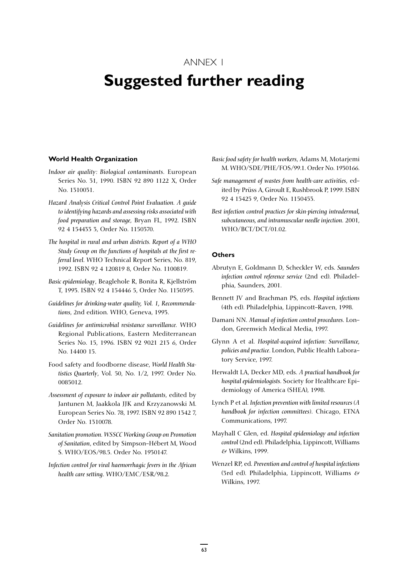# ANNEX 1 **Suggested further reading**

### **World Health Organization**

- *Indoor air quality: Biological contaminants*. European Series No. 31, 1990. ISBN 92 890 1122 X, Order No. 1310031.
- *Hazard Analysis Critical Control Point Evaluation. A guide to identifying hazards and assessing risks associated with food preparation and storage*, Bryan FL, 1992. ISBN 92 4 154433 3, Order No. 1150370.
- *The hospital in rural and urban districts. Report of a WHO Study Group on the functions of hospitals at the first referral level*. WHO Technical Report Series, No. 819, 1992. ISBN 92 4 120819 8, Order No. 1100819.
- *Basic epidemiology*, Beaglehole R, Bonita R, Kjellström T, 1993. ISBN 92 4 154446 5, Order No. 1150395.
- *Guidelines for drinking-water quality, Vol. 1, Recommendations*, 2nd edition. WHO, Geneva, 1993.
- *Guidelines for antimicrobial resistance surveillance*. WHO Regional Publications, Eastern Mediterranean Series No. 15, 1996. ISBN 92 9021 213 6, Order No. 14400 15.
- Food safety and foodborne disease, *World Health Statistics Quarterly*, Vol. 50, No. 1/2, 1997. Order No. 0085012.
- *Assessment of exposure to indoor air pollutants*, edited by Jantunen M, Jaakkola JJK and Krzyzanowski M. European Series No. 78, 1997. ISBN 92 890 1342 7, Order No. 1310078.
- *Sanitation promotion. WSSCC Working Group on Promotion of Sanitation*, edited by Simpson-Hébert M, Wood S. WHO/EOS/98.5. Order No. 1930147.
- *Infection control for viral haemorrhagic fevers in the African health care setting*. WHO/EMC/ESR/98.2.
- *Basic food safety for health workers*, Adams M, Motarjemi M. WHO/SDE/PHE/FOS/99.1. Order No. 1930166.
- *Safe management of wastes from health-care activities*, edited by Prüss A, Giroult E, Rushbrook P, 1999. ISBN 92 4 15425 9, Order No. 1150453.
- *Best infection control practices for skin-piercing intradermal, subcutaneous, and intramuscular needle injection*. 2001, WHO/BCT/DCT/01.02.

# **Others**

- Abrutyn E, Goldmann D, Scheckler W, eds. *Saunders infection control reference service* (2nd ed). Philadelphia, Saunders, 2001.
- Bennett JV and Brachman PS, eds. *Hospital infections* (4th ed). Philadelphia, Lippincott-Raven, 1998.
- Damani NN. *Manual of infection control procedures*. London, Greenwich Medical Media, 1997.
- Glynn A et al. *Hospital-acquired infection: Surveillance, policies and practice*. London, Public Health Laboratory Service, 1997.
- Herwaldt LA, Decker MD, eds. *A practical handbook for hospital epidemiologists*. Society for Healthcare Epidemiology of America (SHEA), 1998.
- Lynch P et al. *Infection prevention with limited resources (A handbook for infection committees)*. Chicago, ETNA Communications, 1997.
- Mayhall C Glen, ed. *Hospital epidemiology and infection control* (2nd ed). Philadelphia, Lippincott, Williams & Wilkins, 1999.
- Wenzel RP, ed. *Prevention and control of hospital infections* (3rd ed). Philadelphia, Lippincott, Williams  $\mathcal{B}$ Wilkins, 1997.